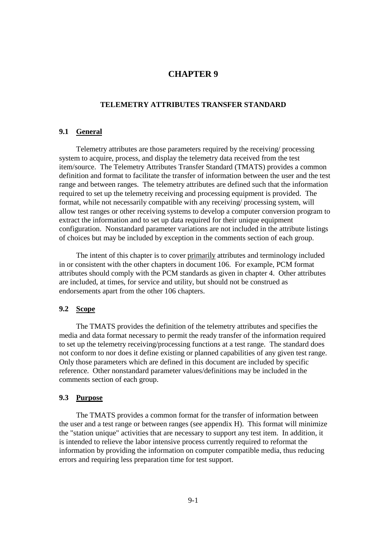# **CHAPTER 9**

## **TELEMETRY ATTRIBUTES TRANSFER STANDARD**

## **9.1 General**

 Telemetry attributes are those parameters required by the receiving/ processing system to acquire, process, and display the telemetry data received from the test item/source. The Telemetry Attributes Transfer Standard (TMATS) provides a common definition and format to facilitate the transfer of information between the user and the test range and between ranges. The telemetry attributes are defined such that the information required to set up the telemetry receiving and processing equipment is provided. The format, while not necessarily compatible with any receiving/ processing system, will allow test ranges or other receiving systems to develop a computer conversion program to extract the information and to set up data required for their unique equipment configuration. Nonstandard parameter variations are not included in the attribute listings of choices but may be included by exception in the comments section of each group.

 The intent of this chapter is to cover primarily attributes and terminology included in or consistent with the other chapters in document 106. For example, PCM format attributes should comply with the PCM standards as given in chapter 4. Other attributes are included, at times, for service and utility, but should not be construed as endorsements apart from the other 106 chapters.

### **9.2 Scope**

 The TMATS provides the definition of the telemetry attributes and specifies the media and data format necessary to permit the ready transfer of the information required to set up the telemetry receiving/processing functions at a test range. The standard does not conform to nor does it define existing or planned capabilities of any given test range. Only those parameters which are defined in this document are included by specific reference. Other nonstandard parameter values/definitions may be included in the comments section of each group.

# **9.3 Purpose**

 The TMATS provides a common format for the transfer of information between the user and a test range or between ranges (see appendix H). This format will minimize the "station unique" activities that are necessary to support any test item. In addition, it is intended to relieve the labor intensive process currently required to reformat the information by providing the information on computer compatible media, thus reducing errors and requiring less preparation time for test support.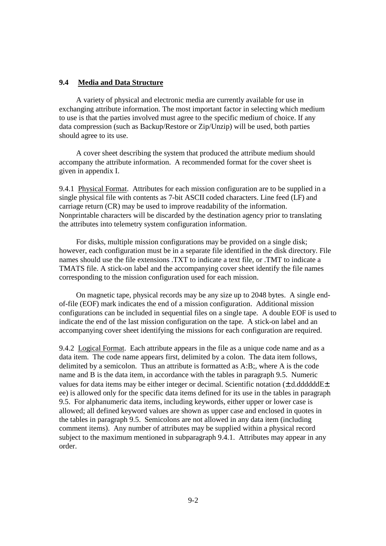## **9.4 Media and Data Structure**

 A variety of physical and electronic media are currently available for use in exchanging attribute information. The most important factor in selecting which medium to use is that the parties involved must agree to the specific medium of choice. If any data compression (such as Backup/Restore or Zip/Unzip) will be used, both parties should agree to its use.

 A cover sheet describing the system that produced the attribute medium should accompany the attribute information. A recommended format for the cover sheet is given in appendix I.

9.4.1 Physical Format. Attributes for each mission configuration are to be supplied in a single physical file with contents as 7-bit ASCII coded characters. Line feed (LF) and carriage return (CR) may be used to improve readability of the information. Nonprintable characters will be discarded by the destination agency prior to translating the attributes into telemetry system configuration information.

 For disks, multiple mission configurations may be provided on a single disk; however, each configuration must be in a separate file identified in the disk directory. File names should use the file extensions .TXT to indicate a text file, or .TMT to indicate a TMATS file. A stick-on label and the accompanying cover sheet identify the file names corresponding to the mission configuration used for each mission.

 On magnetic tape, physical records may be any size up to 2048 bytes. A single endof-file (EOF) mark indicates the end of a mission configuration. Additional mission configurations can be included in sequential files on a single tape. A double EOF is used to indicate the end of the last mission configuration on the tape. A stick-on label and an accompanying cover sheet identifying the missions for each configuration are required.

9.4.2 Logical Format. Each attribute appears in the file as a unique code name and as a data item. The code name appears first, delimited by a colon. The data item follows, delimited by a semicolon. Thus an attribute is formatted as A:B;, where A is the code name and B is the data item, in accordance with the tables in paragraph 9.5. Numeric values for data items may be either integer or decimal. Scientific notation  $(\pm d, d, d, d, d, d)$ ee) is allowed only for the specific data items defined for its use in the tables in paragraph 9.5. For alphanumeric data items, including keywords, either upper or lower case is allowed; all defined keyword values are shown as upper case and enclosed in quotes in the tables in paragraph 9.5. Semicolons are not allowed in any data item (including comment items). Any number of attributes may be supplied within a physical record subject to the maximum mentioned in subparagraph 9.4.1. Attributes may appear in any order.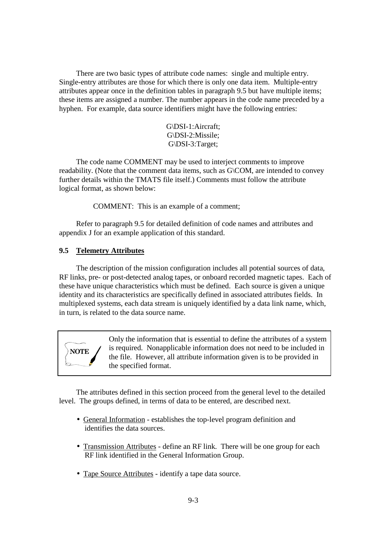There are two basic types of attribute code names: single and multiple entry. Single-entry attributes are those for which there is only one data item. Multiple-entry attributes appear once in the definition tables in paragraph 9.5 but have multiple items; these items are assigned a number. The number appears in the code name preceded by a hyphen. For example, data source identifiers might have the following entries:

> G\DSI-1:Aircraft; G\DSI-2:Missile; G\DSI-3:Target;

 The code name COMMENT may be used to interject comments to improve readability. (Note that the comment data items, such as G\COM, are intended to convey further details within the TMATS file itself.) Comments must follow the attribute logical format, as shown below:

COMMENT: This is an example of a comment;

 Refer to paragraph 9.5 for detailed definition of code names and attributes and appendix J for an example application of this standard.

#### **9.5 Telemetry Attributes**

 The description of the mission configuration includes all potential sources of data, RF links, pre- or post-detected analog tapes, or onboard recorded magnetic tapes. Each of these have unique characteristics which must be defined. Each source is given a unique identity and its characteristics are specifically defined in associated attributes fields. In multiplexed systems, each data stream is uniquely identified by a data link name, which, in turn, is related to the data source name.



Only the information that is essential to define the attributes of a system is required. Nonapplicable information does not need to be included in the file. However, all attribute information given is to be provided in the specified format.

 The attributes defined in this section proceed from the general level to the detailed level. The groups defined, in terms of data to be entered, are described next.

- General Information establishes the top-level program definition and identifies the data sources.
- Transmission Attributes define an RF link. There will be one group for each RF link identified in the General Information Group.
- Tape Source Attributes identify a tape data source.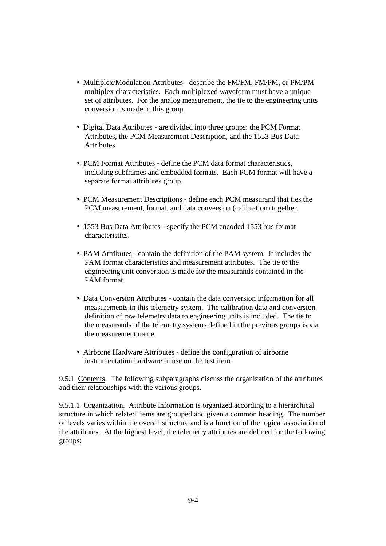- Multiplex/Modulation Attributes describe the FM/FM, FM/PM, or PM/PM multiplex characteristics. Each multiplexed waveform must have a unique set of attributes. For the analog measurement, the tie to the engineering units conversion is made in this group.
- Digital Data Attributes are divided into three groups: the PCM Format Attributes, the PCM Measurement Description, and the 1553 Bus Data Attributes.
- PCM Format Attributes define the PCM data format characteristics, including subframes and embedded formats. Each PCM format will have a separate format attributes group.
- PCM Measurement Descriptions define each PCM measurand that ties the PCM measurement, format, and data conversion (calibration) together.
- 1553 Bus Data Attributes specify the PCM encoded 1553 bus format characteristics.
- PAM Attributes contain the definition of the PAM system. It includes the PAM format characteristics and measurement attributes. The tie to the engineering unit conversion is made for the measurands contained in the PAM format.
- Data Conversion Attributes contain the data conversion information for all measurements in this telemetry system. The calibration data and conversion definition of raw telemetry data to engineering units is included. The tie to the measurands of the telemetry systems defined in the previous groups is via the measurement name.
- Airborne Hardware Attributes define the configuration of airborne instrumentation hardware in use on the test item.

9.5.1 Contents. The following subparagraphs discuss the organization of the attributes and their relationships with the various groups.

9.5.1.1 Organization. Attribute information is organized according to a hierarchical structure in which related items are grouped and given a common heading. The number of levels varies within the overall structure and is a function of the logical association of the attributes. At the highest level, the telemetry attributes are defined for the following groups: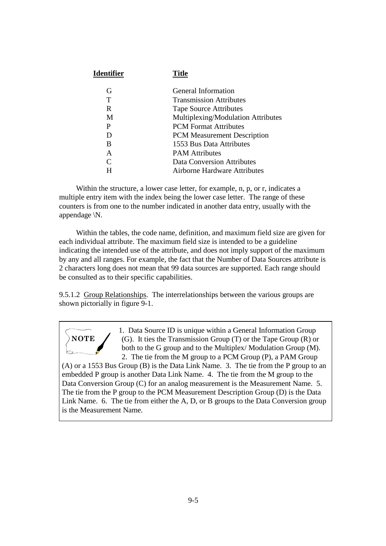| <b>Identifier</b> | <b>Title</b>                       |
|-------------------|------------------------------------|
| G                 | General Information                |
| т                 | <b>Transmission Attributes</b>     |
| R                 | <b>Tape Source Attributes</b>      |
| M                 | Multiplexing/Modulation Attributes |
| P                 | <b>PCM</b> Format Attributes       |
| D                 | <b>PCM</b> Measurement Description |
| B                 | 1553 Bus Data Attributes           |
| A                 | <b>PAM</b> Attributes              |
| C                 | <b>Data Conversion Attributes</b>  |
| H                 | Airborne Hardware Attributes       |

Within the structure, a lower case letter, for example, n, p, or r, indicates a multiple entry item with the index being the lower case letter. The range of these counters is from one to the number indicated in another data entry, usually with the appendage \N.

 Within the tables, the code name, definition, and maximum field size are given for each individual attribute. The maximum field size is intended to be a guideline indicating the intended use of the attribute, and does not imply support of the maximum by any and all ranges. For example, the fact that the Number of Data Sources attribute is 2 characters long does not mean that 99 data sources are supported. Each range should be consulted as to their specific capabilities.

9.5.1.2 Group Relationships. The interrelationships between the various groups are shown pictorially in figure 9-1.



1. Data Source ID is unique within a General Information Group (G). It ties the Transmission Group (T) or the Tape Group (R) or both to the G group and to the Multiplex/ Modulation Group (M). 2. The tie from the M group to a PCM Group (P), a PAM Group

(A) or a 1553 Bus Group (B) is the Data Link Name. 3. The tie from the P group to an embedded P group is another Data Link Name. 4. The tie from the M group to the Data Conversion Group (C) for an analog measurement is the Measurement Name. 5. The tie from the P group to the PCM Measurement Description Group (D) is the Data Link Name. 6. The tie from either the A, D, or B groups to the Data Conversion group is the Measurement Name.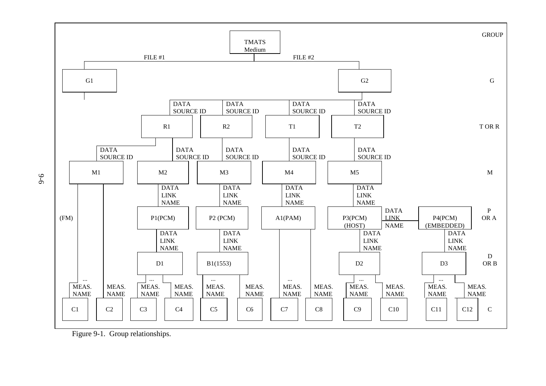

Figure 9-1. Group relationships.

9-6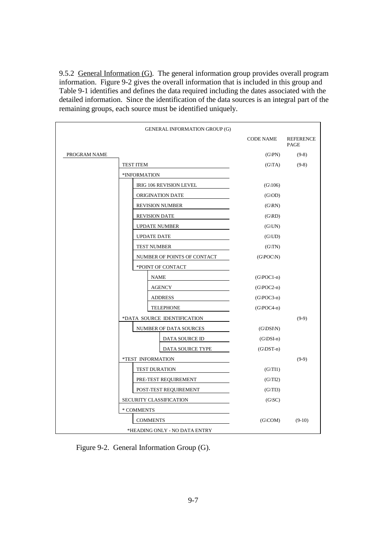9.5.2 General Information (G). The general information group provides overall program information. Figure 9-2 gives the overall information that is included in this group and Table 9-1 identifies and defines the data required including the dates associated with the detailed information. Since the identification of the data sources is an integral part of the remaining groups, each source must be identified uniquely.

|              | <b>GENERAL INFORMATION GROUP (G)</b> |                                 |                          |
|--------------|--------------------------------------|---------------------------------|--------------------------|
|              |                                      | <b>CODE NAME</b>                | <b>REFERENCE</b><br>PAGE |
| PROGRAM NAME |                                      | $(G\backslash PN)$              | $(9-8)$                  |
|              | <b>TEST ITEM</b>                     | $(G\setminus TA)$               | $(9-8)$                  |
|              | *INFORMATION                         |                                 |                          |
|              | IRIG 106 REVISION LEVEL              | (G(106)                         |                          |
|              | ORIGINATION DATE                     | $(G\setminus OD)$               |                          |
|              | <b>REVISION NUMBER</b>               | $(G\backslash RN)$              |                          |
|              | <b>REVISION DATE</b>                 | (G RD)                          |                          |
|              | <b>UPDATE NUMBER</b>                 | (G UN)                          |                          |
|              | <b>UPDATE DATE</b>                   | $(G\backslash UD)$              |                          |
|              | <b>TEST NUMBER</b>                   | $(G\setminus TN)$               |                          |
|              | NUMBER OF POINTS OF CONTACT          | (G POC N)                       |                          |
|              | *POINT OF CONTACT                    |                                 |                          |
|              | <b>NAME</b>                          | $(G POC1-n)$                    |                          |
|              | <b>AGENCY</b>                        | $(G\left( PCC-n\right)$         |                          |
|              | <b>ADDRESS</b>                       | $(G\backslash POC3-n)$          |                          |
|              | <b>TELEPHONE</b>                     | $(G\backslash POC4-n)$          |                          |
|              | *DATA SOURCE IDENTIFICATION          |                                 | $(9-9)$                  |
|              | NUMBER OF DATA SOURCES               | $(G\backslash DSI\backslash N)$ |                          |
|              | DATA SOURCE ID                       | $(G\backslash DSI-n)$           |                          |
|              | DATA SOURCE TYPE                     | $(G\backslash$ DST-n $)$        |                          |
|              | *TEST INFORMATION                    |                                 | $(9-9)$                  |
|              | <b>TEST DURATION</b>                 | $(G\setminus TI1)$              |                          |
|              | PRE-TEST REQUIREMENT                 | $(G\setminus TI2)$              |                          |
|              | POST-TEST REQUIREMENT                | $(G\setminus TI3)$              |                          |
|              | SECURITY CLASSIFICATION              | (G SC)                          |                          |
|              | * COMMENTS                           |                                 |                          |
|              | <b>COMMENTS</b>                      |                                 | $(9-10)$                 |
|              | *HEADING ONLY - NO DATA ENTRY        |                                 |                          |

Figure 9-2. General Information Group (G).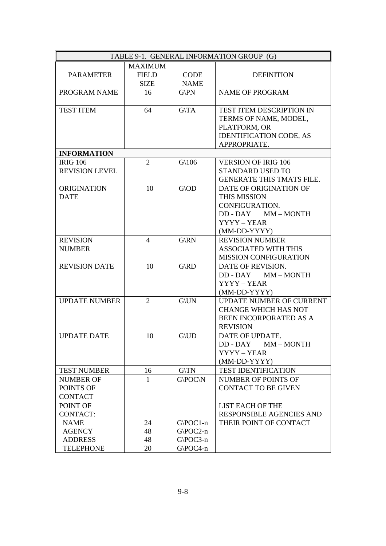| TABLE 9-1. GENERAL INFORMATION GROUP (G) |                          |                              |                                |  |
|------------------------------------------|--------------------------|------------------------------|--------------------------------|--|
|                                          | <b>MAXIMUM</b>           |                              |                                |  |
| <b>PARAMETER</b>                         | <b>FIELD</b>             | <b>CODE</b>                  | <b>DEFINITION</b>              |  |
|                                          | <b>SIZE</b>              | <b>NAME</b>                  |                                |  |
| PROGRAM NAME                             | 16                       | $G\backslash PN$             | <b>NAME OF PROGRAM</b>         |  |
|                                          |                          |                              |                                |  |
| <b>TEST ITEM</b>                         | 64                       | $G\backslash TA$             | TEST ITEM DESCRIPTION IN       |  |
|                                          |                          |                              | TERMS OF NAME, MODEL,          |  |
|                                          |                          |                              | PLATFORM, OR                   |  |
|                                          |                          |                              | <b>IDENTIFICATION CODE, AS</b> |  |
|                                          |                          |                              | APPROPRIATE.                   |  |
| <b>INFORMATION</b>                       |                          |                              |                                |  |
| <b>IRIG 106</b>                          | $\overline{2}$           | $G\backslash 106$            | <b>VERSION OF IRIG 106</b>     |  |
| <b>REVISION LEVEL</b>                    |                          |                              | STANDARD USED TO               |  |
|                                          |                          |                              | GENERATE THIS TMATS FILE.      |  |
| <b>ORIGINATION</b>                       | 10                       | $G \backslash OD$            | DATE OF ORIGINATION OF         |  |
| <b>DATE</b>                              |                          |                              | THIS MISSION                   |  |
|                                          |                          |                              | CONFIGURATION.                 |  |
|                                          |                          |                              | $DD - DAY$<br>MM – MONTH       |  |
|                                          |                          |                              | YYYY - YEAR                    |  |
|                                          |                          |                              | (MM-DD-YYYY)                   |  |
| <b>REVISION</b>                          | $\overline{\mathcal{A}}$ | $G\backslash RN$             | <b>REVISION NUMBER</b>         |  |
| <b>NUMBER</b>                            |                          |                              | <b>ASSOCIATED WITH THIS</b>    |  |
|                                          |                          |                              | MISSION CONFIGURATION          |  |
| <b>REVISION DATE</b>                     | 10                       | G RD                         | DATE OF REVISION.              |  |
|                                          |                          |                              | DD - DAY MM - MONTH            |  |
|                                          |                          |                              | YYYY - YEAR                    |  |
|                                          |                          |                              | (MM-DD-YYYY)                   |  |
| <b>UPDATE NUMBER</b>                     | $\overline{2}$           | $G$ <sub>V</sub> $N$         | UPDATE NUMBER OF CURRENT       |  |
|                                          |                          |                              | <b>CHANGE WHICH HAS NOT</b>    |  |
|                                          |                          |                              | BEEN INCORPORATED AS A         |  |
|                                          |                          |                              | <b>REVISION</b>                |  |
| <b>UPDATE DATE</b>                       | 10                       | ${\rm G}\backslash {\rm UD}$ | DATE OF UPDATE.                |  |
|                                          |                          |                              | DD - DAY<br>$MM - MONTH$       |  |
|                                          |                          |                              | YYYY - YEAR                    |  |
|                                          |                          |                              | (MM-DD-YYYY)                   |  |
| <b>TEST NUMBER</b>                       | 16                       | G/TN                         | <b>TEST IDENTIFICATION</b>     |  |
| <b>NUMBER OF</b>                         | 1                        | G\POC\N                      | NUMBER OF POINTS OF            |  |
| POINTS OF                                |                          |                              | <b>CONTACT TO BE GIVEN</b>     |  |
| <b>CONTACT</b>                           |                          |                              |                                |  |
| POINT OF                                 |                          |                              | LIST EACH OF THE               |  |
| <b>CONTACT:</b>                          |                          |                              | RESPONSIBLE AGENCIES AND       |  |
| <b>NAME</b>                              | 24                       | $G\left($ POC1-n             | THEIR POINT OF CONTACT         |  |
| <b>AGENCY</b>                            | 48                       | $G\left(POC2-n\right)$       |                                |  |
| <b>ADDRESS</b>                           | 48                       | $G\$ {POC3-n}                |                                |  |
| <b>TELEPHONE</b>                         | 20                       | $G\$ {POC4-n}                |                                |  |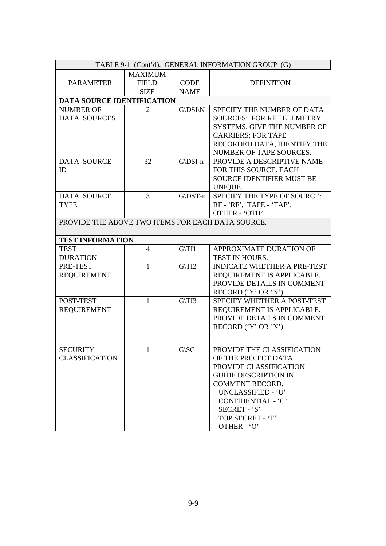| TABLE 9-1 (Cont'd). GENERAL INFORMATION GROUP (G) |                |                     |                                    |  |  |
|---------------------------------------------------|----------------|---------------------|------------------------------------|--|--|
| <b>MAXIMUM</b>                                    |                |                     |                                    |  |  |
| <b>PARAMETER</b>                                  | <b>FIELD</b>   | <b>CODE</b>         | <b>DEFINITION</b>                  |  |  |
|                                                   | <b>SIZE</b>    | <b>NAME</b>         |                                    |  |  |
| <b>DATA SOURCE IDENTIFICATION</b>                 |                |                     |                                    |  |  |
| <b>NUMBER OF</b>                                  | $\overline{2}$ | G\DSI\N             | SPECIFY THE NUMBER OF DATA         |  |  |
| <b>DATA SOURCES</b>                               |                |                     | <b>SOURCES: FOR RF TELEMETRY</b>   |  |  |
|                                                   |                |                     | SYSTEMS, GIVE THE NUMBER OF        |  |  |
|                                                   |                |                     | <b>CARRIERS; FOR TAPE</b>          |  |  |
|                                                   |                |                     | RECORDED DATA, IDENTIFY THE        |  |  |
|                                                   |                |                     | NUMBER OF TAPE SOURCES.            |  |  |
| <b>DATA SOURCE</b>                                | 32             | $G\backslash DSI-n$ | PROVIDE A DESCRIPTIVE NAME         |  |  |
| ID                                                |                |                     | FOR THIS SOURCE. EACH              |  |  |
|                                                   |                |                     | <b>SOURCE IDENTIFIER MUST BE</b>   |  |  |
|                                                   |                |                     | UNIQUE.                            |  |  |
| <b>DATA SOURCE</b>                                | $\overline{3}$ | $G\backslash$ DST-n | SPECIFY THE TYPE OF SOURCE:        |  |  |
| <b>TYPE</b>                                       |                |                     | RF - 'RF', TAPE - 'TAP',           |  |  |
|                                                   |                |                     | OTHER - 'OTH'.                     |  |  |
| PROVIDE THE ABOVE TWO ITEMS FOR EACH DATA SOURCE. |                |                     |                                    |  |  |
| <b>TEST INFORMATION</b>                           |                |                     |                                    |  |  |
| <b>TEST</b>                                       | $\overline{4}$ | $G\setminus T11$    | APPROXIMATE DURATION OF            |  |  |
| <b>DURATION</b>                                   |                |                     | TEST IN HOURS.                     |  |  |
| PRE-TEST                                          | 1              | $G\$ 12             | <b>INDICATE WHETHER A PRE-TEST</b> |  |  |
| <b>REQUIREMENT</b>                                |                |                     | REQUIREMENT IS APPLICABLE.         |  |  |
|                                                   |                |                     | PROVIDE DETAILS IN COMMENT         |  |  |
|                                                   |                |                     | RECORD ('Y' OR 'N')                |  |  |
| POST-TEST                                         | $\mathbf{1}$   | $G\$ 13             | SPECIFY WHETHER A POST-TEST        |  |  |
| <b>REQUIREMENT</b>                                |                |                     | REQUIREMENT IS APPLICABLE.         |  |  |
|                                                   |                |                     | PROVIDE DETAILS IN COMMENT         |  |  |
|                                                   |                |                     | RECORD ('Y' OR 'N').               |  |  |
|                                                   |                |                     |                                    |  |  |
| <b>SECURITY</b>                                   | $\mathbf{1}$   | G\SC                | PROVIDE THE CLASSIFICATION         |  |  |
| <b>CLASSIFICATION</b>                             |                |                     | OF THE PROJECT DATA.               |  |  |
|                                                   |                |                     | PROVIDE CLASSIFICATION             |  |  |
|                                                   |                |                     | <b>GUIDE DESCRIPTION IN</b>        |  |  |
|                                                   |                |                     | <b>COMMENT RECORD.</b>             |  |  |
|                                                   |                |                     | UNCLASSIFIED - 'U'                 |  |  |
|                                                   |                |                     | CONFIDENTIAL - 'C'                 |  |  |
|                                                   |                |                     | SECRET - 'S'                       |  |  |
|                                                   |                |                     | TOP SECRET - 'T'                   |  |  |
|                                                   |                |                     | OTHER - 'O'                        |  |  |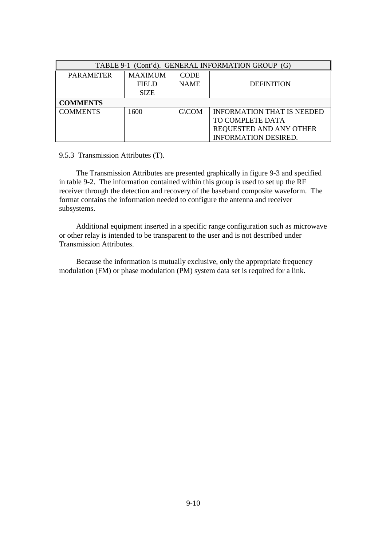| TABLE 9-1 (Cont'd). GENERAL INFORMATION GROUP (G) |                |              |                                   |  |  |
|---------------------------------------------------|----------------|--------------|-----------------------------------|--|--|
| <b>PARAMETER</b>                                  | <b>MAXIMUM</b> | <b>CODE</b>  |                                   |  |  |
|                                                   | <b>FIELD</b>   | <b>NAME</b>  | <b>DEFINITION</b>                 |  |  |
|                                                   | <b>SIZE</b>    |              |                                   |  |  |
| <b>COMMENTS</b>                                   |                |              |                                   |  |  |
| <b>COMMENTS</b>                                   | 1600           | <b>G\COM</b> | <b>INFORMATION THAT IS NEEDED</b> |  |  |
|                                                   |                |              | TO COMPLETE DATA                  |  |  |
|                                                   |                |              | REQUESTED AND ANY OTHER           |  |  |
|                                                   |                |              | <b>INFORMATION DESIRED.</b>       |  |  |

## 9.5.3 Transmission Attributes (T).

 The Transmission Attributes are presented graphically in figure 9-3 and specified in table 9-2. The information contained within this group is used to set up the RF receiver through the detection and recovery of the baseband composite waveform. The format contains the information needed to configure the antenna and receiver subsystems.

 Additional equipment inserted in a specific range configuration such as microwave or other relay is intended to be transparent to the user and is not described under Transmission Attributes.

 Because the information is mutually exclusive, only the appropriate frequency modulation (FM) or phase modulation (PM) system data set is required for a link.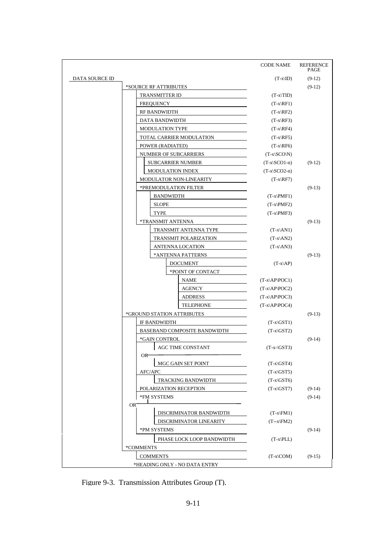|                               |                 |                            |                                | <b>CODE NAME</b>           | <b>REFERENCE</b><br>PAGE |
|-------------------------------|-----------------|----------------------------|--------------------------------|----------------------------|--------------------------|
| DATA SOURCE ID                |                 |                            |                                | $(T-x ID)$                 | $(9-12)$                 |
|                               |                 | *SOURCE RF ATTRIBUTES      |                                |                            | $(9-12)$                 |
|                               |                 | TRANSMITTER ID             |                                | $(T-x\TID)$                |                          |
|                               |                 | <b>FREQUENCY</b>           |                                | $(T-x)RF1)$                |                          |
|                               |                 | <b>RF BANDWIDTH</b>        |                                | $(T-x)$ <sub>RF2</sub> $)$ |                          |
|                               |                 | DATA BANDWIDTH             |                                | $(T-x)RF3$                 |                          |
|                               |                 | <b>MODULATION TYPE</b>     |                                | $(T-x)RF4$                 |                          |
|                               |                 | TOTAL CARRIER MODULATION   |                                | $(T-x)$ RF5)               |                          |
|                               |                 | POWER (RADIATED)           |                                | $(T-x)$ RF6                |                          |
|                               |                 |                            | NUMBER OF SUBCARRIERS          | $(T-x SCO N)$              |                          |
|                               |                 |                            | <b>SUBCARRIER NUMBER</b>       | $(T-x SCO1-n)$             | $(9-12)$                 |
|                               |                 |                            | <b>MODULATION INDEX</b>        | $(T-x)SCO2-n)$             |                          |
|                               |                 |                            | <b>MODULATOR NON-LINEARITY</b> | $(T-x)$ RF7)               |                          |
|                               |                 |                            | *PREMODULATION FILTER          |                            | $(9-13)$                 |
|                               |                 |                            | <b>BANDWIDTH</b>               | $(T-x)$ PMF1)              |                          |
|                               |                 | <b>SLOPE</b>               |                                | $(T-x)$ PMF2)              |                          |
|                               |                 | <b>TYPE</b>                |                                | $(T-x)$ PMF3)              |                          |
|                               |                 | *TRANSMIT ANTENNA          |                                |                            | $(9-13)$                 |
|                               |                 |                            | TRANSMIT ANTENNA TYPE          | $(T-x AN1)$                |                          |
|                               |                 |                            | TRANSMIT POLARIZATION          | $(T-x AN2)$                |                          |
|                               |                 |                            | ANTENNA LOCATION               | $(T-x AN3)$                |                          |
|                               |                 |                            | *ANTENNA PATTERNS              |                            | $(9-13)$                 |
|                               |                 | <b>DOCUMENT</b>            |                                | $(T-x\AP)$                 |                          |
|                               |                 |                            | *POINT OF CONTACT              |                            |                          |
|                               |                 |                            | <b>NAME</b>                    | $(T-x)AP POC1)$            |                          |
|                               |                 |                            | AGENCY                         | $(T-x)AP POC2)$            |                          |
|                               |                 |                            | <b>ADDRESS</b>                 | $(T-x)AP POC3)$            |                          |
|                               |                 |                            | <b>TELEPHONE</b>               | $(T-x)AP POC4)$            |                          |
|                               |                 | *GROUND STATION ATTRIBUTES |                                |                            | $(9-13)$                 |
|                               |                 | IF BANDWIDTH               |                                | $(T-x GST)$                |                          |
|                               |                 |                            | BASEBAND COMPOSITE BANDWIDTH   | $(T-x)$ GST2)              |                          |
|                               |                 | *GAIN CONTROL              |                                |                            | $(9-14)$                 |
|                               |                 |                            | <b>AGC TIME CONSTANT</b>       | $(T-x-\text{GST3})$        |                          |
|                               |                 | OR⊤                        |                                |                            |                          |
|                               |                 |                            | MGC GAIN SET POINT             | $(T-x)$ GST4)              |                          |
|                               |                 | AFC/APC                    |                                | $(T-x)$ GST5)              |                          |
|                               |                 |                            | TRACKING BANDWIDTH             | $(T-x)$ GST6)              |                          |
|                               |                 |                            | POLARIZATION RECEPTION         | $(T-x)$ GST7)              | $(9-14)$                 |
|                               |                 | *FM SYSTEMS                |                                |                            | $(9-14)$                 |
|                               | OR <sup>-</sup> |                            |                                |                            |                          |
|                               |                 |                            | DISCRIMINATOR BANDWIDTH        | $(T-x FM1)$                |                          |
|                               |                 |                            | DISCRIMINATOR LINEARITY        | $(T-x FM2)$                |                          |
|                               |                 | *PM SYSTEMS                |                                |                            | $(9-14)$                 |
|                               |                 |                            | PHASE LOCK LOOP BANDWIDTH      | $(T-x PLL)$                |                          |
|                               | *COMMENTS       |                            |                                |                            |                          |
|                               |                 | <b>COMMENTS</b>            |                                | $(T-x)COM$                 | $(9-15)$                 |
| *HEADING ONLY - NO DATA ENTRY |                 |                            |                                |                            |                          |

Figure 9-3. Transmission Attributes Group (T).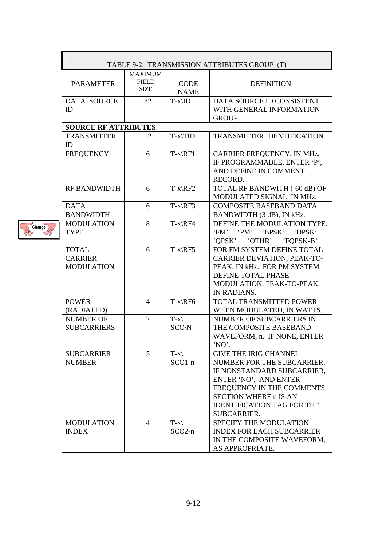| TABLE 9-2. TRANSMISSION ATTRIBUTES GROUP (T)        |                                               |                            |                                                                                                                                                                                                                                    |  |
|-----------------------------------------------------|-----------------------------------------------|----------------------------|------------------------------------------------------------------------------------------------------------------------------------------------------------------------------------------------------------------------------------|--|
| <b>PARAMETER</b>                                    | <b>MAXIMUM</b><br><b>FIELD</b><br><b>SIZE</b> | <b>CODE</b><br><b>NAME</b> | <b>DEFINITION</b>                                                                                                                                                                                                                  |  |
| <b>DATA SOURCE</b><br>ID                            | 32                                            | $T-x\$                     | DATA SOURCE ID CONSISTENT<br>WITH GENERAL INFORMATION<br>GROUP.                                                                                                                                                                    |  |
| <b>SOURCE RF ATTRIBUTES</b>                         |                                               |                            |                                                                                                                                                                                                                                    |  |
| <b>TRANSMITTER</b><br>ID                            | 12                                            | $T-x\$                     | <b>TRANSMITTER IDENTIFICATION</b>                                                                                                                                                                                                  |  |
| <b>FREQUENCY</b>                                    | 6                                             | $T-x\$                     | CARRIER FREQUENCY, IN MHz.<br>IF PROGRAMMABLE, ENTER 'P',<br>AND DEFINE IN COMMENT<br>RECORD.                                                                                                                                      |  |
| <b>RF BANDWIDTH</b>                                 | 6                                             | $T-x\$                     | TOTAL RF BANDWITH (-60 dB) OF<br>MODULATED SIGNAL, IN MHz.                                                                                                                                                                         |  |
| <b>DATA</b><br><b>BANDWIDTH</b>                     | 6                                             | $T-x\RF3$                  | <b>COMPOSITE BASEBAND DATA</b><br>BANDWIDTH (3 dB), IN kHz.                                                                                                                                                                        |  |
| <b>MODULATION</b><br><b>TYPE</b>                    | 8                                             | $T-x\$                     | DEFINE THE MODULATION TYPE:<br>$^{\circ}$ PM'<br>'BPSK'<br>'FM'<br>'DPSK'<br><b>OPSK</b><br>'OTHR'<br>'FQPSK-B'                                                                                                                    |  |
| <b>TOTAL</b><br><b>CARRIER</b><br><b>MODULATION</b> | 6                                             | $T-x\RF5$                  | FOR FM SYSTEM DEFINE TOTAL<br><b>CARRIER DEVIATION, PEAK-TO-</b><br>PEAK, IN kHz. FOR PM SYSTEM<br>DEFINE TOTAL PHASE<br>MODULATION, PEAK-TO-PEAK,<br>IN RADIANS.                                                                  |  |
| <b>POWER</b><br>(RADIATED)                          | $\overline{4}$                                | $T-x\$                     | TOTAL TRANSMITTED POWER<br>WHEN MODULATED, IN WATTS.                                                                                                                                                                               |  |
| <b>NUMBER OF</b><br><b>SUBCARRIERS</b>              | $\overline{2}$                                | $T-x\$<br><b>SCO\N</b>     | NUMBER OF SUBCARRIERS IN<br>THE COMPOSITE BASEBAND<br>WAVEFORM, n. IF NONE, ENTER<br>'NO'.                                                                                                                                         |  |
| <b>SUBCARRIER</b><br><b>NUMBER</b>                  | 5                                             | $T-x\$<br>$SCO1-n$         | <b>GIVE THE IRIG CHANNEL</b><br>NUMBER FOR THE SUBCARRIER.<br>IF NONSTANDARD SUBCARRIER,<br>ENTER 'NO', AND ENTER<br>FREQUENCY IN THE COMMENTS<br><b>SECTION WHERE n IS AN</b><br><b>IDENTIFICATION TAG FOR THE</b><br>SUBCARRIER. |  |
| <b>MODULATION</b><br><b>INDEX</b>                   | 4                                             | $T-x$<br>$SCO2-n$          | SPECIFY THE MODULATION<br><b>INDEX FOR EACH SUBCARRIER</b><br>IN THE COMPOSITE WAVEFORM,<br>AS APPROPRIATE.                                                                                                                        |  |

Change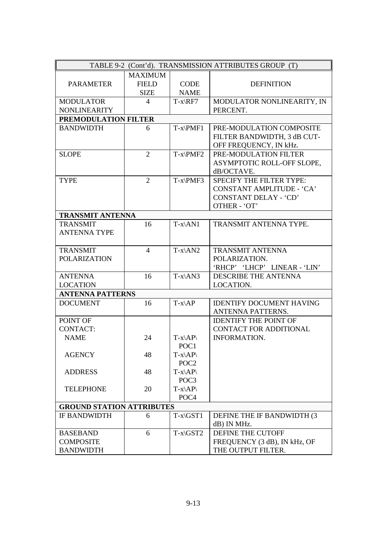| TABLE 9-2 (Cont'd). TRANSMISSION ATTRIBUTES GROUP (T) |                |                       |                                 |
|-------------------------------------------------------|----------------|-----------------------|---------------------------------|
|                                                       | <b>MAXIMUM</b> |                       |                                 |
| <b>PARAMETER</b>                                      | <b>FIELD</b>   | <b>CODE</b>           | <b>DEFINITION</b>               |
|                                                       | <b>SIZE</b>    | <b>NAME</b>           |                                 |
| <b>MODULATOR</b>                                      | $\overline{4}$ | $T-x\RF7$             | MODULATOR NONLINEARITY, IN      |
| <b>NONLINEARITY</b>                                   |                |                       | PERCENT.                        |
| PREMODULATION FILTER                                  |                |                       |                                 |
| <b>BANDWIDTH</b>                                      | 6              | $T-x\$ PMF1           | PRE-MODULATION COMPOSITE        |
|                                                       |                |                       | FILTER BANDWIDTH, 3 dB CUT-     |
|                                                       |                |                       | OFF FREQUENCY, IN kHz.          |
| <b>SLOPE</b>                                          | $\overline{2}$ | $T-x\$ PMF2           | PRE-MODULATION FILTER           |
|                                                       |                |                       | ASYMPTOTIC ROLL-OFF SLOPE,      |
|                                                       |                |                       | dB/OCTAVE.                      |
| <b>TYPE</b>                                           | $\overline{2}$ | $T-x\$ PMF3           | SPECIFY THE FILTER TYPE:        |
|                                                       |                |                       | CONSTANT AMPLITUDE - 'CA'       |
|                                                       |                |                       | CONSTANT DELAY - 'CD'           |
|                                                       |                |                       | OTHER - 'OT'                    |
| <b>TRANSMIT ANTENNA</b>                               |                |                       |                                 |
| <b>TRANSMIT</b>                                       | 16             | $T-x\$ ANI            | TRANSMIT ANTENNA TYPE.          |
| <b>ANTENNA TYPE</b>                                   |                |                       |                                 |
|                                                       |                |                       |                                 |
| <b>TRANSMIT</b>                                       | $\overline{4}$ | $T-x\$ AN2            | <b>TRANSMIT ANTENNA</b>         |
| <b>POLARIZATION</b>                                   |                |                       | POLARIZATION.                   |
|                                                       |                |                       | 'RHCP' 'LHCP' LINEAR - 'LIN'    |
| <b>ANTENNA</b>                                        | 16             | $T-x\$ <sup>AN3</sup> | <b>DESCRIBE THE ANTENNA</b>     |
| <b>LOCATION</b>                                       |                |                       | LOCATION.                       |
| <b>ANTENNA PATTERNS</b>                               |                |                       |                                 |
| <b>DOCUMENT</b>                                       | 16             | $T-x\A P$             | <b>IDENTIFY DOCUMENT HAVING</b> |
|                                                       |                |                       | ANTENNA PATTERNS.               |
| POINT OF                                              |                |                       | <b>IDENTIFY THE POINT OF</b>    |
| <b>CONTACT:</b>                                       |                |                       | <b>CONTACT FOR ADDITIONAL</b>   |
| <b>NAME</b>                                           | 24             | $T-x\$                | <b>INFORMATION.</b>             |
|                                                       |                | POC1                  |                                 |
| <b>AGENCY</b>                                         | 48             | $T-x\$                |                                 |
|                                                       |                | POC <sub>2</sub>      |                                 |
| <b>ADDRESS</b>                                        | 48             | $T-x\$                |                                 |
|                                                       |                | POC <sub>3</sub>      |                                 |
| <b>TELEPHONE</b>                                      | 20             | $T-x\$                |                                 |
|                                                       |                | POC <sub>4</sub>      |                                 |
| <b>GROUND STATION ATTRIBUTES</b>                      |                |                       |                                 |
| <b>IF BANDWIDTH</b>                                   | 6              | $T-x\GST1$            | DEFINE THE IF BANDWIDTH (3)     |
|                                                       |                |                       | dB) IN MHz.                     |
| <b>BASEBAND</b>                                       | 6              | $T-x\GST2$            | <b>DEFINE THE CUTOFF</b>        |
| <b>COMPOSITE</b>                                      |                |                       | FREQUENCY (3 dB), IN kHz, OF    |
| <b>BANDWIDTH</b>                                      |                |                       | THE OUTPUT FILTER.              |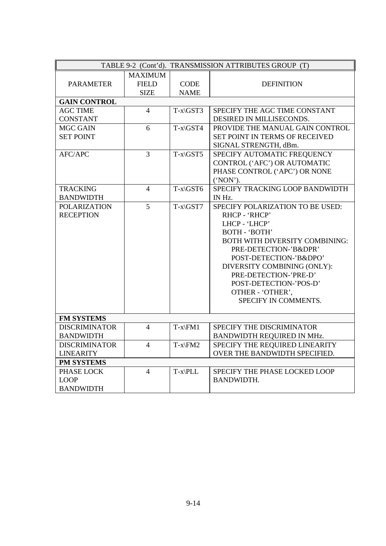| TABLE 9-2 (Cont'd). TRANSMISSION ATTRIBUTES GROUP (T) |                |             |                                       |
|-------------------------------------------------------|----------------|-------------|---------------------------------------|
|                                                       | <b>MAXIMUM</b> |             |                                       |
| <b>PARAMETER</b>                                      | <b>FIELD</b>   | <b>CODE</b> | <b>DEFINITION</b>                     |
|                                                       | <b>SIZE</b>    | <b>NAME</b> |                                       |
| <b>GAIN CONTROL</b>                                   |                |             |                                       |
| <b>AGC TIME</b>                                       | $\overline{4}$ | $T-x\GST3$  | SPECIFY THE AGC TIME CONSTANT         |
| <b>CONSTANT</b>                                       |                |             | DESIRED IN MILLISECONDS.              |
| MGC GAIN                                              | 6              | $T-x\GST4$  | PROVIDE THE MANUAL GAIN CONTROL       |
| <b>SET POINT</b>                                      |                |             | SET POINT IN TERMS OF RECEIVED        |
|                                                       |                |             | SIGNAL STRENGTH, dBm.                 |
| <b>AFC/APC</b>                                        | $\overline{3}$ | $T-x\GST5$  | SPECIFY AUTOMATIC FREQUENCY           |
|                                                       |                |             | CONTROL ('AFC') OR AUTOMATIC          |
|                                                       |                |             | PHASE CONTROL ('APC') OR NONE         |
|                                                       |                |             | ('NON').                              |
| <b>TRACKING</b>                                       | $\overline{4}$ | $T-x\GST6$  | SPECIFY TRACKING LOOP BANDWIDTH       |
| <b>BANDWIDTH</b>                                      |                |             | IN Hz.                                |
| <b>POLARIZATION</b>                                   | 5              | $T-x\GST7$  | SPECIFY POLARIZATION TO BE USED:      |
| <b>RECEPTION</b>                                      |                |             | RHCP - 'RHCP'                         |
|                                                       |                |             | LHCP - 'LHCP'                         |
|                                                       |                |             | BOTH - 'BOTH'                         |
|                                                       |                |             | <b>BOTH WITH DIVERSITY COMBINING:</b> |
|                                                       |                |             | PRE-DETECTION-'B&DPR'                 |
|                                                       |                |             | POST-DETECTION-'B&DPO'                |
|                                                       |                |             | DIVERSITY COMBINING (ONLY):           |
|                                                       |                |             | PRE-DETECTION-'PRE-D'                 |
|                                                       |                |             | POST-DETECTION-'POS-D'                |
|                                                       |                |             | OTHER - 'OTHER',                      |
|                                                       |                |             | SPECIFY IN COMMENTS.                  |
|                                                       |                |             |                                       |
| <b>FM SYSTEMS</b>                                     |                |             |                                       |
| <b>DISCRIMINATOR</b>                                  | $\overline{4}$ | $T-x\$ FM1  | SPECIFY THE DISCRIMINATOR             |
| <b>BANDWIDTH</b>                                      |                |             | BANDWIDTH REQUIRED IN MHz.            |
| <b>DISCRIMINATOR</b>                                  | $\overline{4}$ | $T-x\$      | SPECIFY THE REQUIRED LINEARITY        |
| <b>LINEARITY</b>                                      |                |             | OVER THE BANDWIDTH SPECIFIED.         |
| <b>PM SYSTEMS</b>                                     |                |             |                                       |
| PHASE LOCK                                            | $\overline{4}$ | $T-x\$ PLL  | SPECIFY THE PHASE LOCKED LOOP         |
| <b>LOOP</b>                                           |                |             | <b>BANDWIDTH.</b>                     |
| <b>BANDWIDTH</b>                                      |                |             |                                       |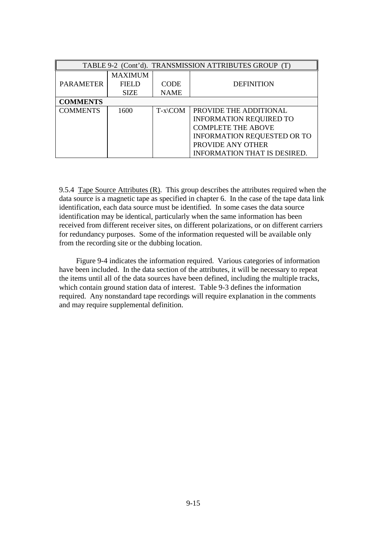| TABLE 9-2 (Cont'd). TRANSMISSION ATTRIBUTES GROUP (T) |                |                        |                                     |  |  |
|-------------------------------------------------------|----------------|------------------------|-------------------------------------|--|--|
|                                                       | <b>MAXIMUM</b> |                        |                                     |  |  |
| <b>PARAMETER</b>                                      | <b>FIELD</b>   | <b>CODE</b>            | <b>DEFINITION</b>                   |  |  |
|                                                       | <b>SIZE</b>    | <b>NAME</b>            |                                     |  |  |
| <b>COMMENTS</b>                                       |                |                        |                                     |  |  |
| <b>COMMENTS</b>                                       | 1600           | $T-x\$ complement{COM} | PROVIDE THE ADDITIONAL              |  |  |
|                                                       |                |                        | <b>INFORMATION REQUIRED TO</b>      |  |  |
|                                                       |                |                        | <b>COMPLETE THE ABOVE</b>           |  |  |
|                                                       |                |                        | <b>INFORMATION REQUESTED OR TO</b>  |  |  |
|                                                       |                |                        | PROVIDE ANY OTHER                   |  |  |
|                                                       |                |                        | <b>INFORMATION THAT IS DESIRED.</b> |  |  |

9.5.4 Tape Source Attributes  $(R)$ . This group describes the attributes required when the data source is a magnetic tape as specified in chapter 6. In the case of the tape data link identification, each data source must be identified. In some cases the data source identification may be identical, particularly when the same information has been received from different receiver sites, on different polarizations, or on different carriers for redundancy purposes. Some of the information requested will be available only from the recording site or the dubbing location.

 Figure 9-4 indicates the information required. Various categories of information have been included. In the data section of the attributes, it will be necessary to repeat the items until all of the data sources have been defined, including the multiple tracks, which contain ground station data of interest. Table 9-3 defines the information required. Any nonstandard tape recordings will require explanation in the comments and may require supplemental definition.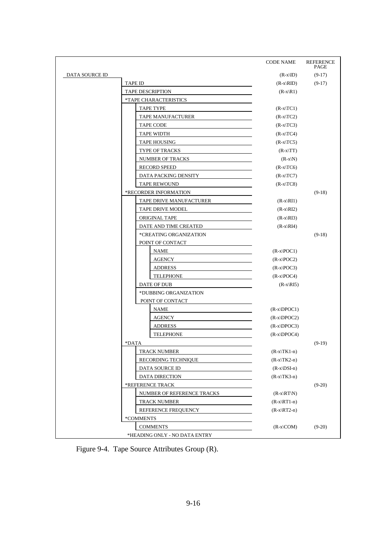|                       |                               | <b>CODE NAME</b> | <b>REFERENCE</b><br><b>PAGE</b> |
|-----------------------|-------------------------------|------------------|---------------------------------|
| <b>DATA SOURCE ID</b> |                               | $(R-x ID)$       | $(9-17)$                        |
|                       | <b>TAPE ID</b>                | $(R-x RID)$      | $(9-17)$                        |
|                       | <b>TAPE DESCRIPTION</b>       | $(R-x R1)$       |                                 |
|                       | *TAPE CHARACTERISTICS         |                  |                                 |
|                       | <b>TAPE TYPE</b>              | $(R-x TC1)$      |                                 |
|                       | TAPE MANUFACTURER             | $(R-x TC2)$      |                                 |
|                       | <b>TAPE CODE</b>              | $(R-x TC3)$      |                                 |
|                       | <b>TAPE WIDTH</b>             | $(R-x TC4)$      |                                 |
|                       | <b>TAPE HOUSING</b>           | $(R-x TC5)$      |                                 |
|                       | <b>TYPE OF TRACKS</b>         | $(R-x TT)$       |                                 |
|                       | NUMBER OF TRACKS              | $(R-x N)$        |                                 |
|                       | <b>RECORD SPEED</b>           | $(R-x TC6)$      |                                 |
|                       | DATA PACKING DENSITY          | $(R-x TC7)$      |                                 |
|                       | <b>TAPE REWOUND</b>           | $(R-x TC8)$      |                                 |
|                       | *RECORDER INFORMATION         |                  | $(9-18)$                        |
|                       | TAPE DRIVE MANUFACTURER       | $(R-x)$ RI1      |                                 |
|                       | TAPE DRIVE MODEL              | $(R-x)RI2$       |                                 |
|                       | ORIGINAL TAPE                 | $(R-x)RI3$       |                                 |
|                       | DATE AND TIME CREATED         | $(R-x)RI4$       |                                 |
|                       | *CREATING ORGANIZATION        |                  | $(9-18)$                        |
|                       | POINT OF CONTACT              |                  |                                 |
|                       | <b>NAME</b>                   | $(R-x POC1)$     |                                 |
|                       | <b>AGENCY</b>                 | $(R-x POC2)$     |                                 |
|                       | <b>ADDRESS</b>                | $(R-x POC3)$     |                                 |
|                       | <b>TELEPHONE</b>              | $(R-x POC4)$     |                                 |
|                       | DATE OF DUB                   | $(R-x)RI5$       |                                 |
|                       | *DUBBING ORGANIZATION         |                  |                                 |
|                       | POINT OF CONTACT              |                  |                                 |
|                       | <b>NAME</b>                   | $(R-x\DPOC1)$    |                                 |
|                       | <b>AGENCY</b>                 | $(R-x\DPOC2)$    |                                 |
|                       | <b>ADDRESS</b>                | $(R-x\DPOC3)$    |                                 |
|                       | <b>TELEPHONE</b>              | $(R-x)DPOC4$     |                                 |
|                       | *DATA                         |                  | $(9-19)$                        |
|                       | <b>TRACK NUMBER</b>           | $(R-x TK1-n)$    |                                 |
|                       | RECORDING TECHNIQUE           | $(R-x TK2-n)$    |                                 |
|                       | DATA SOURCE ID                | $(R-x DSI-n)$    |                                 |
|                       | DATA DIRECTION                | $(R-x TK3-n)$    |                                 |
|                       | *REFERENCE TRACK              |                  | $(9-20)$                        |
|                       | NUMBER OF REFERENCE TRACKS    | $(R-x)RT(N)$     |                                 |
|                       | TRACK NUMBER                  | $(R-x\RT1-n)$    |                                 |
|                       | REFERENCE FREQUENCY           | $(R-x)RT2-n$     |                                 |
|                       | *COMMENTS                     |                  |                                 |
|                       | <b>COMMENTS</b>               | $(R-x)COM$       | $(9-20)$                        |
|                       | *HEADING ONLY - NO DATA ENTRY |                  |                                 |

Figure 9-4. Tape Source Attributes Group (R).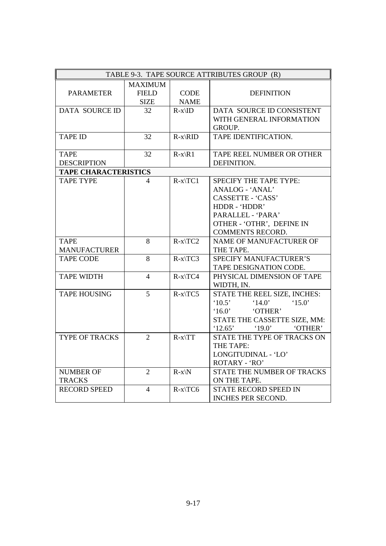| TABLE 9-3. TAPE SOURCE ATTRIBUTES GROUP (R)     |                |                   |                                                                    |
|-------------------------------------------------|----------------|-------------------|--------------------------------------------------------------------|
|                                                 | <b>MAXIMUM</b> |                   |                                                                    |
| <b>PARAMETER</b>                                | <b>FIELD</b>   | <b>CODE</b>       | <b>DEFINITION</b>                                                  |
|                                                 | <b>SIZE</b>    | <b>NAME</b>       |                                                                    |
| <b>DATA SOURCE ID</b>                           | 32             | $R-x\$            | DATA SOURCE ID CONSISTENT                                          |
|                                                 |                |                   | WITH GENERAL INFORMATION                                           |
|                                                 |                |                   | GROUP.                                                             |
| <b>TAPE ID</b>                                  | 32             | $R-x\RID$         | TAPE IDENTIFICATION.                                               |
|                                                 |                |                   |                                                                    |
| <b>TAPE</b>                                     | 32             | $R-x\$ 1          | TAPE REEL NUMBER OR OTHER                                          |
| <b>DESCRIPTION</b>                              |                |                   | DEFINITION.                                                        |
| <b>TAPE CHARACTERISTICS</b><br><b>TAPE TYPE</b> | 4              | $R-x\$ {TC1}      | SPECIFY THE TAPE TYPE:                                             |
|                                                 |                |                   | ANALOG - 'ANAL'                                                    |
|                                                 |                |                   | CASSETTE - 'CASS'                                                  |
|                                                 |                |                   | HDDR - 'HDDR'                                                      |
|                                                 |                |                   | PARALLEL - 'PARA'                                                  |
|                                                 |                |                   | OTHER - 'OTHR', DEFINE IN                                          |
|                                                 |                |                   | <b>COMMENTS RECORD.</b>                                            |
| <b>TAPE</b>                                     | 8              | $R-x\$ {TC2}      | NAME OF MANUFACTURER OF                                            |
| <b>MANUFACTURER</b>                             |                |                   | THE TAPE.                                                          |
| <b>TAPE CODE</b>                                | 8              | $R-x$ $TC3$       | <b>SPECIFY MANUFACTURER'S</b>                                      |
|                                                 |                |                   | TAPE DESIGNATION CODE.                                             |
| <b>TAPE WIDTH</b>                               | $\overline{4}$ | $R-x\$ TCA        | PHYSICAL DIMENSION OF TAPE                                         |
|                                                 |                |                   | WIDTH, IN.                                                         |
| <b>TAPE HOUSING</b>                             | 5              | $R-x\$ TCS        | STATE THE REEL SIZE, INCHES:                                       |
|                                                 |                |                   | $^{\circ}10.5$<br>$^{\circ}14.0^{\circ}$<br>$^{\circ}15.0^{\circ}$ |
|                                                 |                |                   | 16.0'<br>'OTHER'                                                   |
|                                                 |                |                   | STATE THE CASSETTE SIZE, MM:                                       |
|                                                 |                |                   | '19.0'<br>'12.65'<br>'OTHER'                                       |
| <b>TYPE OF TRACKS</b>                           | $\overline{2}$ | $R-x\$ TT         | STATE THE TYPE OF TRACKS ON                                        |
|                                                 |                |                   | THE TAPE:                                                          |
|                                                 |                |                   | LONGITUDINAL - 'LO'                                                |
|                                                 |                |                   | ROTARY - 'RO'                                                      |
| <b>NUMBER OF</b>                                | $\overline{2}$ | $R-x\backslash N$ | STATE THE NUMBER OF TRACKS                                         |
| <b>TRACKS</b>                                   |                |                   | ON THE TAPE.                                                       |
| <b>RECORD SPEED</b>                             | $\overline{4}$ | $R-x$ $TC6$       | STATE RECORD SPEED IN                                              |
|                                                 |                |                   | INCHES PER SECOND.                                                 |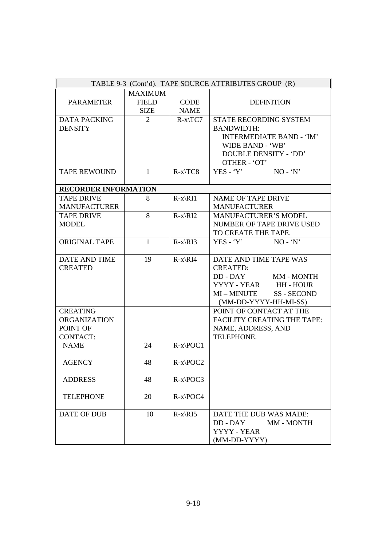| TABLE 9-3 (Cont'd). TAPE SOURCE ATTRIBUTES GROUP (R) |                |               |                                           |  |
|------------------------------------------------------|----------------|---------------|-------------------------------------------|--|
|                                                      | <b>MAXIMUM</b> |               |                                           |  |
| <b>PARAMETER</b>                                     | <b>FIELD</b>   | <b>CODE</b>   | <b>DEFINITION</b>                         |  |
|                                                      | <b>SIZE</b>    | <b>NAME</b>   |                                           |  |
| <b>DATA PACKING</b>                                  | $\overline{2}$ | $R-x\$ T C7   | STATE RECORDING SYSTEM                    |  |
| <b>DENSITY</b>                                       |                |               | <b>BANDWIDTH:</b>                         |  |
|                                                      |                |               | <b>INTERMEDIATE BAND - 'IM'</b>           |  |
|                                                      |                |               | WIDE BAND - 'WB'                          |  |
|                                                      |                |               | <b>DOUBLE DENSITY - 'DD'</b>              |  |
|                                                      |                |               | OTHER - 'OT'                              |  |
| <b>TAPE REWOUND</b>                                  | $\mathbf{1}$   | $R-x\$ TCS    | $NO - 'N'$<br>$YES - Y'$                  |  |
|                                                      |                |               |                                           |  |
| <b>RECORDER INFORMATION</b>                          |                |               |                                           |  |
| <b>TAPE DRIVE</b>                                    | 8              | $R-x\RI1$     | <b>NAME OF TAPE DRIVE</b>                 |  |
| <b>MANUFACTURER</b>                                  |                |               | <b>MANUFACTURER</b>                       |  |
| <b>TAPE DRIVE</b>                                    | 8              | $R-x\RI2$     | <b>MANUFACTURER'S MODEL</b>               |  |
| <b>MODEL</b>                                         |                |               | NUMBER OF TAPE DRIVE USED                 |  |
|                                                      |                |               | TO CREATE THE TAPE.                       |  |
| ORIGINAL TAPE                                        | $\mathbf{1}$   | $R-x\RI3$     | $YES - Y'$<br>$NO - 'N'$                  |  |
|                                                      |                |               |                                           |  |
| DATE AND TIME<br><b>CREATED</b>                      | 19             | $R-x\$        | DATE AND TIME TAPE WAS                    |  |
|                                                      |                |               | <b>CREATED:</b><br>DD - DAY               |  |
|                                                      |                |               | MM - MONTH                                |  |
|                                                      |                |               | YYYY - YEAR HH - HOUR<br>MI-MINUTE        |  |
|                                                      |                |               | <b>SS-SECOND</b><br>(MM-DD-YYYY-HH-MI-SS) |  |
| <b>CREATING</b>                                      |                |               | POINT OF CONTACT AT THE                   |  |
| <b>ORGANIZATION</b>                                  |                |               | <b>FACILITY CREATING THE TAPE:</b>        |  |
| POINT OF                                             |                |               |                                           |  |
| <b>CONTACT:</b>                                      |                |               | NAME, ADDRESS, AND<br>TELEPHONE.          |  |
| <b>NAME</b>                                          | 24             | $R-x POC1$    |                                           |  |
|                                                      |                |               |                                           |  |
| <b>AGENCY</b>                                        | 48             | $R-x\$ {POC2} |                                           |  |
|                                                      |                |               |                                           |  |
| <b>ADDRESS</b>                                       | 48             | $R-x\$ {POC3} |                                           |  |
| <b>TELEPHONE</b>                                     | 20             | $R-x\$ POC4   |                                           |  |
|                                                      |                |               |                                           |  |
| <b>DATE OF DUB</b>                                   | 10             | $R-x\RI5$     | DATE THE DUB WAS MADE:                    |  |
|                                                      |                |               | DD - DAY<br>MM - MONTH                    |  |
|                                                      |                |               | YYYY - YEAR                               |  |
|                                                      |                |               | (MM-DD-YYYY)                              |  |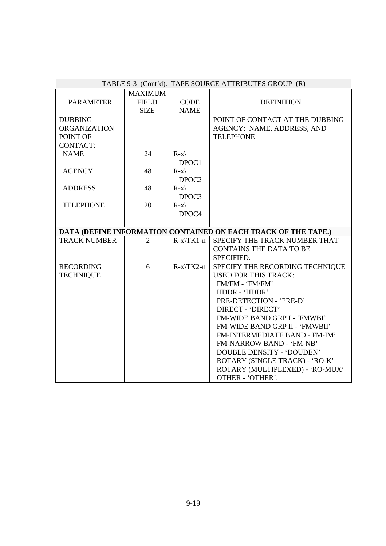|                     |                |                   | TABLE 9-3 (Cont'd). TAPE SOURCE ATTRIBUTES GROUP (R)              |
|---------------------|----------------|-------------------|-------------------------------------------------------------------|
|                     | <b>MAXIMUM</b> |                   |                                                                   |
| <b>PARAMETER</b>    | <b>FIELD</b>   | <b>CODE</b>       | <b>DEFINITION</b>                                                 |
|                     | <b>SIZE</b>    | <b>NAME</b>       |                                                                   |
| <b>DUBBING</b>      |                |                   | POINT OF CONTACT AT THE DUBBING                                   |
| <b>ORGANIZATION</b> |                |                   | AGENCY: NAME, ADDRESS, AND                                        |
| POINT OF            |                |                   | <b>TELEPHONE</b>                                                  |
| <b>CONTACT:</b>     |                |                   |                                                                   |
| <b>NAME</b>         | 24             | $R-x\$            |                                                                   |
|                     |                | DPOC1             |                                                                   |
| <b>AGENCY</b>       | 48             | $R-x\$            |                                                                   |
|                     |                | DPOC <sub>2</sub> |                                                                   |
| <b>ADDRESS</b>      | 48             | $R-x\$            |                                                                   |
|                     |                | DPOC3             |                                                                   |
| <b>TELEPHONE</b>    | 20             | $R-x\$            |                                                                   |
|                     |                | DPOC4             |                                                                   |
|                     |                |                   |                                                                   |
|                     |                |                   | DATA (DEFINE INFORMATION CONTAINED ON EACH TRACK OF THE TAPE.)    |
| <b>TRACK NUMBER</b> | $\overline{2}$ | $R-x\$ K1-n       | SPECIFY THE TRACK NUMBER THAT                                     |
|                     |                |                   | <b>CONTAINS THE DATA TO BE</b>                                    |
|                     |                |                   | SPECIFIED.                                                        |
| <b>RECORDING</b>    | 6              | $R-x$ $TK2-n$     | SPECIFY THE RECORDING TECHNIQUE                                   |
| <b>TECHNIQUE</b>    |                |                   | <b>USED FOR THIS TRACK:</b>                                       |
|                     |                |                   | FM/FM - 'FM/FM'                                                   |
|                     |                |                   | HDDR - 'HDDR'                                                     |
|                     |                |                   | PRE-DETECTION - 'PRE-D'                                           |
|                     |                |                   | <b>DIRECT - 'DIRECT'</b>                                          |
|                     |                |                   | FM-WIDE BAND GRP I - 'FMWBI'                                      |
|                     |                |                   | FM-WIDE BAND GRP II - 'FMWBII'                                    |
|                     |                |                   | FM-INTERMEDIATE BAND - FM-IM'                                     |
|                     |                |                   | FM-NARROW BAND - 'FM-NB'                                          |
|                     |                |                   | <b>DOUBLE DENSITY - 'DOUDEN'</b>                                  |
|                     |                |                   | ROTARY (SINGLE TRACK) - 'RO-K'<br>ROTARY (MULTIPLEXED) - 'RO-MUX' |
|                     |                |                   |                                                                   |
|                     |                |                   | OTHER - 'OTHER'.                                                  |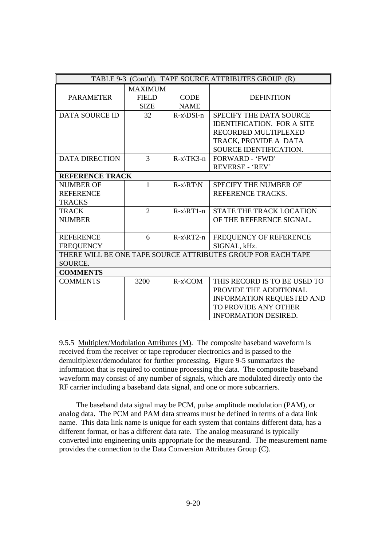| TABLE 9-3 (Cont'd). TAPE SOURCE ATTRIBUTES GROUP (R)                    |                                               |                            |                                                                                                                                                   |  |
|-------------------------------------------------------------------------|-----------------------------------------------|----------------------------|---------------------------------------------------------------------------------------------------------------------------------------------------|--|
| <b>PARAMETER</b>                                                        | <b>MAXIMUM</b><br><b>FIELD</b><br><b>SIZE</b> | <b>CODE</b><br><b>NAME</b> | <b>DEFINITION</b>                                                                                                                                 |  |
| <b>DATA SOURCE ID</b>                                                   | 32                                            | $R-x\DSI-n$                | <b>SPECIFY THE DATA SOURCE</b><br><b>IDENTIFICATION. FOR A SITE</b><br>RECORDED MULTIPLEXED<br>TRACK, PROVIDE A DATA<br>SOURCE IDENTIFICATION.    |  |
| <b>DATA DIRECTION</b>                                                   | 3                                             | $R-x\$ TK3-n               | <b>FORWARD - 'FWD'</b><br>REVERSE - 'REV'                                                                                                         |  |
| <b>REFERENCE TRACK</b>                                                  |                                               |                            |                                                                                                                                                   |  |
| <b>NUMBER OF</b><br><b>REFERENCE</b><br><b>TRACKS</b>                   | 1                                             | $R-x\RT\N$                 | SPECIFY THE NUMBER OF<br>REFERENCE TRACKS.                                                                                                        |  |
| <b>TRACK</b><br><b>NUMBER</b>                                           | $\overline{2}$                                | $R-x\RT1-n$                | <b>STATE THE TRACK LOCATION</b><br>OF THE REFERENCE SIGNAL.                                                                                       |  |
| <b>REFERENCE</b><br><b>FREQUENCY</b>                                    | 6                                             | $R-x\RT2-n$                | FREQUENCY OF REFERENCE<br>SIGNAL, kHz.                                                                                                            |  |
| THERE WILL BE ONE TAPE SOURCE ATTRIBUTES GROUP FOR EACH TAPE<br>SOURCE. |                                               |                            |                                                                                                                                                   |  |
| <b>COMMENTS</b>                                                         |                                               |                            |                                                                                                                                                   |  |
| <b>COMMENTS</b>                                                         | 3200                                          | $R-x\$ complement{COM}     | THIS RECORD IS TO BE USED TO<br>PROVIDE THE ADDITIONAL<br><b>INFORMATION REQUESTED AND</b><br>TO PROVIDE ANY OTHER<br><b>INFORMATION DESIRED.</b> |  |

9.5.5 Multiplex/Modulation Attributes (M). The composite baseband waveform is received from the receiver or tape reproducer electronics and is passed to the demultiplexer/demodulator for further processing. Figure 9-5 summarizes the information that is required to continue processing the data. The composite baseband waveform may consist of any number of signals, which are modulated directly onto the RF carrier including a baseband data signal, and one or more subcarriers.

 The baseband data signal may be PCM, pulse amplitude modulation (PAM), or analog data. The PCM and PAM data streams must be defined in terms of a data link name. This data link name is unique for each system that contains different data, has a different format, or has a different data rate. The analog measurand is typically converted into engineering units appropriate for the measurand. The measurement name provides the connection to the Data Conversion Attributes Group (C).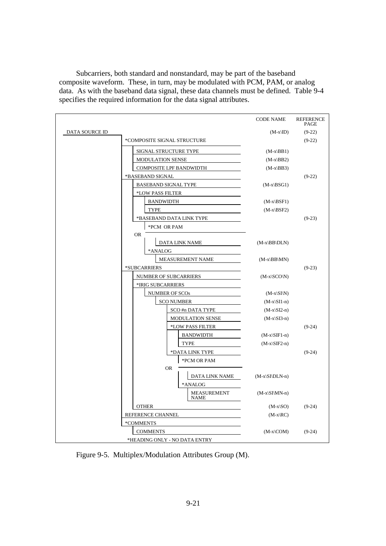| Subcarriers, both standard and nonstandard, may be part of the baseband                |
|----------------------------------------------------------------------------------------|
| composite waveform. These, in turn, may be modulated with PCM, PAM, or analog          |
| data. As with the baseband data signal, these data channels must be defined. Table 9-4 |
| specifies the required information for the data signal attributes.                     |

|                |                                    | <b>CODE NAME</b>           | <b>REFERENCE</b><br>PAGE |
|----------------|------------------------------------|----------------------------|--------------------------|
| DATA SOURCE ID |                                    | $(M-x ID)$                 | $(9-22)$                 |
|                | *COMPOSITE SIGNAL STRUCTURE        |                            | $(9-22)$                 |
|                | SIGNAL STRUCTURE TYPE              | $(M-x BB1)$                |                          |
|                | <b>MODULATION SENSE</b>            | $(M-x BB2)$                |                          |
|                | COMPOSITE LPF BANDWIDTH            | $(M-x BB3)$                |                          |
|                | *BASEBAND SIGNAL                   |                            | $(9-22)$                 |
|                | <b>BASEBAND SIGNAL TYPE</b>        | $(M-x BSG1)$               |                          |
|                | *LOW PASS FILTER                   |                            |                          |
|                | <b>BANDWIDTH</b>                   | $(M-x BSF1)$               |                          |
|                | <b>TYPE</b>                        | $(M-x BSF2)$               |                          |
|                | *BASEBAND DATA LINK TYPE           |                            | $(9-23)$                 |
|                | *PCM OR PAM                        |                            |                          |
|                | <b>OR</b>                          |                            |                          |
|                | <b>DATA LINK NAME</b>              | $(M-x\BB\DLN)$             |                          |
|                | *ANALOG<br><b>MEASUREMENT NAME</b> |                            |                          |
|                | *SUBCARRIERS                       | $(M-x\BB\M)$               | $(9-23)$                 |
|                | NUMBER OF SUBCARRIERS              | $(M-x SCO N)$              |                          |
|                | *IRIG SUBCARRIERS                  |                            |                          |
|                | <b>NUMBER OF SCOs</b>              | $(M-x\langle SI\rangle N)$ |                          |
|                | <b>SCO NUMBER</b>                  | $(M-x\ST1-n)$              |                          |
|                | SCO#n DATA TYPE                    | $(M-x\ST2-n)$              |                          |
|                | MODULATION SENSE                   | $(M-x\ S_13-n)$            |                          |
|                | *LOW PASS FILTER                   |                            | $(9-24)$                 |
|                | <b>BANDWIDTH</b>                   | $(M-x\STF1-n)$             |                          |
|                | TYPE                               | $(M-x\ST{F2-n})$           |                          |
|                | *DATA LINK TYPE                    |                            | $(9-24)$                 |
|                | *PCM OR PAM                        |                            |                          |
|                | <b>OR</b>                          |                            |                          |
|                | DATA LINK NAME                     | $(M-x\ST\DLN-n)$           |                          |
|                | *ANALOG                            |                            |                          |
|                | <b>MEASUREMENT</b><br><b>NAME</b>  | $(M-x\ST\MN-n)$            |                          |
|                | <b>OTHER</b>                       | $(M-x SO)$                 | $(9-24)$                 |
|                | REFERENCE CHANNEL                  |                            |                          |
|                | *COMMENTS                          |                            |                          |
|                | <b>COMMENTS</b>                    | $(M-x)COM$                 | $(9-24)$                 |
|                | *HEADING ONLY - NO DATA ENTRY      |                            |                          |

Figure 9-5. Multiplex/Modulation Attributes Group (M).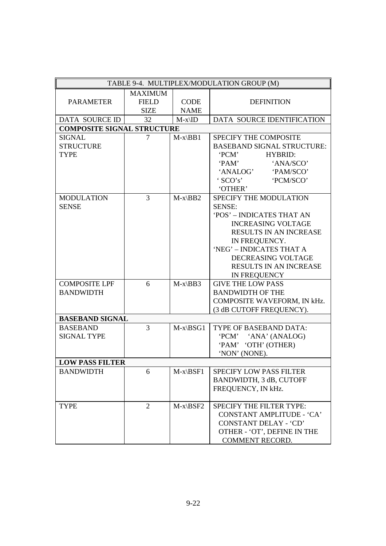| TABLE 9-4. MULTIPLEX/MODULATION GROUP (M) |                |                     |                                   |  |
|-------------------------------------------|----------------|---------------------|-----------------------------------|--|
| <b>MAXIMUM</b>                            |                |                     |                                   |  |
| <b>PARAMETER</b>                          | <b>FIELD</b>   | <b>CODE</b>         | <b>DEFINITION</b>                 |  |
|                                           | <b>SIZE</b>    | <b>NAME</b>         |                                   |  |
| DATA SOURCE ID                            | 32             | $M-x\$              | DATA SOURCE IDENTIFICATION        |  |
| <b>COMPOSITE SIGNAL STRUCTURE</b>         |                |                     |                                   |  |
| <b>SIGNAL</b>                             | $\overline{7}$ | $M-x\$ B1           | SPECIFY THE COMPOSITE             |  |
| <b>STRUCTURE</b>                          |                |                     | <b>BASEBAND SIGNAL STRUCTURE:</b> |  |
| <b>TYPE</b>                               |                |                     | <b>PCM'</b><br><b>HYBRID:</b>     |  |
|                                           |                |                     | <b>PAM'</b><br>'ANA/SCO'          |  |
|                                           |                |                     | 'ANALOG'<br>'PAM/SCO'             |  |
|                                           |                |                     | $'$ SCO's'<br>'PCM/SCO'           |  |
|                                           |                |                     | 'OTHER'                           |  |
| <b>MODULATION</b>                         | $\overline{3}$ | $M-x\$ BB2          | SPECIFY THE MODULATION            |  |
| <b>SENSE</b>                              |                |                     | <b>SENSE:</b>                     |  |
|                                           |                |                     | 'POS' - INDICATES THAT AN         |  |
|                                           |                |                     | <b>INCREASING VOLTAGE</b>         |  |
|                                           |                |                     | <b>RESULTS IN AN INCREASE</b>     |  |
|                                           |                |                     | IN FREQUENCY.                     |  |
|                                           |                |                     | 'NEG' - INDICATES THAT A          |  |
|                                           |                |                     | DECREASING VOLTAGE                |  |
|                                           |                |                     | RESULTS IN AN INCREASE            |  |
|                                           |                |                     | IN FREQUENCY                      |  |
| <b>COMPOSITE LPF</b>                      | 6              | $M-x\$ B3           | <b>GIVE THE LOW PASS</b>          |  |
| <b>BANDWIDTH</b>                          |                |                     | <b>BANDWIDTH OF THE</b>           |  |
|                                           |                |                     | COMPOSITE WAVEFORM, IN kHz.       |  |
|                                           |                |                     | (3 dB CUTOFF FREQUENCY).          |  |
| <b>BASEBAND SIGNAL</b>                    |                |                     |                                   |  |
| <b>BASEBAND</b>                           | $\overline{3}$ | $M-x\setminus BSG1$ | TYPE OF BASEBAND DATA:            |  |
| <b>SIGNAL TYPE</b>                        |                |                     | 'PCM' 'ANA' (ANALOG)              |  |
|                                           |                |                     | 'PAM' 'OTH' (OTHER)               |  |
|                                           |                |                     | 'NON' (NONE).                     |  |
| <b>LOW PASS FILTER</b>                    |                |                     |                                   |  |
| <b>BANDWIDTH</b>                          | 6              | $M-x\setminus BSF1$ | <b>SPECIFY LOW PASS FILTER</b>    |  |
|                                           |                |                     | BANDWIDTH, 3 dB, CUTOFF           |  |
|                                           |                |                     | FREQUENCY, IN kHz.                |  |
|                                           |                |                     |                                   |  |
| <b>TYPE</b>                               | 2              | $M-x\setminus BSF2$ | SPECIFY THE FILTER TYPE:          |  |
|                                           |                |                     | <b>CONSTANT AMPLITUDE - 'CA'</b>  |  |
|                                           |                |                     | <b>CONSTANT DELAY - 'CD'</b>      |  |
|                                           |                |                     | OTHER - 'OT', DEFINE IN THE       |  |
|                                           |                |                     | <b>COMMENT RECORD.</b>            |  |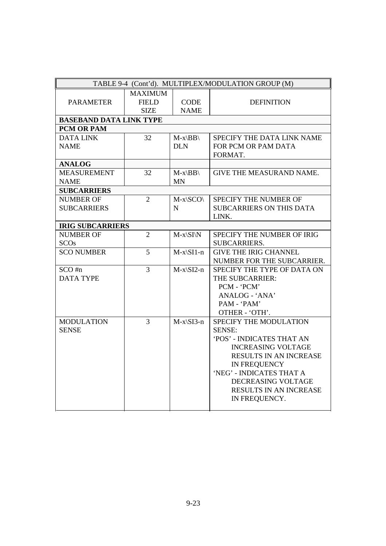| TABLE 9-4 (Cont'd). MULTIPLEX/MODULATION GROUP (M) |                |                              |                                 |  |
|----------------------------------------------------|----------------|------------------------------|---------------------------------|--|
|                                                    | <b>MAXIMUM</b> |                              |                                 |  |
| <b>PARAMETER</b>                                   | <b>FIELD</b>   | <b>CODE</b>                  | <b>DEFINITION</b>               |  |
|                                                    | <b>SIZE</b>    | <b>NAME</b>                  |                                 |  |
| <b>BASEBAND DATA LINK TYPE</b>                     |                |                              |                                 |  |
| PCM OR PAM                                         |                |                              |                                 |  |
| <b>DATA LINK</b>                                   | 32             | $M-x\setminus BB\setminus$   | SPECIFY THE DATA LINK NAME      |  |
| <b>NAME</b>                                        |                | <b>DLN</b>                   | FOR PCM OR PAM DATA             |  |
|                                                    |                |                              | FORMAT.                         |  |
| <b>ANALOG</b>                                      |                |                              |                                 |  |
| <b>MEASUREMENT</b>                                 | 32             | $M-x\setminus BB\setminus$   | <b>GIVE THE MEASURAND NAME.</b> |  |
| <b>NAME</b>                                        |                | <b>MN</b>                    |                                 |  |
| <b>SUBCARRIERS</b>                                 |                |                              |                                 |  |
| <b>NUMBER OF</b>                                   | $\overline{2}$ | $M-x\SCO$                    | SPECIFY THE NUMBER OF           |  |
| <b>SUBCARRIERS</b>                                 |                | N                            | <b>SUBCARRIERS ON THIS DATA</b> |  |
|                                                    |                |                              | LINK.                           |  |
| <b>IRIG SUBCARRIERS</b>                            |                |                              |                                 |  |
| <b>NUMBER OF</b>                                   | $\overline{2}$ | $M-x\setminus SI\setminus N$ | SPECIFY THE NUMBER OF IRIG      |  |
| <b>SCOs</b>                                        |                |                              | <b>SUBCARRIERS.</b>             |  |
| <b>SCO NUMBER</b>                                  | 5              | $M-x\ST1-n$                  | <b>GIVE THE IRIG CHANNEL</b>    |  |
|                                                    |                |                              | NUMBER FOR THE SUBCARRIER.      |  |
| $SCO$ #n                                           | $\overline{3}$ | $M-x\ST2-n$                  | SPECIFY THE TYPE OF DATA ON     |  |
| <b>DATA TYPE</b>                                   |                |                              | THE SUBCARRIER:                 |  |
|                                                    |                |                              | PCM - 'PCM'                     |  |
|                                                    |                |                              | ANALOG - 'ANA'                  |  |
|                                                    |                |                              | PAM - 'PAM'                     |  |
|                                                    |                |                              | OTHER - 'OTH'.                  |  |
| <b>MODULATION</b>                                  | $\overline{3}$ | $M-x\$ SI3-n                 | SPECIFY THE MODULATION          |  |
| <b>SENSE</b>                                       |                |                              | <b>SENSE:</b>                   |  |
|                                                    |                |                              | 'POS' - INDICATES THAT AN       |  |
|                                                    |                |                              | <b>INCREASING VOLTAGE</b>       |  |
|                                                    |                |                              | RESULTS IN AN INCREASE          |  |
|                                                    |                |                              | IN FREQUENCY                    |  |
|                                                    |                |                              | 'NEG' - INDICATES THAT A        |  |
|                                                    |                |                              | DECREASING VOLTAGE              |  |
|                                                    |                |                              | RESULTS IN AN INCREASE          |  |
|                                                    |                |                              | IN FREQUENCY.                   |  |
|                                                    |                |                              |                                 |  |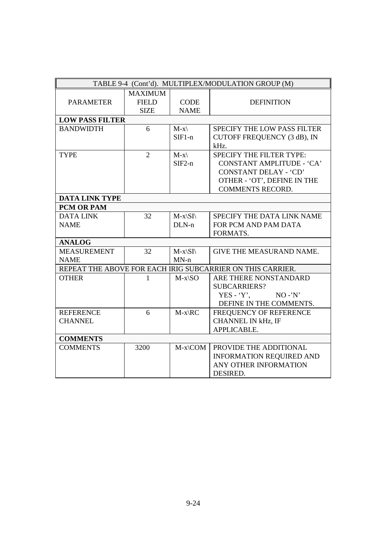| TABLE 9-4 (Cont'd). MULTIPLEX/MODULATION GROUP (M) |                |                         |                                                            |  |
|----------------------------------------------------|----------------|-------------------------|------------------------------------------------------------|--|
|                                                    | <b>MAXIMUM</b> |                         |                                                            |  |
| <b>PARAMETER</b>                                   | <b>FIELD</b>   | <b>CODE</b>             | <b>DEFINITION</b>                                          |  |
|                                                    | <b>SIZE</b>    | <b>NAME</b>             |                                                            |  |
| <b>LOW PASS FILTER</b>                             |                |                         |                                                            |  |
| <b>BANDWIDTH</b>                                   | 6              | $M-x\$                  | <b>SPECIFY THE LOW PASS FILTER</b>                         |  |
|                                                    |                | $SIF1-n$                | CUTOFF FREQUENCY (3 dB), IN                                |  |
|                                                    |                |                         | kHz.                                                       |  |
| <b>TYPE</b>                                        | $\overline{2}$ | $M-x\$                  | <b>SPECIFY THE FILTER TYPE:</b>                            |  |
|                                                    |                | $SIF2-n$                | CONSTANT AMPLITUDE - 'CA'                                  |  |
|                                                    |                |                         | <b>CONSTANT DELAY - 'CD'</b>                               |  |
|                                                    |                |                         | OTHER - 'OT', DEFINE IN THE                                |  |
|                                                    |                |                         | <b>COMMENTS RECORD.</b>                                    |  |
| <b>DATA LINK TYPE</b>                              |                |                         |                                                            |  |
| PCM OR PAM                                         |                |                         |                                                            |  |
| <b>DATA LINK</b>                                   | 32             | $M-x\langle SI \rangle$ | SPECIFY THE DATA LINK NAME                                 |  |
| <b>NAME</b>                                        |                | $DLN-n$                 | FOR PCM AND PAM DATA                                       |  |
|                                                    |                |                         | FORMATS.                                                   |  |
| <b>ANALOG</b>                                      |                |                         |                                                            |  |
| <b>MEASUREMENT</b>                                 | 32             | $M-x\langle SI \rangle$ | <b>GIVE THE MEASURAND NAME.</b>                            |  |
| <b>NAME</b>                                        |                | $MN-n$                  |                                                            |  |
|                                                    |                |                         | REPEAT THE ABOVE FOR EACH IRIG SUBCARRIER ON THIS CARRIER. |  |
| <b>OTHER</b>                                       | 1              | $M-x\$ SO               | ARE THERE NONSTANDARD                                      |  |
|                                                    |                |                         | <b>SUBCARRIERS?</b>                                        |  |
|                                                    |                |                         | YES - $Y$ .<br>$NO - N'$                                   |  |
|                                                    |                |                         | DEFINE IN THE COMMENTS.                                    |  |
| <b>REFERENCE</b>                                   | 6              | $M-x\angle RC$          | FREQUENCY OF REFERENCE                                     |  |
| <b>CHANNEL</b>                                     |                |                         | <b>CHANNEL IN kHz, IF</b>                                  |  |
|                                                    |                |                         | APPLICABLE.                                                |  |
| <b>COMMENTS</b>                                    |                |                         |                                                            |  |
| <b>COMMENTS</b>                                    | 3200           | $M-x\$ complement{COM}  | PROVIDE THE ADDITIONAL                                     |  |
|                                                    |                |                         | <b>INFORMATION REQUIRED AND</b>                            |  |
|                                                    |                |                         | ANY OTHER INFORMATION                                      |  |
|                                                    |                |                         | DESIRED.                                                   |  |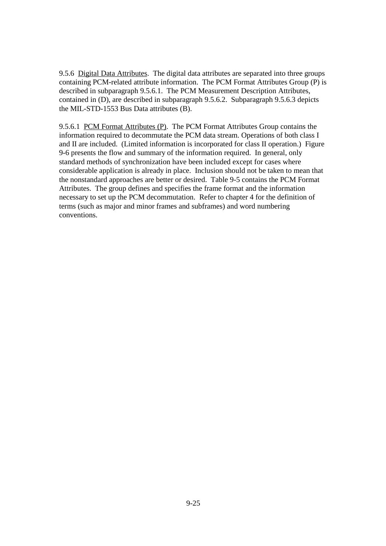9.5.6 Digital Data Attributes. The digital data attributes are separated into three groups containing PCM-related attribute information. The PCM Format Attributes Group (P) is described in subparagraph 9.5.6.1. The PCM Measurement Description Attributes, contained in (D), are described in subparagraph 9.5.6.2. Subparagraph 9.5.6.3 depicts the MIL-STD-1553 Bus Data attributes (B).

9.5.6.1 PCM Format Attributes (P). The PCM Format Attributes Group contains the information required to decommutate the PCM data stream. Operations of both class I and II are included. (Limited information is incorporated for class II operation.) Figure 9-6 presents the flow and summary of the information required. In general, only standard methods of synchronization have been included except for cases where considerable application is already in place. Inclusion should not be taken to mean that the nonstandard approaches are better or desired. Table 9-5 contains the PCM Format Attributes. The group defines and specifies the frame format and the information necessary to set up the PCM decommutation. Refer to chapter 4 for the definition of terms (such as major and minor frames and subframes) and word numbering conventions.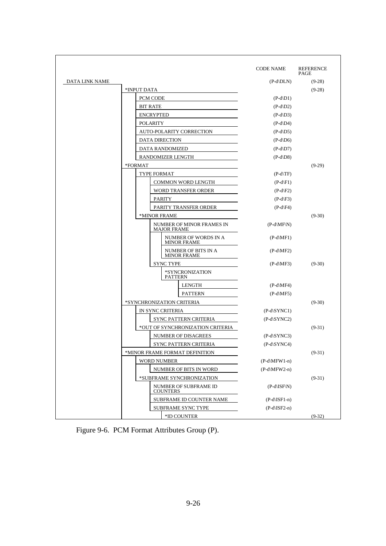|                |                                |                                                  | <b>CODE NAME</b>                    | <b>REFERENCE</b><br>PAGE |
|----------------|--------------------------------|--------------------------------------------------|-------------------------------------|--------------------------|
| DATA LINK NAME |                                |                                                  | $(P-d\Delta)$                       | $(9-28)$                 |
|                | *INPUT DATA                    |                                                  |                                     | $(9-28)$                 |
|                | PCM CODE                       |                                                  | $(P-d\ D1)$                         |                          |
|                | <b>BIT RATE</b>                |                                                  | $(P-d\ D2)$                         |                          |
|                | <b>ENCRYPTED</b>               |                                                  | $(P-d\backslash D3)$                |                          |
|                | <b>POLARITY</b>                |                                                  | $(P-d\ D4)$<br>$(P-d\backslash D5)$ |                          |
|                |                                | AUTO-POLARITY CORRECTION                         |                                     |                          |
|                | DATA DIRECTION                 |                                                  | $(P-d\cdot D6)$                     |                          |
|                | <b>DATA RANDOMIZED</b>         |                                                  | $(P-d\ D7)$                         |                          |
|                | RANDOMIZER LENGTH              |                                                  | $(P-d\backslash D8)$                |                          |
|                | *FORMAT                        |                                                  |                                     | $(9-29)$                 |
|                | <b>TYPE FORMAT</b>             |                                                  | $(P-d\TF)$                          |                          |
|                |                                | <b>COMMON WORD LENGTH</b>                        | $(P-d \ F1)$                        |                          |
|                |                                | WORD TRANSFER ORDER                              | $(P-d \ F2)$                        |                          |
|                | <b>PARITY</b>                  |                                                  | $(P-d \ F3)$                        |                          |
|                |                                | PARITY TRANSFER ORDER                            | $(P-d \ F4)$                        |                          |
|                | *MINOR FRAME                   |                                                  |                                     | $(9-30)$                 |
|                | <b>MAJOR FRAME</b>             | NUMBER OF MINOR FRAMES IN                        | $(P-d\Mf\N)$                        |                          |
|                |                                | NUMBER OF WORDS IN A<br><b>MINOR FRAME</b>       | $(P-d\backslash MF1)$               |                          |
|                |                                | <b>NUMBER OF BITS IN A</b><br><b>MINOR FRAME</b> | $(P-d\backslash MF2)$               |                          |
|                | <b>SYNC TYPE</b>               |                                                  | $(P-d\backslash MF3)$               | $(9-30)$                 |
|                |                                | *SYNCRONIZATION<br><b>PATTERN</b>                |                                     |                          |
|                |                                | <b>LENGTH</b>                                    | $(P-d\backslash MF4)$               |                          |
|                |                                | <b>PATTERN</b>                                   | $(P-d\backslash MF5)$               |                          |
|                | *SYNCHRONIZATION CRITERIA      |                                                  |                                     | $(9-30)$                 |
|                | IN SYNC CRITERIA               |                                                  | $(P-d\ST{NCl})$                     |                          |
|                |                                | SYNC PATTERN CRITERIA                            | $(P-d\ST{N}C2)$                     |                          |
|                |                                | *OUT OF SYNCHRONIZATION CRITERIA                 |                                     | $(9-31)$                 |
|                |                                | <b>NUMBER OF DISAGREES</b>                       | $(P-d\ST{N}C3)$                     |                          |
|                |                                | <b>SYNC PATTERN CRITERIA</b>                     | $(P-d\ST NCA)$                      |                          |
|                | *MINOR FRAME FORMAT DEFINITION |                                                  |                                     | $(9-31)$                 |
|                | <b>WORD NUMBER</b>             |                                                  | $(P-d\MFW1-n)$                      |                          |
|                |                                | NUMBER OF BITS IN WORD                           | $(P-d\MFW2-n)$                      |                          |
|                |                                | *SUBFRAME SYNCHRONIZATION                        |                                     | $(9-31)$                 |
|                | <b>COUNTERS</b>                | NUMBER OF SUBFRAME ID                            | $(P-d\Gamma N)$                     |                          |
|                |                                | SUBFRAME ID COUNTER NAME                         | $(P-d\Gamma_F1-n)$                  |                          |
|                |                                | <b>SUBFRAME SYNC TYPE</b>                        | $(P-d\Gamma_{S}F2-n)$               |                          |
|                |                                | *ID COUNTER                                      |                                     | $(9-32)$                 |

Figure 9-6. PCM Format Attributes Group (P).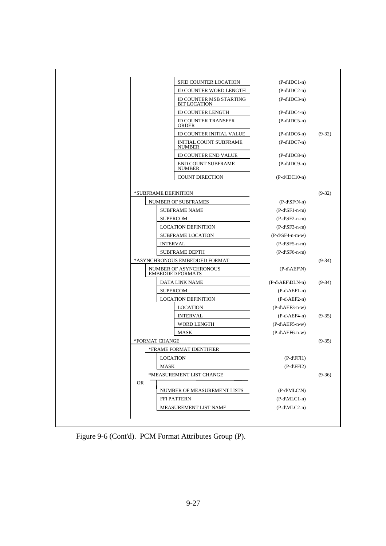|           |                      | SFID COUNTER LOCATION                             | $(P-d\P DCl-n)$                                     |          |
|-----------|----------------------|---------------------------------------------------|-----------------------------------------------------|----------|
|           |                      | ID COUNTER WORD LENGTH                            | $(P-d\rangle IDC2-n)$                               |          |
|           |                      | ID COUNTER MSB STARTING<br><b>BIT LOCATION</b>    | $(P-d\IDC3-n)$                                      |          |
|           |                      | <b>ID COUNTER LENGTH</b>                          | $(P-d\P DCA-n)$                                     |          |
|           |                      | <b>ID COUNTER TRANSFER</b><br><b>ORDER</b>        | $(P-d\IDC5-n)$                                      |          |
|           |                      | ID COUNTER INITIAL VALUE                          | $(P-d\IDC6-n)$                                      | $(9-32)$ |
|           |                      | <b>INITIAL COUNT SUBFRAME</b><br><b>NUMBER</b>    | $(P-d\backslash IDC7-n)$                            |          |
|           |                      | ID COUNTER END VALUE                              | $(P-d\IDC8-n)$                                      |          |
|           |                      | <b>END COUNT SUBFRAME</b><br><b>NUMBER</b>        | $(P-d\IDC9-n)$                                      |          |
|           |                      | <b>COUNT DIRECTION</b>                            | $(P-d\IDC10-n)$                                     |          |
|           | *SUBFRAME DEFINITION |                                                   |                                                     | $(9-32)$ |
|           |                      | <b>NUMBER OF SUBFRAMES</b>                        | $(P-d\ST N-n)$                                      |          |
|           |                      | <b>SUBFRAME NAME</b>                              | $(P-d\ST1-n-m)$                                     |          |
|           |                      | <b>SUPERCOM</b>                                   | $(P-d\ST2-n-m)$                                     |          |
|           |                      | <b>LOCATION DEFINITION</b>                        | $(P-d\ST3-n-m)$                                     |          |
|           |                      | <b>SUBFRAME LOCATION</b>                          | $(P-d\S F4-n-m-w)$                                  |          |
|           |                      | <b>INTERVAL</b>                                   | $(P-d\ST5-n-m)$                                     |          |
|           |                      | <b>SUBFRAME DEPTH</b>                             | $(P-d\ST6-n-m)$                                     |          |
|           |                      | *ASYNCHRONOUS EMBEDDED FORMAT                     |                                                     | $(9-34)$ |
|           |                      | NUMBER OF ASYNCHRONOUS<br><b>EMBEDDED FORMATS</b> | $(P-d\A E F\N)$                                     |          |
|           |                      | DATA LINK NAME                                    | $(P-d\AEF\DLN-n)$                                   | $(9-34)$ |
|           |                      | <b>SUPERCOM</b>                                   | $(P-d\AEF1-n)$                                      |          |
|           |                      | <b>LOCATION DEFINITION</b>                        | $(P-d\AEF2-n)$                                      |          |
|           |                      | <b>LOCATION</b>                                   | $(P-d\AEF3-n-w)$                                    |          |
|           |                      | <b>INTERVAL</b>                                   | $(P-d\A EFA-n)$                                     | $(9-35)$ |
|           |                      | WORD LENGTH                                       | $(P-d\AEF5-n-w)$                                    |          |
|           |                      | <b>MASK</b>                                       | $(P-d\AEF6-n-w)$                                    |          |
|           | *FORMAT CHANGE       |                                                   |                                                     | $(9-35)$ |
|           |                      | *FRAME FORMAT IDENTIFIER                          |                                                     |          |
|           |                      |                                                   | $(P-d \FFl1)$                                       |          |
|           |                      | <b>LOCATION</b>                                   |                                                     |          |
|           | MASK                 |                                                   | $(P-d \ FFI2)$                                      |          |
|           |                      | *MEASUREMENT LIST CHANGE                          |                                                     | $(9-36)$ |
| <b>OR</b> |                      |                                                   |                                                     |          |
|           |                      | NUMBER OF MEASUREMENT LISTS<br>FFI PATTERN        | $(P-d\backslash MLC\backslash N)$<br>$(P-d\MLC1-n)$ |          |

Figure 9-6 (Cont'd). PCM Format Attributes Group (P).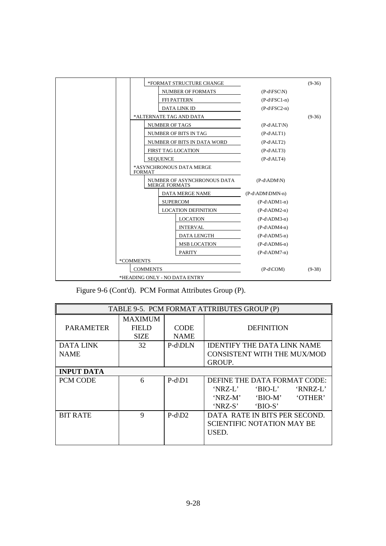|                 | *FORMAT STRUCTURE CHANGE                            |                     | $(9-36)$ |
|-----------------|-----------------------------------------------------|---------------------|----------|
|                 | <b>NUMBER OF FORMATS</b>                            | $(P-d \FSC\N)$      |          |
|                 | <b>FFI PATTERN</b>                                  | $(P-d \FSC1-n)$     |          |
|                 | <b>DATA LINK ID</b>                                 | $(P-d \FSC2-n)$     |          |
|                 | *ALTERNATE TAG AND DATA                             |                     | $(9-36)$ |
|                 | <b>NUMBER OF TAGS</b>                               | $(P-d ALT N)$       |          |
|                 | NUMBER OF BITS IN TAG                               | $(P-d ALT1)$        |          |
|                 | NUMBER OF BITS IN DATA WORD                         | $(P-d ALT2)$        |          |
|                 | FIRST TAG LOCATION                                  | $(P-d ALT3)$        |          |
|                 | <b>SEQUENCE</b>                                     | $(P-d ALT4)$        |          |
|                 | *ASYNCHRONOUS DATA MERGE<br><b>FORMAT</b>           |                     |          |
|                 | NUMBER OF ASYNCHRONOUS DATA<br><b>MERGE FORMATS</b> | $(P-d\ADM\N)$       |          |
|                 | <b>DATA MERGE NAME</b>                              | $(P-d\ADM\DDMN-n)$  |          |
|                 | <b>SUPERCOM</b>                                     | $(P-d\Delta DM1-n)$ |          |
|                 | <b>LOCATION DEFINITION</b>                          | $(P-d\ADM2-n)$      |          |
|                 | <b>LOCATION</b>                                     | $(P-d\ADM3-n)$      |          |
|                 | <b>INTERVAL</b>                                     | $(P-d\ADM4-n)$      |          |
|                 | <b>DATA LENGTH</b>                                  | $(P-d\$ ADM5-n)     |          |
|                 | <b>MSB LOCATION</b>                                 | $(P-d\Delta DM6-n)$ |          |
|                 | <b>PARITY</b>                                       | $(P-d\Delta DM7-n)$ |          |
| *COMMENTS       |                                                     |                     |          |
| <b>COMMENTS</b> | $(P-d\setminus COM)$                                | $(9-38)$            |          |
|                 | *HEADING ONLY - NO DATA ENTRY                       |                     |          |

Figure 9-6 (Cont'd). PCM Format Attributes Group (P).

| TABLE 9-5. PCM FORMAT ATTRIBUTES GROUP (P) |                                        |                            |                                                                                                                             |  |  |
|--------------------------------------------|----------------------------------------|----------------------------|-----------------------------------------------------------------------------------------------------------------------------|--|--|
| <b>PARAMETER</b>                           | <b>MAXIMUM</b><br>FIELD<br><b>SIZE</b> | <b>CODE</b><br><b>NAME</b> | <b>DEFINITION</b>                                                                                                           |  |  |
| <b>DATA LINK</b><br><b>NAME</b>            | 32                                     | P-d\DLN                    | <b>IDENTIFY THE DATA LINK NAME</b><br><b>CONSISTENT WITH THE MUX/MOD</b><br><b>GROUP.</b>                                   |  |  |
| <b>INPUT DATA</b>                          |                                        |                            |                                                                                                                             |  |  |
| PCM CODE                                   | 6                                      | $P-d\ D1$                  | DEFINE THE DATA FORMAT CODE:<br>'NRZ-L'<br>$'BIO-L'$<br>'RNRZ-L'<br>'NRZ-M'<br>$'BIO-M'$<br>'OTHER'<br>'NRZ-S'<br>$'BIO-S'$ |  |  |
| <b>BIT RATE</b>                            | $\mathbf Q$                            | $P-d\$ D2                  | DATA RATE IN BITS PER SECOND.<br><b>SCIENTIFIC NOTATION MAY BE</b><br>USED.                                                 |  |  |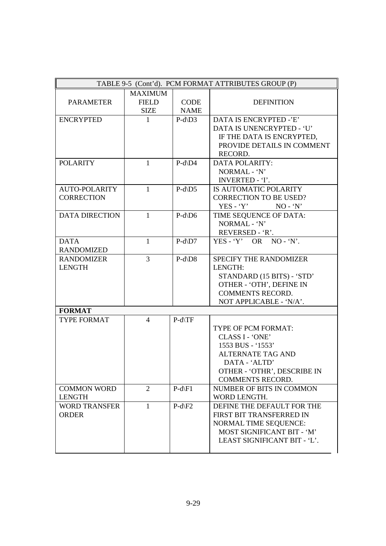| TABLE 9-5 (Cont'd). PCM FORMAT ATTRIBUTES GROUP (P) |                |             |                               |
|-----------------------------------------------------|----------------|-------------|-------------------------------|
|                                                     | <b>MAXIMUM</b> |             |                               |
| <b>PARAMETER</b>                                    | <b>FIELD</b>   | <b>CODE</b> | <b>DEFINITION</b>             |
|                                                     | <b>SIZE</b>    | <b>NAME</b> |                               |
| <b>ENCRYPTED</b>                                    | $\mathbf{1}$   | $P-d\$      | <b>DATA IS ENCRYPTED -'E'</b> |
|                                                     |                |             | DATA IS UNENCRYPTED - 'U'     |
|                                                     |                |             | IF THE DATA IS ENCRYPTED,     |
|                                                     |                |             | PROVIDE DETAILS IN COMMENT    |
|                                                     |                |             | RECORD.                       |
| <b>POLARITY</b>                                     | $\mathbf{1}$   | $P-d\$ D4   | <b>DATA POLARITY:</b>         |
|                                                     |                |             | NORMAL - 'N'                  |
|                                                     |                |             | <b>INVERTED - T.</b>          |
| <b>AUTO-POLARITY</b>                                | $\mathbf{1}$   | $P-d\$ D5   | IS AUTOMATIC POLARITY         |
| <b>CORRECTION</b>                                   |                |             | <b>CORRECTION TO BE USED?</b> |
|                                                     |                |             | $YES - Y'$<br>$NO - 'N'$      |
| <b>DATA DIRECTION</b>                               | $\mathbf{1}$   | $P-d\$ D6   | TIME SEQUENCE OF DATA:        |
|                                                     |                |             | NORMAL - 'N'                  |
|                                                     |                |             | REVERSED - 'R'.               |
| <b>DATA</b>                                         | $\mathbf{1}$   | $P-d\$ D7   | $YES - 'Y'$ OR NO - 'N'.      |
| <b>RANDOMIZED</b>                                   |                |             |                               |
| <b>RANDOMIZER</b>                                   | 3              | $P-d\$      | SPECIFY THE RANDOMIZER        |
| <b>LENGTH</b>                                       |                |             | LENGTH:                       |
|                                                     |                |             | STANDARD (15 BITS) - 'STD'    |
|                                                     |                |             | OTHER - 'OTH', DEFINE IN      |
|                                                     |                |             | <b>COMMENTS RECORD.</b>       |
|                                                     |                |             | NOT APPLICABLE - 'N/A'.       |
| <b>FORMAT</b>                                       |                |             |                               |
| TYPE FORMAT                                         | $\overline{4}$ | P-d\TF      |                               |
|                                                     |                |             | TYPE OF PCM FORMAT:           |
|                                                     |                |             | CLASS I - 'ONE'               |
|                                                     |                |             | 1553 BUS - '1553'             |
|                                                     |                |             | <b>ALTERNATE TAG AND</b>      |
|                                                     |                |             | DATA - 'ALTD'                 |
|                                                     |                |             | OTHER - 'OTHR', DESCRIBE IN   |
|                                                     |                |             | <b>COMMENTS RECORD.</b>       |
| <b>COMMON WORD</b>                                  | $\overline{2}$ | $P-d \ F1$  | NUMBER OF BITS IN COMMON      |
| <b>LENGTH</b>                                       |                |             | WORD LENGTH.                  |
| <b>WORD TRANSFER</b>                                | $\mathbf{1}$   | $P-d \E 2$  | DEFINE THE DEFAULT FOR THE    |
| <b>ORDER</b>                                        |                |             | FIRST BIT TRANSFERRED IN      |
|                                                     |                |             | <b>NORMAL TIME SEQUENCE:</b>  |
|                                                     |                |             | MOST SIGNIFICANT BIT - 'M'    |
|                                                     |                |             | LEAST SIGNIFICANT BIT - 'L'.  |
|                                                     |                |             |                               |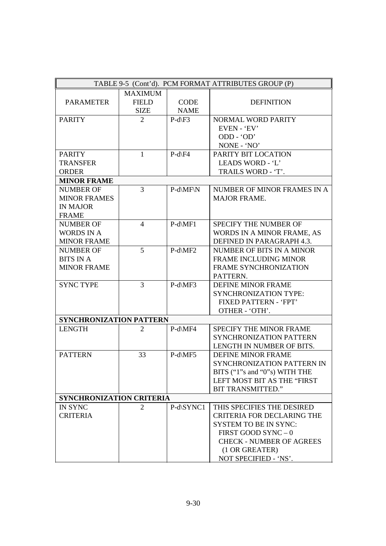|                                | TABLE 9-5 (Cont'd). PCM FORMAT ATTRIBUTES GROUP (P) |                    |                                   |  |
|--------------------------------|-----------------------------------------------------|--------------------|-----------------------------------|--|
|                                | <b>MAXIMUM</b>                                      |                    |                                   |  |
| <b>PARAMETER</b>               | <b>FIELD</b>                                        | <b>CODE</b>        | <b>DEFINITION</b>                 |  |
|                                | <b>SIZE</b>                                         | <b>NAME</b>        |                                   |  |
| <b>PARITY</b>                  | $\overline{2}$                                      | $P-d \setminus F3$ | NORMAL WORD PARITY                |  |
|                                |                                                     |                    | EVEN - 'EV'                       |  |
|                                |                                                     |                    | ODD - 'OD'                        |  |
|                                |                                                     |                    | NONE - 'NO'                       |  |
| <b>PARITY</b>                  | $\mathbf{1}$                                        | $P-d\$ F4          | PARITY BIT LOCATION               |  |
| <b>TRANSFER</b>                |                                                     |                    | LEADS WORD - 'L'                  |  |
| <b>ORDER</b>                   |                                                     |                    | TRAILS WORD - 'T'.                |  |
| <b>MINOR FRAME</b>             |                                                     |                    |                                   |  |
| <b>NUMBER OF</b>               | 3                                                   | $P-d\MF\N$         | NUMBER OF MINOR FRAMES IN A       |  |
| <b>MINOR FRAMES</b>            |                                                     |                    | <b>MAJOR FRAME.</b>               |  |
| <b>IN MAJOR</b>                |                                                     |                    |                                   |  |
| <b>FRAME</b>                   |                                                     |                    |                                   |  |
| <b>NUMBER OF</b>               | $\overline{4}$                                      | $P-d\MF1$          | SPECIFY THE NUMBER OF             |  |
| <b>WORDS IN A</b>              |                                                     |                    | WORDS IN A MINOR FRAME, AS        |  |
| <b>MINOR FRAME</b>             |                                                     |                    | DEFINED IN PARAGRAPH 4.3.         |  |
| <b>NUMBER OF</b>               | 5                                                   | $P-d\MF2$          | NUMBER OF BITS IN A MINOR         |  |
| <b>BITS IN A</b>               |                                                     |                    | <b>FRAME INCLUDING MINOR</b>      |  |
| <b>MINOR FRAME</b>             |                                                     |                    | FRAME SYNCHRONIZATION             |  |
|                                |                                                     |                    | PATTERN.                          |  |
| <b>SYNC TYPE</b>               | 3                                                   | P-d\MF3            | <b>DEFINE MINOR FRAME</b>         |  |
|                                |                                                     |                    | <b>SYNCHRONIZATION TYPE:</b>      |  |
|                                |                                                     |                    | FIXED PATTERN - 'FPT'             |  |
|                                |                                                     |                    | OTHER - 'OTH'.                    |  |
| <b>SYNCHRONIZATION PATTERN</b> |                                                     |                    |                                   |  |
| <b>LENGTH</b>                  | 2                                                   | P-d\MF4            | <b>SPECIFY THE MINOR FRAME</b>    |  |
|                                |                                                     |                    | SYNCHRONIZATION PATTERN           |  |
|                                |                                                     |                    | LENGTH IN NUMBER OF BITS.         |  |
| <b>PATTERN</b>                 | 33                                                  | $P-d\MF5$          | <b>DEFINE MINOR FRAME</b>         |  |
|                                |                                                     |                    | SYNCHRONIZATION PATTERN IN        |  |
|                                |                                                     |                    | BITS ("1"s and "0"s) WITH THE     |  |
|                                |                                                     |                    | LEFT MOST BIT AS THE "FIRST       |  |
|                                |                                                     |                    | <b>BIT TRANSMITTED."</b>          |  |
| SYNCHRONIZATION CRITERIA       |                                                     |                    |                                   |  |
| <b>IN SYNC</b>                 | 2                                                   | P-d\SYNC1          | THIS SPECIFIES THE DESIRED        |  |
| <b>CRITERIA</b>                |                                                     |                    | <b>CRITERIA FOR DECLARING THE</b> |  |
|                                |                                                     |                    | <b>SYSTEM TO BE IN SYNC:</b>      |  |
|                                |                                                     |                    | FIRST GOOD SYNC - 0               |  |
|                                |                                                     |                    | <b>CHECK - NUMBER OF AGREES</b>   |  |
|                                |                                                     |                    | (1 OR GREATER)                    |  |
|                                |                                                     |                    | NOT SPECIFIED - 'NS'.             |  |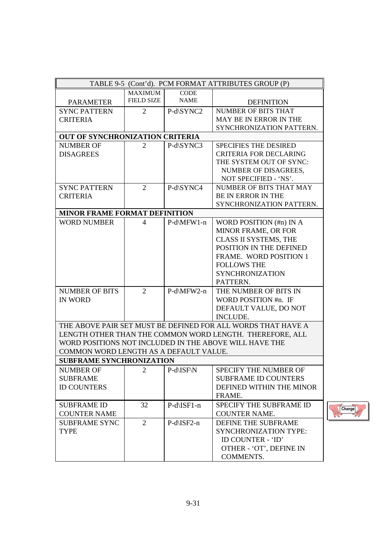| TABLE 9-5 (Cont'd). PCM FORMAT ATTRIBUTES GROUP (P)<br>MAXIMUM<br><b>CODE</b><br><b>FIELD SIZE</b><br><b>NAME</b><br><b>PARAMETER</b><br><b>DEFINITION</b><br><b>NUMBER OF BITS THAT</b><br><b>SYNC PATTERN</b><br>2<br>P-d\SYNC2<br>MAY BE IN ERROR IN THE<br><b>CRITERIA</b><br>SYNCHRONIZATION PATTERN.<br>OUT OF SYNCHRONIZATION CRITERIA<br>P-d\SYNC3<br><b>NUMBER OF</b><br><b>SPECIFIES THE DESIRED</b><br>2<br><b>CRITERIA FOR DECLARING</b><br><b>DISAGREES</b><br>THE SYSTEM OUT OF SYNC:<br>NUMBER OF DISAGREES,<br>NOT SPECIFIED - 'NS'.<br>P-d\SYNC4<br><b>SYNC PATTERN</b><br>$\overline{2}$<br>NUMBER OF BITS THAT MAY<br>BE IN ERROR IN THE<br><b>CRITERIA</b><br>SYNCHRONIZATION PATTERN.<br><b>MINOR FRAME FORMAT DEFINITION</b><br><b>WORD NUMBER</b><br>WORD POSITION (#n) IN A<br>$\overline{4}$<br>P-d\MFW1-n<br>MINOR FRAME, OR FOR<br>CLASS II SYSTEMS, THE<br>POSITION IN THE DEFINED<br><b>FRAME. WORD POSITION 1</b><br><b>FOLLOWS THE</b><br><b>SYNCHRONIZATION</b><br>PATTERN.<br>$\overline{2}$<br>P-d\MFW2-n<br>THE NUMBER OF BITS IN<br><b>NUMBER OF BITS</b><br><b>IN WORD</b><br>WORD POSITION #n. IF<br>DEFAULT VALUE, DO NOT<br><b>INCLUDE.</b><br>THE ABOVE PAIR SET MUST BE DEFINED FOR ALL WORDS THAT HAVE A<br>LENGTH OTHER THAN THE COMMON WORD LENGTH. THEREFORE, ALL<br>WORD POSITIONS NOT INCLUDED IN THE ABOVE WILL HAVE THE<br>COMMON WORD LENGTH AS A DEFAULT VALUE.<br><b>SUBFRAME SYNCHRONIZATION</b><br><b>NUMBER OF</b><br>2<br>P-d\ISF\N<br><b>SPECIFY THE NUMBER OF</b><br><b>SUBFRAME</b><br><b>SUBFRAME ID COUNTERS</b><br><b>ID COUNTERS</b><br>DEFINED WITHIN THE MINOR<br>FRAME.<br>P-d\ISF1-n<br><b>SUBFRAME ID</b><br>32<br>SPECIFY THE SUBFRAME ID<br><b>COUNTER NAME</b><br><b>COUNTER NAME.</b><br>P-d\ISF2-n<br><b>SUBFRAME SYNC</b><br>2<br>DEFINE THE SUBFRAME<br><b>TYPE</b><br><b>SYNCHRONIZATION TYPE:</b><br>ID COUNTER - 'ID' |
|------------------------------------------------------------------------------------------------------------------------------------------------------------------------------------------------------------------------------------------------------------------------------------------------------------------------------------------------------------------------------------------------------------------------------------------------------------------------------------------------------------------------------------------------------------------------------------------------------------------------------------------------------------------------------------------------------------------------------------------------------------------------------------------------------------------------------------------------------------------------------------------------------------------------------------------------------------------------------------------------------------------------------------------------------------------------------------------------------------------------------------------------------------------------------------------------------------------------------------------------------------------------------------------------------------------------------------------------------------------------------------------------------------------------------------------------------------------------------------------------------------------------------------------------------------------------------------------------------------------------------------------------------------------------------------------------------------------------------------------------------------------------------------------------------------------------------------------------------------------------------------------------------|
|                                                                                                                                                                                                                                                                                                                                                                                                                                                                                                                                                                                                                                                                                                                                                                                                                                                                                                                                                                                                                                                                                                                                                                                                                                                                                                                                                                                                                                                                                                                                                                                                                                                                                                                                                                                                                                                                                                      |
|                                                                                                                                                                                                                                                                                                                                                                                                                                                                                                                                                                                                                                                                                                                                                                                                                                                                                                                                                                                                                                                                                                                                                                                                                                                                                                                                                                                                                                                                                                                                                                                                                                                                                                                                                                                                                                                                                                      |
|                                                                                                                                                                                                                                                                                                                                                                                                                                                                                                                                                                                                                                                                                                                                                                                                                                                                                                                                                                                                                                                                                                                                                                                                                                                                                                                                                                                                                                                                                                                                                                                                                                                                                                                                                                                                                                                                                                      |
|                                                                                                                                                                                                                                                                                                                                                                                                                                                                                                                                                                                                                                                                                                                                                                                                                                                                                                                                                                                                                                                                                                                                                                                                                                                                                                                                                                                                                                                                                                                                                                                                                                                                                                                                                                                                                                                                                                      |
|                                                                                                                                                                                                                                                                                                                                                                                                                                                                                                                                                                                                                                                                                                                                                                                                                                                                                                                                                                                                                                                                                                                                                                                                                                                                                                                                                                                                                                                                                                                                                                                                                                                                                                                                                                                                                                                                                                      |
|                                                                                                                                                                                                                                                                                                                                                                                                                                                                                                                                                                                                                                                                                                                                                                                                                                                                                                                                                                                                                                                                                                                                                                                                                                                                                                                                                                                                                                                                                                                                                                                                                                                                                                                                                                                                                                                                                                      |
|                                                                                                                                                                                                                                                                                                                                                                                                                                                                                                                                                                                                                                                                                                                                                                                                                                                                                                                                                                                                                                                                                                                                                                                                                                                                                                                                                                                                                                                                                                                                                                                                                                                                                                                                                                                                                                                                                                      |
|                                                                                                                                                                                                                                                                                                                                                                                                                                                                                                                                                                                                                                                                                                                                                                                                                                                                                                                                                                                                                                                                                                                                                                                                                                                                                                                                                                                                                                                                                                                                                                                                                                                                                                                                                                                                                                                                                                      |
|                                                                                                                                                                                                                                                                                                                                                                                                                                                                                                                                                                                                                                                                                                                                                                                                                                                                                                                                                                                                                                                                                                                                                                                                                                                                                                                                                                                                                                                                                                                                                                                                                                                                                                                                                                                                                                                                                                      |
|                                                                                                                                                                                                                                                                                                                                                                                                                                                                                                                                                                                                                                                                                                                                                                                                                                                                                                                                                                                                                                                                                                                                                                                                                                                                                                                                                                                                                                                                                                                                                                                                                                                                                                                                                                                                                                                                                                      |
|                                                                                                                                                                                                                                                                                                                                                                                                                                                                                                                                                                                                                                                                                                                                                                                                                                                                                                                                                                                                                                                                                                                                                                                                                                                                                                                                                                                                                                                                                                                                                                                                                                                                                                                                                                                                                                                                                                      |
|                                                                                                                                                                                                                                                                                                                                                                                                                                                                                                                                                                                                                                                                                                                                                                                                                                                                                                                                                                                                                                                                                                                                                                                                                                                                                                                                                                                                                                                                                                                                                                                                                                                                                                                                                                                                                                                                                                      |
|                                                                                                                                                                                                                                                                                                                                                                                                                                                                                                                                                                                                                                                                                                                                                                                                                                                                                                                                                                                                                                                                                                                                                                                                                                                                                                                                                                                                                                                                                                                                                                                                                                                                                                                                                                                                                                                                                                      |
|                                                                                                                                                                                                                                                                                                                                                                                                                                                                                                                                                                                                                                                                                                                                                                                                                                                                                                                                                                                                                                                                                                                                                                                                                                                                                                                                                                                                                                                                                                                                                                                                                                                                                                                                                                                                                                                                                                      |
|                                                                                                                                                                                                                                                                                                                                                                                                                                                                                                                                                                                                                                                                                                                                                                                                                                                                                                                                                                                                                                                                                                                                                                                                                                                                                                                                                                                                                                                                                                                                                                                                                                                                                                                                                                                                                                                                                                      |
|                                                                                                                                                                                                                                                                                                                                                                                                                                                                                                                                                                                                                                                                                                                                                                                                                                                                                                                                                                                                                                                                                                                                                                                                                                                                                                                                                                                                                                                                                                                                                                                                                                                                                                                                                                                                                                                                                                      |
|                                                                                                                                                                                                                                                                                                                                                                                                                                                                                                                                                                                                                                                                                                                                                                                                                                                                                                                                                                                                                                                                                                                                                                                                                                                                                                                                                                                                                                                                                                                                                                                                                                                                                                                                                                                                                                                                                                      |
|                                                                                                                                                                                                                                                                                                                                                                                                                                                                                                                                                                                                                                                                                                                                                                                                                                                                                                                                                                                                                                                                                                                                                                                                                                                                                                                                                                                                                                                                                                                                                                                                                                                                                                                                                                                                                                                                                                      |
|                                                                                                                                                                                                                                                                                                                                                                                                                                                                                                                                                                                                                                                                                                                                                                                                                                                                                                                                                                                                                                                                                                                                                                                                                                                                                                                                                                                                                                                                                                                                                                                                                                                                                                                                                                                                                                                                                                      |
|                                                                                                                                                                                                                                                                                                                                                                                                                                                                                                                                                                                                                                                                                                                                                                                                                                                                                                                                                                                                                                                                                                                                                                                                                                                                                                                                                                                                                                                                                                                                                                                                                                                                                                                                                                                                                                                                                                      |
|                                                                                                                                                                                                                                                                                                                                                                                                                                                                                                                                                                                                                                                                                                                                                                                                                                                                                                                                                                                                                                                                                                                                                                                                                                                                                                                                                                                                                                                                                                                                                                                                                                                                                                                                                                                                                                                                                                      |
|                                                                                                                                                                                                                                                                                                                                                                                                                                                                                                                                                                                                                                                                                                                                                                                                                                                                                                                                                                                                                                                                                                                                                                                                                                                                                                                                                                                                                                                                                                                                                                                                                                                                                                                                                                                                                                                                                                      |
|                                                                                                                                                                                                                                                                                                                                                                                                                                                                                                                                                                                                                                                                                                                                                                                                                                                                                                                                                                                                                                                                                                                                                                                                                                                                                                                                                                                                                                                                                                                                                                                                                                                                                                                                                                                                                                                                                                      |
|                                                                                                                                                                                                                                                                                                                                                                                                                                                                                                                                                                                                                                                                                                                                                                                                                                                                                                                                                                                                                                                                                                                                                                                                                                                                                                                                                                                                                                                                                                                                                                                                                                                                                                                                                                                                                                                                                                      |
|                                                                                                                                                                                                                                                                                                                                                                                                                                                                                                                                                                                                                                                                                                                                                                                                                                                                                                                                                                                                                                                                                                                                                                                                                                                                                                                                                                                                                                                                                                                                                                                                                                                                                                                                                                                                                                                                                                      |
|                                                                                                                                                                                                                                                                                                                                                                                                                                                                                                                                                                                                                                                                                                                                                                                                                                                                                                                                                                                                                                                                                                                                                                                                                                                                                                                                                                                                                                                                                                                                                                                                                                                                                                                                                                                                                                                                                                      |
|                                                                                                                                                                                                                                                                                                                                                                                                                                                                                                                                                                                                                                                                                                                                                                                                                                                                                                                                                                                                                                                                                                                                                                                                                                                                                                                                                                                                                                                                                                                                                                                                                                                                                                                                                                                                                                                                                                      |
|                                                                                                                                                                                                                                                                                                                                                                                                                                                                                                                                                                                                                                                                                                                                                                                                                                                                                                                                                                                                                                                                                                                                                                                                                                                                                                                                                                                                                                                                                                                                                                                                                                                                                                                                                                                                                                                                                                      |
|                                                                                                                                                                                                                                                                                                                                                                                                                                                                                                                                                                                                                                                                                                                                                                                                                                                                                                                                                                                                                                                                                                                                                                                                                                                                                                                                                                                                                                                                                                                                                                                                                                                                                                                                                                                                                                                                                                      |
|                                                                                                                                                                                                                                                                                                                                                                                                                                                                                                                                                                                                                                                                                                                                                                                                                                                                                                                                                                                                                                                                                                                                                                                                                                                                                                                                                                                                                                                                                                                                                                                                                                                                                                                                                                                                                                                                                                      |
|                                                                                                                                                                                                                                                                                                                                                                                                                                                                                                                                                                                                                                                                                                                                                                                                                                                                                                                                                                                                                                                                                                                                                                                                                                                                                                                                                                                                                                                                                                                                                                                                                                                                                                                                                                                                                                                                                                      |
|                                                                                                                                                                                                                                                                                                                                                                                                                                                                                                                                                                                                                                                                                                                                                                                                                                                                                                                                                                                                                                                                                                                                                                                                                                                                                                                                                                                                                                                                                                                                                                                                                                                                                                                                                                                                                                                                                                      |
|                                                                                                                                                                                                                                                                                                                                                                                                                                                                                                                                                                                                                                                                                                                                                                                                                                                                                                                                                                                                                                                                                                                                                                                                                                                                                                                                                                                                                                                                                                                                                                                                                                                                                                                                                                                                                                                                                                      |
|                                                                                                                                                                                                                                                                                                                                                                                                                                                                                                                                                                                                                                                                                                                                                                                                                                                                                                                                                                                                                                                                                                                                                                                                                                                                                                                                                                                                                                                                                                                                                                                                                                                                                                                                                                                                                                                                                                      |
|                                                                                                                                                                                                                                                                                                                                                                                                                                                                                                                                                                                                                                                                                                                                                                                                                                                                                                                                                                                                                                                                                                                                                                                                                                                                                                                                                                                                                                                                                                                                                                                                                                                                                                                                                                                                                                                                                                      |
|                                                                                                                                                                                                                                                                                                                                                                                                                                                                                                                                                                                                                                                                                                                                                                                                                                                                                                                                                                                                                                                                                                                                                                                                                                                                                                                                                                                                                                                                                                                                                                                                                                                                                                                                                                                                                                                                                                      |
|                                                                                                                                                                                                                                                                                                                                                                                                                                                                                                                                                                                                                                                                                                                                                                                                                                                                                                                                                                                                                                                                                                                                                                                                                                                                                                                                                                                                                                                                                                                                                                                                                                                                                                                                                                                                                                                                                                      |
|                                                                                                                                                                                                                                                                                                                                                                                                                                                                                                                                                                                                                                                                                                                                                                                                                                                                                                                                                                                                                                                                                                                                                                                                                                                                                                                                                                                                                                                                                                                                                                                                                                                                                                                                                                                                                                                                                                      |
|                                                                                                                                                                                                                                                                                                                                                                                                                                                                                                                                                                                                                                                                                                                                                                                                                                                                                                                                                                                                                                                                                                                                                                                                                                                                                                                                                                                                                                                                                                                                                                                                                                                                                                                                                                                                                                                                                                      |
|                                                                                                                                                                                                                                                                                                                                                                                                                                                                                                                                                                                                                                                                                                                                                                                                                                                                                                                                                                                                                                                                                                                                                                                                                                                                                                                                                                                                                                                                                                                                                                                                                                                                                                                                                                                                                                                                                                      |
|                                                                                                                                                                                                                                                                                                                                                                                                                                                                                                                                                                                                                                                                                                                                                                                                                                                                                                                                                                                                                                                                                                                                                                                                                                                                                                                                                                                                                                                                                                                                                                                                                                                                                                                                                                                                                                                                                                      |
|                                                                                                                                                                                                                                                                                                                                                                                                                                                                                                                                                                                                                                                                                                                                                                                                                                                                                                                                                                                                                                                                                                                                                                                                                                                                                                                                                                                                                                                                                                                                                                                                                                                                                                                                                                                                                                                                                                      |
| OTHER - 'OT', DEFINE IN                                                                                                                                                                                                                                                                                                                                                                                                                                                                                                                                                                                                                                                                                                                                                                                                                                                                                                                                                                                                                                                                                                                                                                                                                                                                                                                                                                                                                                                                                                                                                                                                                                                                                                                                                                                                                                                                              |
| COMMENTS.                                                                                                                                                                                                                                                                                                                                                                                                                                                                                                                                                                                                                                                                                                                                                                                                                                                                                                                                                                                                                                                                                                                                                                                                                                                                                                                                                                                                                                                                                                                                                                                                                                                                                                                                                                                                                                                                                            |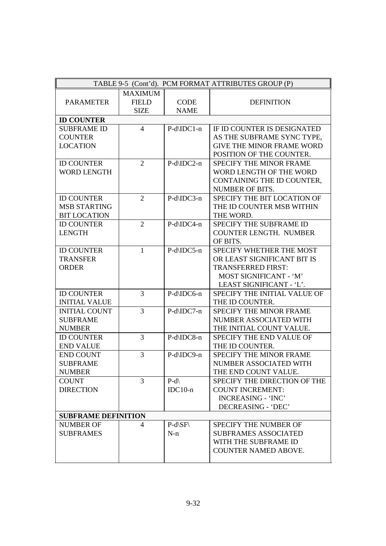|                            |                |                            | TABLE 9-5 (Cont'd). PCM FORMAT ATTRIBUTES GROUP (P) |
|----------------------------|----------------|----------------------------|-----------------------------------------------------|
|                            | <b>MAXIMUM</b> |                            |                                                     |
| <b>PARAMETER</b>           | <b>FIELD</b>   | <b>CODE</b>                | <b>DEFINITION</b>                                   |
|                            | <b>SIZE</b>    | <b>NAME</b>                |                                                     |
| <b>ID COUNTER</b>          |                |                            |                                                     |
| <b>SUBFRAME ID</b>         | $\overline{4}$ | P-d\IDC1-n                 | IF ID COUNTER IS DESIGNATED                         |
| <b>COUNTER</b>             |                |                            | AS THE SUBFRAME SYNC TYPE,                          |
| <b>LOCATION</b>            |                |                            | <b>GIVE THE MINOR FRAME WORD</b>                    |
|                            |                |                            | POSITION OF THE COUNTER.                            |
| <b>ID COUNTER</b>          | $\overline{2}$ | P-d\IDC2-n                 | SPECIFY THE MINOR FRAME                             |
| <b>WORD LENGTH</b>         |                |                            | WORD LENGTH OF THE WORD                             |
|                            |                |                            | CONTAINING THE ID COUNTER,                          |
|                            |                |                            | <b>NUMBER OF BITS.</b>                              |
| <b>ID COUNTER</b>          | $\overline{2}$ | P-d\IDC3-n                 | SPECIFY THE BIT LOCATION OF                         |
| <b>MSB STARTING</b>        |                |                            | THE ID COUNTER MSB WITHIN                           |
| <b>BIT LOCATION</b>        |                |                            | THE WORD.                                           |
| <b>ID COUNTER</b>          | $\overline{2}$ | P-d\IDC4-n                 | SPECIFY THE SUBFRAME ID                             |
| <b>LENGTH</b>              |                |                            | COUNTER LENGTH. NUMBER                              |
|                            |                |                            | OF BITS.                                            |
| <b>ID COUNTER</b>          | $\mathbf{1}$   | P-d\IDC5-n                 | SPECIFY WHETHER THE MOST                            |
| <b>TRANSFER</b>            |                |                            | OR LEAST SIGNIFICANT BIT IS                         |
| <b>ORDER</b>               |                |                            | <b>TRANSFERRED FIRST:</b>                           |
|                            |                |                            | MOST SIGNIFICANT - 'M'                              |
|                            |                |                            | LEAST SIGNIFICANT - 'L'.                            |
| <b>ID COUNTER</b>          | 3              | P-d\IDC6-n                 | SPECIFY THE INITIAL VALUE OF                        |
| <b>INITIAL VALUE</b>       |                |                            | THE ID COUNTER.                                     |
| <b>INITIAL COUNT</b>       | 3              | P-d\IDC7-n                 | <b>SPECIFY THE MINOR FRAME</b>                      |
| <b>SUBFRAME</b>            |                |                            | NUMBER ASSOCIATED WITH                              |
| <b>NUMBER</b>              |                |                            | THE INITIAL COUNT VALUE.                            |
| <b>ID COUNTER</b>          | 3              | P-d\IDC8-n                 | SPECIFY THE END VALUE OF                            |
| <b>END VALUE</b>           |                |                            | THE ID COUNTER.                                     |
| <b>END COUNT</b>           | 3              | P-d\IDC9-n                 | <b>SPECIFY THE MINOR FRAME</b>                      |
| <b>SUBFRAME</b>            |                |                            | NUMBER ASSOCIATED WITH                              |
| <b>NUMBER</b>              |                |                            | THE END COUNT VALUE.                                |
| <b>COUNT</b>               | $\overline{3}$ | $P-d\$                     | SPECIFY THE DIRECTION OF THE                        |
| <b>DIRECTION</b>           |                | $IDC10-n$                  | <b>COUNT INCREMENT:</b>                             |
|                            |                |                            | <b>INCREASING - 'INC'</b>                           |
|                            |                |                            | DECREASING - 'DEC'                                  |
| <b>SUBFRAME DEFINITION</b> |                |                            |                                                     |
| <b>NUMBER OF</b>           | 4              | $P-d\setminus SF\setminus$ | SPECIFY THE NUMBER OF                               |
| <b>SUBFRAMES</b>           |                | $N-n$                      | <b>SUBFRAMES ASSOCIATED</b>                         |
|                            |                |                            | WITH THE SUBFRAME ID                                |
|                            |                |                            | <b>COUNTER NAMED ABOVE.</b>                         |
|                            |                |                            |                                                     |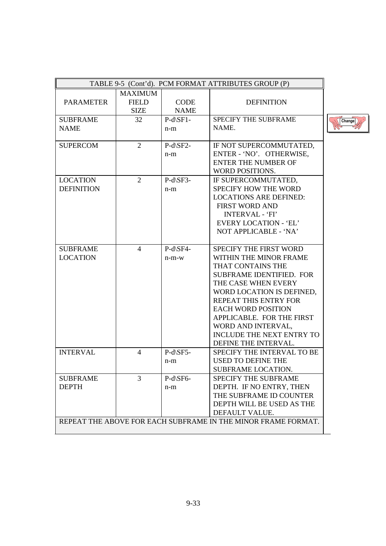| TABLE 9-5 (Cont'd). PCM FORMAT ATTRIBUTES GROUP (P)           |                             |                            |                                 |        |
|---------------------------------------------------------------|-----------------------------|----------------------------|---------------------------------|--------|
|                                                               | <b>MAXIMUM</b>              |                            |                                 |        |
| <b>PARAMETER</b>                                              | <b>FIELD</b><br><b>SIZE</b> | <b>CODE</b><br><b>NAME</b> | <b>DEFINITION</b>               |        |
| <b>SUBFRAME</b>                                               | 32                          | $P-d\$ SF1-                | SPECIFY THE SUBFRAME            | Change |
| <b>NAME</b>                                                   |                             | $n-m$                      | NAME.                           |        |
| <b>SUPERCOM</b>                                               | $\overline{2}$              | $P-d\$ SF2-                | IF NOT SUPERCOMMUTATED,         |        |
|                                                               |                             | $n-m$                      | ENTER - 'NO'. OTHERWISE,        |        |
|                                                               |                             |                            | <b>ENTER THE NUMBER OF</b>      |        |
|                                                               |                             |                            | WORD POSITIONS.                 |        |
| <b>LOCATION</b>                                               | $\overline{2}$              | P-d\SF3-                   | IF SUPERCOMMUTATED,             |        |
| <b>DEFINITION</b>                                             |                             | $n-m$                      | SPECIFY HOW THE WORD            |        |
|                                                               |                             |                            | <b>LOCATIONS ARE DEFINED:</b>   |        |
|                                                               |                             |                            | <b>FIRST WORD AND</b>           |        |
|                                                               |                             |                            | <b>INTERVAL - 'FI'</b>          |        |
|                                                               |                             |                            | <b>EVERY LOCATION - 'EL'</b>    |        |
|                                                               |                             |                            | NOT APPLICABLE - 'NA'           |        |
| <b>SUBFRAME</b>                                               | $\overline{4}$              | P-d\SF4-                   | SPECIFY THE FIRST WORD          |        |
| <b>LOCATION</b>                                               |                             | $n-m-w$                    | WITHIN THE MINOR FRAME          |        |
|                                                               |                             |                            | THAT CONTAINS THE               |        |
|                                                               |                             |                            | <b>SUBFRAME IDENTIFIED. FOR</b> |        |
|                                                               |                             |                            | THE CASE WHEN EVERY             |        |
|                                                               |                             |                            | WORD LOCATION IS DEFINED,       |        |
|                                                               |                             |                            | REPEAT THIS ENTRY FOR           |        |
|                                                               |                             |                            | <b>EACH WORD POSITION</b>       |        |
|                                                               |                             |                            | APPLICABLE. FOR THE FIRST       |        |
|                                                               |                             |                            | WORD AND INTERVAL,              |        |
|                                                               |                             |                            | INCLUDE THE NEXT ENTRY TO       |        |
|                                                               |                             |                            | DEFINE THE INTERVAL.            |        |
| <b>INTERVAL</b>                                               | $\overline{4}$              | P-d\SF5-                   | SPECIFY THE INTERVAL TO BE      |        |
|                                                               |                             | $n-m$                      | <b>USED TO DEFINE THE</b>       |        |
|                                                               |                             |                            | SUBFRAME LOCATION.              |        |
| <b>SUBFRAME</b>                                               | 3                           | P-d\SF6-                   | <b>SPECIFY THE SUBFRAME</b>     |        |
| <b>DEPTH</b>                                                  |                             | $n-m$                      | DEPTH. IF NO ENTRY, THEN        |        |
|                                                               |                             |                            | THE SUBFRAME ID COUNTER         |        |
|                                                               |                             |                            | DEPTH WILL BE USED AS THE       |        |
|                                                               |                             |                            | DEFAULT VALUE.                  |        |
| REPEAT THE ABOVE FOR EACH SUBFRAME IN THE MINOR FRAME FORMAT. |                             |                            |                                 |        |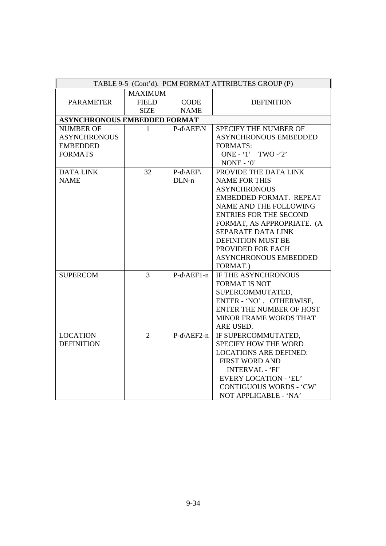|                                     |                |             | TABLE 9-5 (Cont'd). PCM FORMAT ATTRIBUTES GROUP (P) |
|-------------------------------------|----------------|-------------|-----------------------------------------------------|
|                                     | <b>MAXIMUM</b> |             |                                                     |
| <b>PARAMETER</b>                    | <b>FIELD</b>   | <b>CODE</b> | <b>DEFINITION</b>                                   |
|                                     | <b>SIZE</b>    | <b>NAME</b> |                                                     |
| <b>ASYNCHRONOUS EMBEDDED FORMAT</b> |                |             |                                                     |
| <b>NUMBER OF</b>                    | 1              | P-d\AEF\N   | <b>SPECIFY THE NUMBER OF</b>                        |
| <b>ASYNCHRONOUS</b>                 |                |             | <b>ASYNCHRONOUS EMBEDDED</b>                        |
| <b>EMBEDDED</b>                     |                |             | <b>FORMATS:</b>                                     |
| <b>FORMATS</b>                      |                |             | ONE - '1' TWO -'2'                                  |
|                                     |                |             | NONE - $0$ '                                        |
| <b>DATA LINK</b>                    | 32             | P-d\AEF\    | PROVIDE THE DATA LINK                               |
| <b>NAME</b>                         |                | $DLN-n$     | <b>NAME FOR THIS</b>                                |
|                                     |                |             | <b>ASYNCHRONOUS</b>                                 |
|                                     |                |             | EMBEDDED FORMAT. REPEAT                             |
|                                     |                |             | NAME AND THE FOLLOWING                              |
|                                     |                |             | <b>ENTRIES FOR THE SECOND</b>                       |
|                                     |                |             | FORMAT, AS APPROPRIATE. (A                          |
|                                     |                |             | <b>SEPARATE DATA LINK</b>                           |
|                                     |                |             | <b>DEFINITION MUST BE</b>                           |
|                                     |                |             | PROVIDED FOR EACH                                   |
|                                     |                |             | <b>ASYNCHRONOUS EMBEDDED</b>                        |
|                                     |                |             | FORMAT.)                                            |
| <b>SUPERCOM</b>                     | 3              | P-d\AEF1-n  | IF THE ASYNCHRONOUS                                 |
|                                     |                |             | <b>FORMAT IS NOT</b>                                |
|                                     |                |             | SUPERCOMMUTATED,                                    |
|                                     |                |             | ENTER - 'NO'. OTHERWISE,                            |
|                                     |                |             | <b>ENTER THE NUMBER OF HOST</b>                     |
|                                     |                |             | MINOR FRAME WORDS THAT                              |
|                                     |                |             | ARE USED.                                           |
| <b>LOCATION</b>                     | $\overline{2}$ | P-d\AEF2-n  | IF SUPERCOMMUTATED,                                 |
| <b>DEFINITION</b>                   |                |             | <b>SPECIFY HOW THE WORD</b>                         |
|                                     |                |             | <b>LOCATIONS ARE DEFINED:</b>                       |
|                                     |                |             | <b>FIRST WORD AND</b>                               |
|                                     |                |             | <b>INTERVAL - 'FI'</b>                              |
|                                     |                |             | <b>EVERY LOCATION - 'EL'</b>                        |
|                                     |                |             | <b>CONTIGUOUS WORDS - 'CW'</b>                      |
|                                     |                |             | NOT APPLICABLE - 'NA'                               |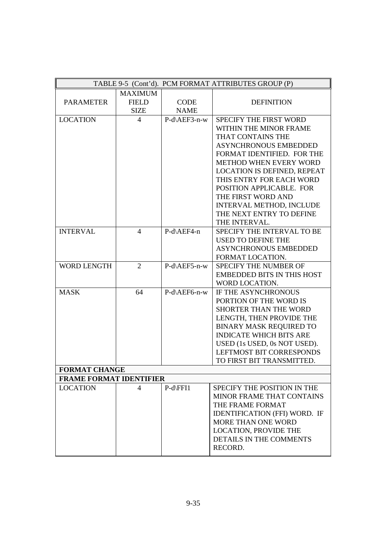|                                |                |              | TABLE 9-5 (Cont'd). PCM FORMAT ATTRIBUTES GROUP (P) |
|--------------------------------|----------------|--------------|-----------------------------------------------------|
|                                | <b>MAXIMUM</b> |              |                                                     |
| <b>PARAMETER</b>               | <b>FIELD</b>   | <b>CODE</b>  | <b>DEFINITION</b>                                   |
|                                | <b>SIZE</b>    | <b>NAME</b>  |                                                     |
| <b>LOCATION</b>                | $\overline{4}$ | P-d\AEF3-n-w | <b>SPECIFY THE FIRST WORD</b>                       |
|                                |                |              | WITHIN THE MINOR FRAME                              |
|                                |                |              | THAT CONTAINS THE                                   |
|                                |                |              | ASYNCHRONOUS EMBEDDED                               |
|                                |                |              | FORMAT IDENTIFIED. FOR THE                          |
|                                |                |              | <b>METHOD WHEN EVERY WORD</b>                       |
|                                |                |              | LOCATION IS DEFINED, REPEAT                         |
|                                |                |              | THIS ENTRY FOR EACH WORD                            |
|                                |                |              | POSITION APPLICABLE. FOR                            |
|                                |                |              | THE FIRST WORD AND                                  |
|                                |                |              | INTERVAL METHOD, INCLUDE                            |
|                                |                |              | THE NEXT ENTRY TO DEFINE                            |
|                                |                |              | THE INTERVAL.                                       |
| <b>INTERVAL</b>                | $\overline{4}$ | P-d\AEF4-n   | SPECIFY THE INTERVAL TO BE                          |
|                                |                |              | <b>USED TO DEFINE THE</b>                           |
|                                |                |              | <b>ASYNCHRONOUS EMBEDDED</b>                        |
|                                |                |              | FORMAT LOCATION.                                    |
| <b>WORD LENGTH</b>             | $\overline{2}$ | P-d\AEF5-n-w | <b>SPECIFY THE NUMBER OF</b>                        |
|                                |                |              | <b>EMBEDDED BITS IN THIS HOST</b>                   |
|                                |                |              | WORD LOCATION.                                      |
| <b>MASK</b>                    | 64             | P-d\AEF6-n-w | IF THE ASYNCHRONOUS                                 |
|                                |                |              | PORTION OF THE WORD IS                              |
|                                |                |              | SHORTER THAN THE WORD                               |
|                                |                |              | LENGTH, THEN PROVIDE THE                            |
|                                |                |              | <b>BINARY MASK REQUIRED TO</b>                      |
|                                |                |              | <b>INDICATE WHICH BITS ARE</b>                      |
|                                |                |              | USED (1s USED, 0s NOT USED).                        |
|                                |                |              | <b>LEFTMOST BIT CORRESPONDS</b>                     |
|                                |                |              | TO FIRST BIT TRANSMITTED.                           |
| <b>FORMAT CHANGE</b>           |                |              |                                                     |
| <b>FRAME FORMAT IDENTIFIER</b> |                |              |                                                     |
| <b>LOCATION</b>                | 4              | $P-d\FFI1$   | SPECIFY THE POSITION IN THE                         |
|                                |                |              | MINOR FRAME THAT CONTAINS                           |
|                                |                |              | THE FRAME FORMAT                                    |
|                                |                |              | <b>IDENTIFICATION (FFI) WORD. IF</b>                |
|                                |                |              | MORE THAN ONE WORD                                  |
|                                |                |              | LOCATION, PROVIDE THE                               |
|                                |                |              | DETAILS IN THE COMMENTS                             |
|                                |                |              | RECORD.                                             |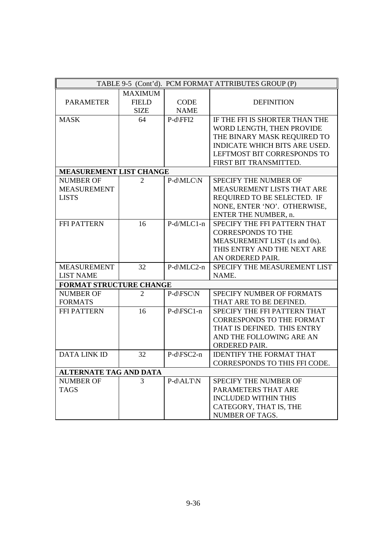| TABLE 9-5 (Cont'd). PCM FORMAT ATTRIBUTES GROUP (P) |                |             |                                      |
|-----------------------------------------------------|----------------|-------------|--------------------------------------|
|                                                     | <b>MAXIMUM</b> |             |                                      |
| <b>PARAMETER</b>                                    | <b>FIELD</b>   | <b>CODE</b> | <b>DEFINITION</b>                    |
|                                                     | <b>SIZE</b>    | <b>NAME</b> |                                      |
| <b>MASK</b>                                         | 64             | P-d\FFI2    | IF THE FFI IS SHORTER THAN THE       |
|                                                     |                |             | WORD LENGTH, THEN PROVIDE            |
|                                                     |                |             | THE BINARY MASK REQUIRED TO          |
|                                                     |                |             | <b>INDICATE WHICH BITS ARE USED.</b> |
|                                                     |                |             | LEFTMOST BIT CORRESPONDS TO          |
|                                                     |                |             | FIRST BIT TRANSMITTED.               |
| <b>MEASUREMENT LIST CHANGE</b>                      |                |             |                                      |
| <b>NUMBER OF</b>                                    | $\overline{2}$ | P-d\MLC\N   | SPECIFY THE NUMBER OF                |
| <b>MEASUREMENT</b>                                  |                |             | MEASUREMENT LISTS THAT ARE           |
| <b>LISTS</b>                                        |                |             | REQUIRED TO BE SELECTED. IF          |
|                                                     |                |             | NONE, ENTER 'NO'. OTHERWISE,         |
|                                                     |                |             | ENTER THE NUMBER, n.                 |
| FFI PATTERN                                         | 16             | P-d/MLC1-n  | SPECIFY THE FFI PATTERN THAT         |
|                                                     |                |             | <b>CORRESPONDS TO THE</b>            |
|                                                     |                |             | MEASUREMENT LIST (1s and 0s).        |
|                                                     |                |             | THIS ENTRY AND THE NEXT ARE          |
|                                                     |                |             | AN ORDERED PAIR.                     |
| <b>MEASUREMENT</b>                                  | 32             | P-d\MLC2-n  | SPECIFY THE MEASUREMENT LIST         |
| <b>LIST NAME</b>                                    |                |             | NAME.                                |
| FORMAT STRUCTURE CHANGE                             |                |             |                                      |
| <b>NUMBER OF</b>                                    | $\overline{2}$ | P-d\FSC\N   | <b>SPECIFY NUMBER OF FORMATS</b>     |
| <b>FORMATS</b>                                      |                |             | THAT ARE TO BE DEFINED.              |
| <b>FFI PATTERN</b>                                  | 16             | P-d\FSC1-n  | SPECIFY THE FFI PATTERN THAT         |
|                                                     |                |             | <b>CORRESPONDS TO THE FORMAT</b>     |
|                                                     |                |             | THAT IS DEFINED. THIS ENTRY          |
|                                                     |                |             | AND THE FOLLOWING ARE AN             |
|                                                     |                |             | <b>ORDERED PAIR.</b>                 |
| <b>DATA LINK ID</b>                                 | 32             | P-d\FSC2-n  | <b>IDENTIFY THE FORMAT THAT</b>      |
|                                                     |                |             | CORRESPONDS TO THIS FFI CODE.        |
| <b>ALTERNATE TAG AND DATA</b>                       |                |             |                                      |
| <b>NUMBER OF</b>                                    | 3              | P-d\ALT\N   | SPECIFY THE NUMBER OF                |
| <b>TAGS</b>                                         |                |             | PARAMETERS THAT ARE                  |
|                                                     |                |             | <b>INCLUDED WITHIN THIS</b>          |
|                                                     |                |             | CATEGORY, THAT IS, THE               |
|                                                     |                |             | NUMBER OF TAGS.                      |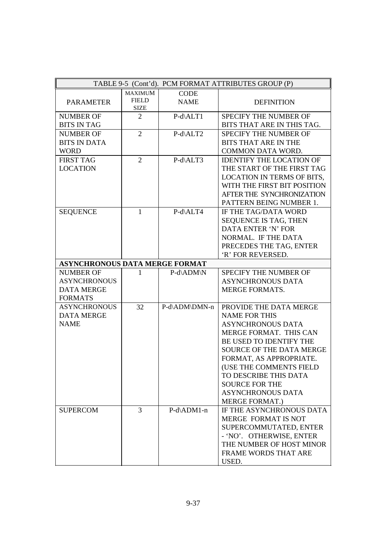|                                       |                             |                  | TABLE 9-5 (Cont'd). PCM FORMAT ATTRIBUTES GROUP (P) |
|---------------------------------------|-----------------------------|------------------|-----------------------------------------------------|
|                                       | <b>MAXIMUM</b>              | <b>CODE</b>      |                                                     |
| <b>PARAMETER</b>                      | <b>FIELD</b><br><b>SIZE</b> | <b>NAME</b>      | <b>DEFINITION</b>                                   |
| <b>NUMBER OF</b>                      | 2                           | $P-d\Delta L T1$ | SPECIFY THE NUMBER OF                               |
| <b>BITS IN TAG</b>                    |                             |                  | BITS THAT ARE IN THIS TAG.                          |
| <b>NUMBER OF</b>                      | $\overline{2}$              | P-d\ALT2         | SPECIFY THE NUMBER OF                               |
| <b>BITS IN DATA</b>                   |                             |                  | <b>BITS THAT ARE IN THE</b>                         |
| <b>WORD</b>                           |                             |                  | COMMON DATA WORD.                                   |
| <b>FIRST TAG</b>                      | $\overline{2}$              | P-d\ALT3         | <b>IDENTIFY THE LOCATION OF</b>                     |
| <b>LOCATION</b>                       |                             |                  | THE START OF THE FIRST TAG                          |
|                                       |                             |                  | LOCATION IN TERMS OF BITS,                          |
|                                       |                             |                  | WITH THE FIRST BIT POSITION                         |
|                                       |                             |                  | AFTER THE SYNCHRONIZATION                           |
|                                       |                             |                  | PATTERN BEING NUMBER 1.                             |
| <b>SEQUENCE</b>                       | $\mathbf{1}$                | P-d\ALT4         | IF THE TAG/DATA WORD                                |
|                                       |                             |                  | SEQUENCE IS TAG, THEN                               |
|                                       |                             |                  | DATA ENTER 'N' FOR                                  |
|                                       |                             |                  | NORMAL. IF THE DATA                                 |
|                                       |                             |                  | PRECEDES THE TAG, ENTER                             |
|                                       |                             |                  | 'R' FOR REVERSED.                                   |
| <b>ASYNCHRONOUS DATA MERGE FORMAT</b> |                             |                  |                                                     |
| <b>NUMBER OF</b>                      | 1                           | P-d\ADM\N        | SPECIFY THE NUMBER OF                               |
| <b>ASYNCHRONOUS</b>                   |                             |                  | <b>ASYNCHRONOUS DATA</b>                            |
| <b>DATA MERGE</b>                     |                             |                  | <b>MERGE FORMATS.</b>                               |
| <b>FORMATS</b>                        |                             |                  |                                                     |
| <b>ASYNCHRONOUS</b>                   | 32                          | P-d\ADM\DMN-n    | PROVIDE THE DATA MERGE                              |
| <b>DATA MERGE</b>                     |                             |                  | <b>NAME FOR THIS</b>                                |
| <b>NAME</b>                           |                             |                  | <b>ASYNCHRONOUS DATA</b>                            |
|                                       |                             |                  | MERGE FORMAT. THIS CAN                              |
|                                       |                             |                  | BE USED TO IDENTIFY THE                             |
|                                       |                             |                  | <b>SOURCE OF THE DATA MERGE</b>                     |
|                                       |                             |                  | FORMAT, AS APPROPRIATE.                             |
|                                       |                             |                  | (USE THE COMMENTS FIELD                             |
|                                       |                             |                  | TO DESCRIBE THIS DATA                               |
|                                       |                             |                  | <b>SOURCE FOR THE</b>                               |
|                                       |                             |                  | <b>ASYNCHRONOUS DATA</b>                            |
|                                       |                             |                  | <b>MERGE FORMAT.)</b>                               |
| <b>SUPERCOM</b>                       | $\overline{3}$              | P-d\ADM1-n       | IF THE ASYNCHRONOUS DATA                            |
|                                       |                             |                  | MERGE FORMAT IS NOT                                 |
|                                       |                             |                  | SUPERCOMMUTATED, ENTER                              |
|                                       |                             |                  | - 'NO'. OTHERWISE, ENTER                            |
|                                       |                             |                  | THE NUMBER OF HOST MINOR                            |
|                                       |                             |                  | FRAME WORDS THAT ARE                                |
|                                       |                             |                  | USED.                                               |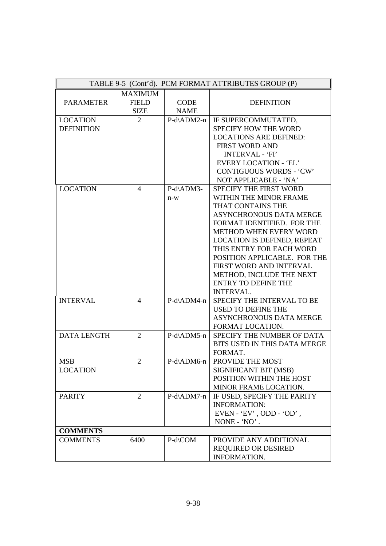|                    |                |               | TABLE 9-5 (Cont'd). PCM FORMAT ATTRIBUTES GROUP (P) |
|--------------------|----------------|---------------|-----------------------------------------------------|
|                    | <b>MAXIMUM</b> |               |                                                     |
| <b>PARAMETER</b>   | <b>FIELD</b>   | <b>CODE</b>   | <b>DEFINITION</b>                                   |
|                    | <b>SIZE</b>    | <b>NAME</b>   |                                                     |
| <b>LOCATION</b>    | 2              | P-d\ADM2-n    | IF SUPERCOMMUTATED,                                 |
| <b>DEFINITION</b>  |                |               | SPECIFY HOW THE WORD                                |
|                    |                |               | <b>LOCATIONS ARE DEFINED:</b>                       |
|                    |                |               | <b>FIRST WORD AND</b>                               |
|                    |                |               | <b>INTERVAL - 'FI'</b>                              |
|                    |                |               | <b>EVERY LOCATION - 'EL'</b>                        |
|                    |                |               | <b>CONTIGUOUS WORDS - 'CW'</b>                      |
|                    |                |               | NOT APPLICABLE - 'NA'                               |
| <b>LOCATION</b>    | $\overline{4}$ | P-d\ADM3-     | SPECIFY THE FIRST WORD                              |
|                    |                | $n-w$         | WITHIN THE MINOR FRAME                              |
|                    |                |               | THAT CONTAINS THE                                   |
|                    |                |               | <b>ASYNCHRONOUS DATA MERGE</b>                      |
|                    |                |               | FORMAT IDENTIFIED. FOR THE                          |
|                    |                |               | METHOD WHEN EVERY WORD                              |
|                    |                |               | LOCATION IS DEFINED, REPEAT                         |
|                    |                |               | THIS ENTRY FOR EACH WORD                            |
|                    |                |               | POSITION APPLICABLE. FOR THE                        |
|                    |                |               | FIRST WORD AND INTERVAL                             |
|                    |                |               | METHOD, INCLUDE THE NEXT                            |
|                    |                |               | <b>ENTRY TO DEFINE THE</b>                          |
|                    |                |               | <b>INTERVAL.</b>                                    |
| <b>INTERVAL</b>    | $\overline{4}$ | $P-d\$ ADM4-n | SPECIFY THE INTERVAL TO BE                          |
|                    |                |               | <b>USED TO DEFINE THE</b>                           |
|                    |                |               | <b>ASYNCHRONOUS DATA MERGE</b>                      |
|                    |                |               | FORMAT LOCATION.                                    |
| <b>DATA LENGTH</b> | 2              | $P-d\$ ADM5-n | SPECIFY THE NUMBER OF DATA                          |
|                    |                |               | BITS USED IN THIS DATA MERGE                        |
|                    |                |               | FORMAT.                                             |
| <b>MSB</b>         | $\overline{2}$ | P-d\ADM6-n    | PROVIDE THE MOST                                    |
| <b>LOCATION</b>    |                |               | SIGNIFICANT BIT (MSB)                               |
|                    |                |               | POSITION WITHIN THE HOST                            |
|                    |                |               | MINOR FRAME LOCATION.                               |
| <b>PARITY</b>      | 2              | P-d\ADM7-n    | IF USED, SPECIFY THE PARITY                         |
|                    |                |               | <b>INFORMATION:</b>                                 |
|                    |                |               | $EVEN - 'EV'$ , ODD - 'OD',                         |
|                    |                |               | NONE - 'NO'.                                        |
| <b>COMMENTS</b>    |                |               |                                                     |
| <b>COMMENTS</b>    | 6400           | P-d\COM       | PROVIDE ANY ADDITIONAL                              |
|                    |                |               | <b>REQUIRED OR DESIRED</b>                          |
|                    |                |               | INFORMATION.                                        |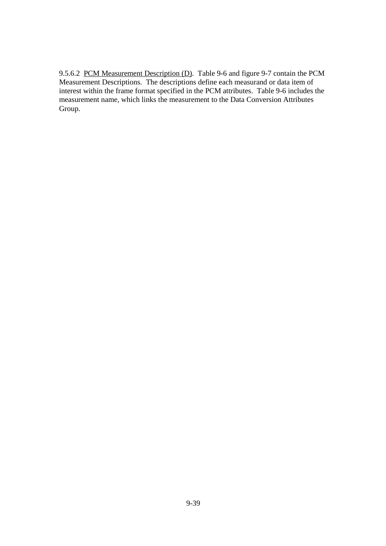9.5.6.2 PCM Measurement Description (D). Table 9-6 and figure 9-7 contain the PCM Measurement Descriptions. The descriptions define each measurand or data item of interest within the frame format specified in the PCM attributes. Table 9-6 includes the measurement name, which links the measurement to the Data Conversion Attributes Group.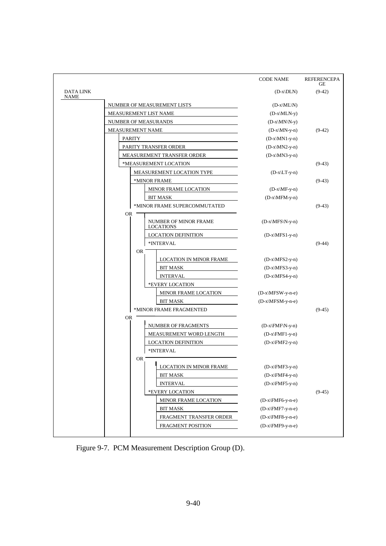|                          |                         |                                                  | <b>CODE NAME</b>   | REFERENCEPA<br>GЕ |
|--------------------------|-------------------------|--------------------------------------------------|--------------------|-------------------|
| DATA LINK<br><b>NAME</b> |                         |                                                  | $(D-x DLN)$        | $(9-42)$          |
|                          |                         | NUMBER OF MEASUREMENT LISTS                      | $(D-x\M L\N)$      |                   |
|                          | MEASUREMENT LIST NAME   |                                                  | $(D-x\MLN-y)$      |                   |
|                          | NUMBER OF MEASURANDS    |                                                  | $(D-x\M N\N-y)$    |                   |
|                          | <b>MEASUREMENT NAME</b> |                                                  | $(D-x\MN-y-n)$     | $(9-42)$          |
|                          | <b>PARITY</b>           |                                                  | $(D-x\M N1-y-n)$   |                   |
|                          |                         | PARITY TRANSFER ORDER                            | $(D-x\MN2-y-n)$    |                   |
|                          |                         | MEASUREMENT TRANSFER ORDER                       | $(D-x\MN3-y-n)$    |                   |
|                          |                         | *MEASUREMENT LOCATION                            |                    | $(9-43)$          |
|                          |                         | MEASUREMENT LOCATION TYPE                        | $(D-x\L T-y-n)$    |                   |
|                          |                         | *MINOR FRAME                                     |                    | $(9-43)$          |
|                          |                         | MINOR FRAME LOCATION                             | $(D-x\M - y-n)$    |                   |
|                          |                         | <b>BIT MASK</b>                                  | $(D-x\MFM-y-n)$    |                   |
|                          |                         | *MINOR FRAME SUPERCOMMUTATED                     |                    | $(9-43)$          |
|                          | OR.                     |                                                  |                    |                   |
|                          |                         | <b>NUMBER OF MINOR FRAME</b><br><b>LOCATIONS</b> | $(D-x\MFS\N-y-n)$  |                   |
|                          |                         | <b>LOCATION DEFINITION</b>                       | $(D-x\MFS1-y-n)$   |                   |
|                          |                         | *INTERVAL                                        |                    | $(9-44)$          |
|                          | <b>OR</b>               |                                                  |                    |                   |
|                          |                         | LOCATION IN MINOR FRAME                          | $(D-x\MFS2-y-n)$   |                   |
|                          |                         | <b>BIT MASK</b>                                  | $(D-x\MFS3-y-n)$   |                   |
|                          |                         | <b>INTERVAL</b>                                  | $(D-x\MFS4-y-n)$   |                   |
|                          |                         | *EVERY LOCATION                                  |                    |                   |
|                          |                         | MINOR FRAME LOCATION                             | $(D-x\MFSW-y-n-e)$ |                   |
|                          |                         | <b>BIT MASK</b>                                  | $(D-x\MFSM-y-n-e)$ |                   |
|                          |                         | *MINOR FRAME FRAGMENTED                          |                    | $(9-45)$          |
|                          | <b>OR</b>               |                                                  |                    |                   |
|                          |                         | NUMBER OF FRAGMENTS                              | $(D-x\FMF\N-y-n)$  |                   |
|                          |                         | MEASUREMENT WORD LENGTH                          | $(D-x\FMF1-y-n)$   |                   |
|                          |                         | <b>LOCATION DEFINITION</b>                       | $(D-x\FMF2-y-n)$   |                   |
|                          |                         | *INTERVAL                                        |                    |                   |
|                          | 0R                      | Ш<br><b>LOCATION IN MINOR FRAME</b>              | $(D-x\FMF3-y-n)$   |                   |
|                          |                         | <b>BIT MASK</b>                                  | $(D-x\FMF4-y-n)$   |                   |
|                          |                         | <b>INTERVAL</b>                                  | $(D-x\FMF5-y-n)$   |                   |
|                          |                         | *EVERY LOCATION                                  |                    | $(9-45)$          |
|                          |                         | MINOR FRAME LOCATION                             | $(D-x\FMF6-y-n-e)$ |                   |
|                          |                         | <b>BIT MASK</b>                                  | $(D-x\FMF7-y-n-e)$ |                   |
|                          |                         | FRAGMENT TRANSFER ORDER                          | $(D-x\FMF8-y-n-e)$ |                   |
|                          |                         | <b>FRAGMENT POSITION</b>                         | $(D-x\FMP9-y-n-e)$ |                   |
|                          |                         |                                                  |                    |                   |

Figure 9-7. PCM Measurement Description Group (D).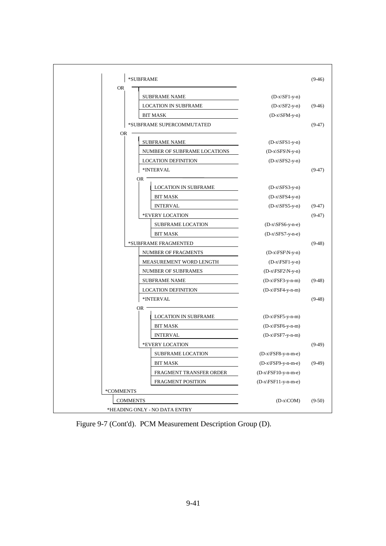| *SUBFRAME                          | $(9-46)$                         |
|------------------------------------|----------------------------------|
| <b>OR</b>                          |                                  |
| <b>SUBFRAME NAME</b>               | $(D-x\ST1-y-n)$                  |
| <b>LOCATION IN SUBFRAME</b>        | $(D-x\ST{ST2-y-n})$<br>$(9-46)$  |
| <b>BIT MASK</b>                    | $(D-x\ST M-y-n)$                 |
| *SUBFRAME SUPERCOMMUTATED          | $(9-47)$                         |
| <b>OR</b><br><b>SUBFRAME NAME</b>  | $(D-x\SFS1-y-n)$                 |
| NUMBER OF SUBFRAME LOCATIONS       | $(D-x\SFS\N-y-n)$                |
| <b>LOCATION DEFINITION</b>         | $(D-x\SFS2-y-n)$                 |
| *INTERVAL                          | $(9-47)$                         |
| OR.<br><b>LOCATION IN SUBFRAME</b> | $(D-x\SFS3-y-n)$                 |
| <b>BIT MASK</b>                    | $(D-x\SFS4-y-n)$                 |
| <b>INTERVAL</b>                    | $(D-x\SFS5-y-n)$<br>$(9-47)$     |
| *EVERY LOCATION                    | $(9-47)$                         |
| <b>SUBFRAME LOCATION</b>           | $(D-x\SFS6-y-n-e)$               |
| <b>BIT MASK</b>                    | $(D-x\SFS7-y-n-e)$               |
| *SUBFRAME FRAGMENTED               | $(9-48)$                         |
| NUMBER OF FRAGMENTS                | $(D-x\FSF\N-y-n)$                |
| MEASUREMENT WORD LENGTH            | $(D-x\FSF1-y-n)$                 |
| NUMBER OF SUBFRAMES                | $(D-x FSF2 N-y-n)$               |
| <b>SUBFRAME NAME</b>               | $(D-x\FSF3-y-n-m)$<br>$(9-48)$   |
| <b>LOCATION DEFINITION</b>         | $(D-x\F5F4-y-n-m)$               |
| *INTERVAL                          | $(9-48)$                         |
| OR<br><b>LOCATION IN SUBFRAME</b>  | $(D-x\FSF5-y-n-m)$               |
| <b>BIT MASK</b>                    | $(D-x\FSF6-y-n-m)$               |
| <b>INTERVAL</b>                    | $(D-x\FSF7-y-n-m)$               |
| *EVERY LOCATION                    | $(9-49)$                         |
| <b>SUBFRAME LOCATION</b>           | $(D-x\FSF8-y-n-m-e)$             |
| <b>BIT MASK</b>                    | $(D-x\FSF9-y-n-m-e)$<br>$(9-49)$ |
| FRAGMENT TRANSFER ORDER            | $(D-x\FSF10-y-n-m-e)$            |
| FRAGMENT POSITION                  | $(D-x\FSF11-y-n-m-e)$            |
| *COMMENTS                          |                                  |
| <b>COMMENTS</b>                    | $(D-x)COM$<br>$(9-50)$           |
| *HEADING ONLY - NO DATA ENTRY      |                                  |

Figure 9-7 (Cont'd). PCM Measurement Description Group (D).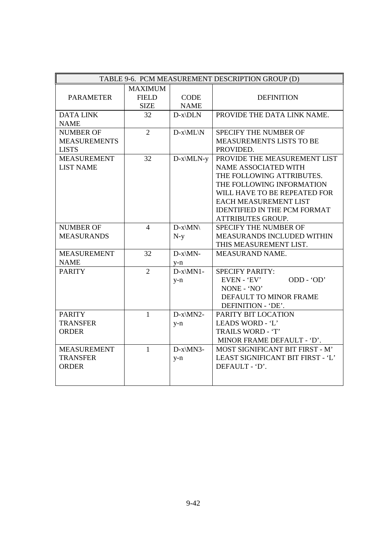|                     | TABLE 9-6. PCM MEASUREMENT DESCRIPTION GROUP (D) |             |                                     |  |  |
|---------------------|--------------------------------------------------|-------------|-------------------------------------|--|--|
|                     | <b>MAXIMUM</b>                                   |             |                                     |  |  |
| <b>PARAMETER</b>    | <b>FIELD</b>                                     | <b>CODE</b> | <b>DEFINITION</b>                   |  |  |
|                     | <b>SIZE</b>                                      | <b>NAME</b> |                                     |  |  |
| <b>DATA LINK</b>    | 32                                               | $D-x\D LN$  | PROVIDE THE DATA LINK NAME.         |  |  |
| <b>NAME</b>         |                                                  |             |                                     |  |  |
| <b>NUMBER OF</b>    | $\overline{2}$                                   | $D-x\M L\N$ | SPECIFY THE NUMBER OF               |  |  |
| <b>MEASUREMENTS</b> |                                                  |             | MEASUREMENTS LISTS TO BE            |  |  |
| <b>LISTS</b>        |                                                  |             | PROVIDED.                           |  |  |
| <b>MEASUREMENT</b>  | 32                                               | $D-x\MLN-y$ | PROVIDE THE MEASUREMENT LIST        |  |  |
| <b>LIST NAME</b>    |                                                  |             | NAME ASSOCIATED WITH                |  |  |
|                     |                                                  |             | THE FOLLOWING ATTRIBUTES.           |  |  |
|                     |                                                  |             | THE FOLLOWING INFORMATION           |  |  |
|                     |                                                  |             | WILL HAVE TO BE REPEATED FOR        |  |  |
|                     |                                                  |             | <b>EACH MEASUREMENT LIST</b>        |  |  |
|                     |                                                  |             | <b>IDENTIFIED IN THE PCM FORMAT</b> |  |  |
|                     |                                                  |             | <b>ATTRIBUTES GROUP.</b>            |  |  |
| <b>NUMBER OF</b>    | $\overline{4}$                                   | $D-x\MN$    | SPECIFY THE NUMBER OF               |  |  |
| <b>MEASURANDS</b>   |                                                  | $N-y$       | MEASURANDS INCLUDED WITHIN          |  |  |
|                     |                                                  |             | THIS MEASUREMENT LIST.              |  |  |
| <b>MEASUREMENT</b>  | 32                                               | $D-x\MN$ -  | <b>MEASURAND NAME.</b>              |  |  |
| <b>NAME</b>         |                                                  | $y-n$       |                                     |  |  |
| <b>PARITY</b>       | $\overline{2}$                                   | $D-x\MN1-$  | <b>SPECIFY PARITY:</b>              |  |  |
|                     |                                                  | $y-n$       | ODD - 'OD'<br>EVEN - 'EV'           |  |  |
|                     |                                                  |             | NONE - 'NO'                         |  |  |
|                     |                                                  |             | DEFAULT TO MINOR FRAME              |  |  |
|                     |                                                  |             | DEFINITION - 'DE'.                  |  |  |
| <b>PARITY</b>       | $\mathbf{1}$                                     | D-x\MN2-    | PARITY BIT LOCATION                 |  |  |
| <b>TRANSFER</b>     |                                                  | $y-n$       | LEADS WORD - 'L'                    |  |  |
| <b>ORDER</b>        |                                                  |             | TRAILS WORD - 'T'                   |  |  |
|                     |                                                  |             | MINOR FRAME DEFAULT - 'D'.          |  |  |
| <b>MEASUREMENT</b>  | $\mathbf{1}$                                     | D-x\MN3-    | MOST SIGNIFICANT BIT FIRST - M'     |  |  |
| <b>TRANSFER</b>     |                                                  | $y-n$       | LEAST SIGNIFICANT BIT FIRST - 'L'   |  |  |
| <b>ORDER</b>        |                                                  |             | DEFAULT - 'D'.                      |  |  |
|                     |                                                  |             |                                     |  |  |
|                     |                                                  |             |                                     |  |  |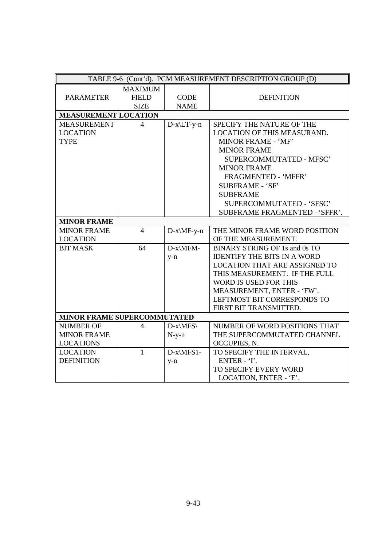|                                    |                |               | TABLE 9-6 (Cont'd). PCM MEASUREMENT DESCRIPTION GROUP (D) |
|------------------------------------|----------------|---------------|-----------------------------------------------------------|
|                                    | <b>MAXIMUM</b> |               |                                                           |
| <b>PARAMETER</b>                   | <b>FIELD</b>   | <b>CODE</b>   | <b>DEFINITION</b>                                         |
|                                    | <b>SIZE</b>    | <b>NAME</b>   |                                                           |
| <b>MEASUREMENT LOCATION</b>        |                |               |                                                           |
| <b>MEASUREMENT</b>                 | 4              | $D-x\L T-y-n$ | SPECIFY THE NATURE OF THE                                 |
| <b>LOCATION</b>                    |                |               | LOCATION OF THIS MEASURAND.                               |
| <b>TYPE</b>                        |                |               | MINOR FRAME - 'MF'                                        |
|                                    |                |               | <b>MINOR FRAME</b>                                        |
|                                    |                |               | <b>SUPERCOMMUTATED - MFSC'</b>                            |
|                                    |                |               | <b>MINOR FRAME</b>                                        |
|                                    |                |               | <b>FRAGMENTED - 'MFFR'</b>                                |
|                                    |                |               | <b>SUBFRAME - 'SF'</b>                                    |
|                                    |                |               | <b>SUBFRAME</b>                                           |
|                                    |                |               | SUPERCOMMUTATED - 'SFSC'                                  |
|                                    |                |               | SUBFRAME FRAGMENTED -'SFFR'.                              |
| <b>MINOR FRAME</b>                 |                |               |                                                           |
| <b>MINOR FRAME</b>                 | $\overline{4}$ | $D-x\MF-y-n$  | THE MINOR FRAME WORD POSITION                             |
| <b>LOCATION</b>                    |                |               | OF THE MEASUREMENT.                                       |
| <b>BIT MASK</b>                    | 64             | D-x\MFM-      | BINARY STRING OF 1s and 0s TO                             |
|                                    |                | $y-n$         | <b>IDENTIFY THE BITS IN A WORD</b>                        |
|                                    |                |               | <b>LOCATION THAT ARE ASSIGNED TO</b>                      |
|                                    |                |               | THIS MEASUREMENT. IF THE FULL                             |
|                                    |                |               | WORD IS USED FOR THIS                                     |
|                                    |                |               | MEASUREMENT, ENTER - 'FW'.                                |
|                                    |                |               | LEFTMOST BIT CORRESPONDS TO                               |
|                                    |                |               | FIRST BIT TRANSMITTED.                                    |
| <b>MINOR FRAME SUPERCOMMUTATED</b> |                |               |                                                           |
| <b>NUMBER OF</b>                   | 4              | $D-x\MFS\$    | NUMBER OF WORD POSITIONS THAT                             |
| <b>MINOR FRAME</b>                 |                | $N-y-n$       | THE SUPERCOMMUTATED CHANNEL                               |
| <b>LOCATIONS</b>                   |                |               | OCCUPIES, N.                                              |
| <b>LOCATION</b>                    | $\mathbf{1}$   | $D-x\MFS1-$   | TO SPECIFY THE INTERVAL,                                  |
| <b>DEFINITION</b>                  |                | $y-n$         | ENTER - 'I'.                                              |
|                                    |                |               | TO SPECIFY EVERY WORD                                     |
|                                    |                |               | LOCATION, ENTER - 'E'.                                    |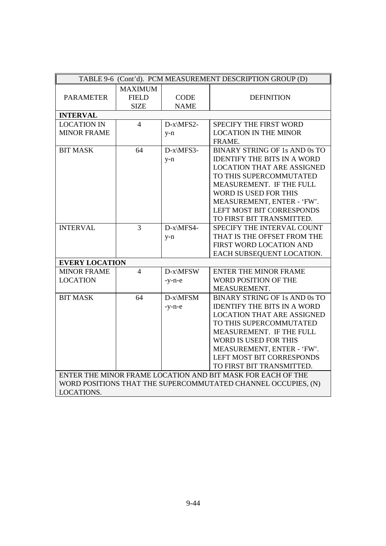| TABLE 9-6 (Cont'd). PCM MEASUREMENT DESCRIPTION GROUP (D) |                |             |                                                               |  |
|-----------------------------------------------------------|----------------|-------------|---------------------------------------------------------------|--|
|                                                           | <b>MAXIMUM</b> |             |                                                               |  |
| <b>PARAMETER</b>                                          | <b>FIELD</b>   | <b>CODE</b> | <b>DEFINITION</b>                                             |  |
|                                                           | <b>SIZE</b>    | <b>NAME</b> |                                                               |  |
| <b>INTERVAL</b>                                           |                |             |                                                               |  |
| <b>LOCATION IN</b>                                        | $\overline{4}$ | D-x\MFS2-   | <b>SPECIFY THE FIRST WORD</b>                                 |  |
| <b>MINOR FRAME</b>                                        |                | $y-n$       | <b>LOCATION IN THE MINOR</b>                                  |  |
|                                                           |                |             | FRAME.                                                        |  |
| <b>BIT MASK</b>                                           | 64             | D-x\MFS3-   | <b>BINARY STRING OF 1s AND 0s TO</b>                          |  |
|                                                           |                | $y-n$       | <b>IDENTIFY THE BITS IN A WORD</b>                            |  |
|                                                           |                |             | <b>LOCATION THAT ARE ASSIGNED</b>                             |  |
|                                                           |                |             | TO THIS SUPERCOMMUTATED                                       |  |
|                                                           |                |             | MEASUREMENT. IF THE FULL                                      |  |
|                                                           |                |             | <b>WORD IS USED FOR THIS</b>                                  |  |
|                                                           |                |             | MEASUREMENT, ENTER - 'FW'.                                    |  |
|                                                           |                |             | <b>LEFT MOST BIT CORRESPONDS</b>                              |  |
|                                                           |                |             | TO FIRST BIT TRANSMITTED.                                     |  |
| <b>INTERVAL</b>                                           | 3              | D-x\MFS4-   | SPECIFY THE INTERVAL COUNT                                    |  |
|                                                           |                | $y-n$       | THAT IS THE OFFSET FROM THE                                   |  |
|                                                           |                |             | FIRST WORD LOCATION AND                                       |  |
|                                                           |                |             | EACH SUBSEQUENT LOCATION.                                     |  |
| <b>EVERY LOCATION</b>                                     |                |             |                                                               |  |
| <b>MINOR FRAME</b>                                        | $\overline{4}$ | D-x\MFSW    | <b>ENTER THE MINOR FRAME</b>                                  |  |
| <b>LOCATION</b>                                           |                | $-y-n-e$    | WORD POSITION OF THE                                          |  |
|                                                           |                |             | MEASUREMENT.                                                  |  |
| <b>BIT MASK</b>                                           | 64             | D-x\MFSM    | <b>BINARY STRING OF 1s AND 0s TO</b>                          |  |
|                                                           |                | $-y-n-e$    | <b>IDENTIFY THE BITS IN A WORD</b>                            |  |
|                                                           |                |             | <b>LOCATION THAT ARE ASSIGNED</b>                             |  |
|                                                           |                |             | TO THIS SUPERCOMMUTATED                                       |  |
|                                                           |                |             | MEASUREMENT. IF THE FULL                                      |  |
|                                                           |                |             | <b>WORD IS USED FOR THIS</b>                                  |  |
|                                                           |                |             | MEASUREMENT, ENTER - 'FW'.                                    |  |
|                                                           |                |             | LEFT MOST BIT CORRESPONDS                                     |  |
|                                                           |                |             | TO FIRST BIT TRANSMITTED.                                     |  |
|                                                           |                |             | ENTER THE MINOR FRAME LOCATION AND BIT MASK FOR EACH OF THE   |  |
|                                                           |                |             | WORD POSITIONS THAT THE SUPERCOMMUTATED CHANNEL OCCUPIES, (N) |  |
| LOCATIONS.                                                |                |             |                                                               |  |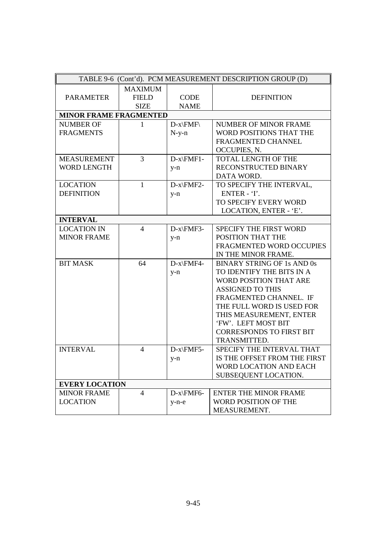|                               |                |              | TABLE 9-6 (Cont'd). PCM MEASUREMENT DESCRIPTION GROUP (D) |
|-------------------------------|----------------|--------------|-----------------------------------------------------------|
|                               | <b>MAXIMUM</b> |              |                                                           |
| <b>PARAMETER</b>              | <b>FIELD</b>   | <b>CODE</b>  | <b>DEFINITION</b>                                         |
|                               | <b>SIZE</b>    | <b>NAME</b>  |                                                           |
| <b>MINOR FRAME FRAGMENTED</b> |                |              |                                                           |
| <b>NUMBER OF</b>              | 1              | $D-x\$ $FMF$ | <b>NUMBER OF MINOR FRAME</b>                              |
| <b>FRAGMENTS</b>              |                | $N-y-n$      | WORD POSITIONS THAT THE                                   |
|                               |                |              | FRAGMENTED CHANNEL                                        |
|                               |                |              | OCCUPIES, N.                                              |
| <b>MEASUREMENT</b>            | 3              | $D-x\FMF1-$  | <b>TOTAL LENGTH OF THE</b>                                |
| <b>WORD LENGTH</b>            |                | $y-n$        | RECONSTRUCTED BINARY                                      |
|                               |                |              | DATA WORD.                                                |
| <b>LOCATION</b>               | $\mathbf{1}$   | $D-x\FMF2-$  | TO SPECIFY THE INTERVAL,                                  |
| <b>DEFINITION</b>             |                | $y-n$        | ENTER - 'I'.                                              |
|                               |                |              | TO SPECIFY EVERY WORD                                     |
|                               |                |              | LOCATION, ENTER - 'E'.                                    |
| <b>INTERVAL</b>               |                |              |                                                           |
| <b>LOCATION IN</b>            | $\overline{4}$ | D-x\FMF3-    | SPECIFY THE FIRST WORD                                    |
| <b>MINOR FRAME</b>            |                | $y-n$        | POSITION THAT THE                                         |
|                               |                |              | FRAGMENTED WORD OCCUPIES                                  |
|                               |                |              | IN THE MINOR FRAME.                                       |
| <b>BIT MASK</b>               | 64             | D-x\FMF4-    | <b>BINARY STRING OF 1s AND 0s</b>                         |
|                               |                | $y-n$        | TO IDENTIFY THE BITS IN A                                 |
|                               |                |              | WORD POSITION THAT ARE                                    |
|                               |                |              | <b>ASSIGNED TO THIS</b>                                   |
|                               |                |              | FRAGMENTED CHANNEL. IF                                    |
|                               |                |              | THE FULL WORD IS USED FOR                                 |
|                               |                |              | THIS MEASUREMENT, ENTER                                   |
|                               |                |              | 'FW'. LEFT MOST BIT                                       |
|                               |                |              | <b>CORRESPONDS TO FIRST BIT</b>                           |
|                               |                |              | TRANSMITTED.                                              |
| <b>INTERVAL</b>               | $\overline{4}$ | D-x\FMF5-    | SPECIFY THE INTERVAL THAT                                 |
|                               |                | $y-n$        | IS THE OFFSET FROM THE FIRST                              |
|                               |                |              | WORD LOCATION AND EACH                                    |
|                               |                |              | SUBSEQUENT LOCATION.                                      |
| <b>EVERY LOCATION</b>         |                |              |                                                           |
| <b>MINOR FRAME</b>            | $\overline{4}$ | $D-x\FMF6-$  | <b>ENTER THE MINOR FRAME</b>                              |
| <b>LOCATION</b>               |                | $y-n-e$      | WORD POSITION OF THE                                      |
|                               |                |              | MEASUREMENT.                                              |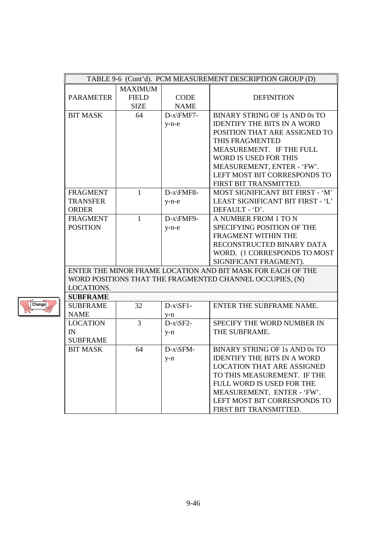|                  | TABLE 9-6 (Cont'd). PCM MEASUREMENT DESCRIPTION GROUP (D) |             |                                                             |  |  |
|------------------|-----------------------------------------------------------|-------------|-------------------------------------------------------------|--|--|
|                  | <b>MAXIMUM</b>                                            |             |                                                             |  |  |
| <b>PARAMETER</b> | <b>FIELD</b>                                              | <b>CODE</b> | <b>DEFINITION</b>                                           |  |  |
|                  | <b>SIZE</b>                                               | <b>NAME</b> |                                                             |  |  |
| <b>BIT MASK</b>  | 64                                                        | D-x\FMF7-   | BINARY STRING OF 1s AND 0s TO                               |  |  |
|                  |                                                           | $y-n-e$     | <b>IDENTIFY THE BITS IN A WORD</b>                          |  |  |
|                  |                                                           |             | POSITION THAT ARE ASSIGNED TO                               |  |  |
|                  |                                                           |             | THIS FRAGMENTED                                             |  |  |
|                  |                                                           |             | MEASUREMENT. IF THE FULL                                    |  |  |
|                  |                                                           |             | WORD IS USED FOR THIS                                       |  |  |
|                  |                                                           |             | MEASUREMENT, ENTER - 'FW'.                                  |  |  |
|                  |                                                           |             | LEFT MOST BIT CORRESPONDS TO                                |  |  |
|                  |                                                           |             | FIRST BIT TRANSMITTED.                                      |  |  |
| <b>FRAGMENT</b>  | $\mathbf{1}$                                              | D-x\FMF8-   | MOST SIGNIFICANT BIT FIRST - 'M'                            |  |  |
| <b>TRANSFER</b>  |                                                           | $y-n-e$     | LEAST SIGNIFICANT BIT FIRST - 'L'                           |  |  |
| <b>ORDER</b>     |                                                           |             | DEFAULT - 'D'.                                              |  |  |
| <b>FRAGMENT</b>  | 1                                                         | D-x\FMF9-   | A NUMBER FROM 1 TO N                                        |  |  |
| <b>POSITION</b>  |                                                           | $y-n-e$     | SPECIFYING POSITION OF THE                                  |  |  |
|                  |                                                           |             | FRAGMENT WITHIN THE                                         |  |  |
|                  |                                                           |             | RECONSTRUCTED BINARY DATA                                   |  |  |
|                  |                                                           |             | WORD. (1 CORRESPONDS TO MOST                                |  |  |
|                  |                                                           |             | SIGNIFICANT FRAGMENT).                                      |  |  |
|                  |                                                           |             | ENTER THE MINOR FRAME LOCATION AND BIT MASK FOR EACH OF THE |  |  |
|                  |                                                           |             | WORD POSITIONS THAT THE FRAGMENTED CHANNEL OCCUPIES, (N)    |  |  |
| LOCATIONS.       |                                                           |             |                                                             |  |  |
| <b>SUBFRAME</b>  |                                                           |             |                                                             |  |  |
| <b>SUBFRAME</b>  | 32                                                        | $D-x\$ F1-  | ENTER THE SUBFRAME NAME.                                    |  |  |
| <b>NAME</b>      |                                                           | $y-n$       |                                                             |  |  |
| <b>LOCATION</b>  | 3                                                         | $D-x\$ 5F2- | SPECIFY THE WORD NUMBER IN                                  |  |  |
| IN               |                                                           | $y-n$       | THE SUBFRAME.                                               |  |  |
| <b>SUBFRAME</b>  |                                                           |             |                                                             |  |  |
| <b>BIT MASK</b>  | 64                                                        | D-x\SFM-    | <b>BINARY STRING OF 1s AND 0s TO</b>                        |  |  |
|                  |                                                           | $y-n$       | <b>IDENTIFY THE BITS IN A WORD</b>                          |  |  |
|                  |                                                           |             | <b>LOCATION THAT ARE ASSIGNED</b>                           |  |  |
|                  |                                                           |             | TO THIS MEASUREMENT. IF THE                                 |  |  |
|                  |                                                           |             | FULL WORD IS USED FOR THE                                   |  |  |
|                  |                                                           |             | MEASUREMENT, ENTER - 'FW'.                                  |  |  |
|                  |                                                           |             | LEFT MOST BIT CORRESPONDS TO                                |  |  |
|                  |                                                           |             | FIRST BIT TRANSMITTED.                                      |  |  |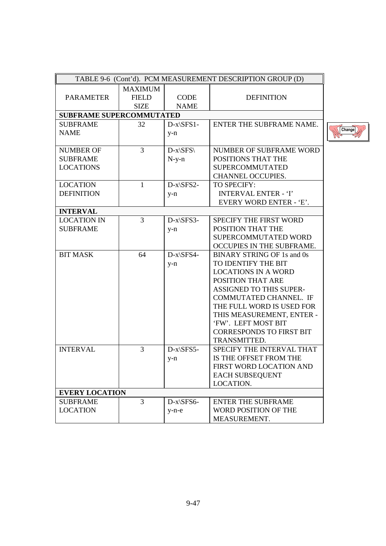|                                 |                |                          | TABLE 9-6 (Cont'd). PCM MEASUREMENT DESCRIPTION GROUP (D) |        |
|---------------------------------|----------------|--------------------------|-----------------------------------------------------------|--------|
|                                 | <b>MAXIMUM</b> |                          |                                                           |        |
| <b>PARAMETER</b>                | <b>FIELD</b>   | <b>CODE</b>              | <b>DEFINITION</b>                                         |        |
|                                 | <b>SIZE</b>    | <b>NAME</b>              |                                                           |        |
| <b>SUBFRAME SUPERCOMMUTATED</b> |                |                          |                                                           |        |
| <b>SUBFRAME</b>                 | 32             | $D-x\SFS1-$              | ENTER THE SUBFRAME NAME.                                  |        |
| <b>NAME</b>                     |                | $y-n$                    |                                                           | Change |
|                                 |                |                          |                                                           |        |
| <b>NUMBER OF</b>                | $\overline{3}$ | $D-x\langle SFS \rangle$ | NUMBER OF SUBFRAME WORD                                   |        |
| <b>SUBFRAME</b>                 |                | $N-y-n$                  | POSITIONS THAT THE                                        |        |
| <b>LOCATIONS</b>                |                |                          | <b>SUPERCOMMUTATED</b>                                    |        |
|                                 |                |                          | CHANNEL OCCUPIES.                                         |        |
| <b>LOCATION</b>                 | 1              | $D-x\SFS2-$              | TO SPECIFY:                                               |        |
| <b>DEFINITION</b>               |                | $y-n$                    | <b>INTERVAL ENTER - 'I'</b>                               |        |
|                                 |                |                          | <b>EVERY WORD ENTER - 'E'.</b>                            |        |
| <b>INTERVAL</b>                 |                |                          |                                                           |        |
| <b>LOCATION IN</b>              | 3              | $D-x\SFS3-$              | SPECIFY THE FIRST WORD                                    |        |
| <b>SUBFRAME</b>                 |                | $y-n$                    | POSITION THAT THE                                         |        |
|                                 |                |                          | SUPERCOMMUTATED WORD                                      |        |
|                                 |                |                          | OCCUPIES IN THE SUBFRAME.                                 |        |
| <b>BIT MASK</b>                 | 64             | $D-x\$ SFS4-             | <b>BINARY STRING OF 1s and 0s</b>                         |        |
|                                 |                | $y-n$                    | TO IDENTIFY THE BIT                                       |        |
|                                 |                |                          | <b>LOCATIONS IN A WORD</b>                                |        |
|                                 |                |                          | POSITION THAT ARE                                         |        |
|                                 |                |                          | ASSIGNED TO THIS SUPER-                                   |        |
|                                 |                |                          | COMMUTATED CHANNEL. IF                                    |        |
|                                 |                |                          | THE FULL WORD IS USED FOR                                 |        |
|                                 |                |                          | THIS MEASUREMENT, ENTER -                                 |        |
|                                 |                |                          | 'FW'. LEFT MOST BIT                                       |        |
|                                 |                |                          | <b>CORRESPONDS TO FIRST BIT</b>                           |        |
|                                 |                |                          | TRANSMITTED.                                              |        |
| <b>INTERVAL</b>                 | $\overline{3}$ | $D-x\SFS5-$              | SPECIFY THE INTERVAL THAT                                 |        |
|                                 |                | $y-n$                    | IS THE OFFSET FROM THE                                    |        |
|                                 |                |                          | FIRST WORD LOCATION AND                                   |        |
|                                 |                |                          | <b>EACH SUBSEQUENT</b>                                    |        |
|                                 |                |                          | LOCATION.                                                 |        |
| <b>EVERY LOCATION</b>           |                |                          |                                                           |        |
| <b>SUBFRAME</b>                 | 3              | $D-x\$ SFS6-             | <b>ENTER THE SUBFRAME</b>                                 |        |
| <b>LOCATION</b>                 |                | $y-n-e$                  | WORD POSITION OF THE                                      |        |
|                                 |                |                          | MEASUREMENT.                                              |        |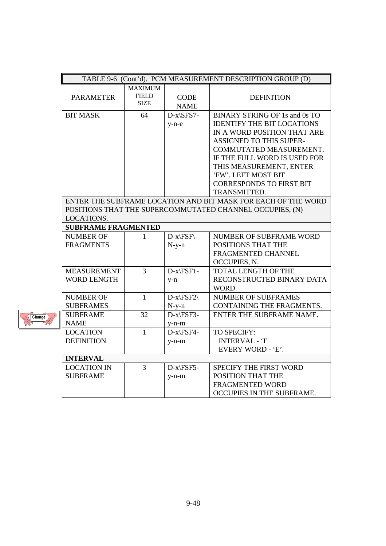|                                                          | TABLE 9-6 (Cont'd). PCM MEASUREMENT DESCRIPTION GROUP (D) |                                               |                            |                                                               |  |
|----------------------------------------------------------|-----------------------------------------------------------|-----------------------------------------------|----------------------------|---------------------------------------------------------------|--|
|                                                          | <b>PARAMETER</b>                                          | <b>MAXIMUM</b><br><b>FIELD</b><br><b>SIZE</b> | <b>CODE</b><br><b>NAME</b> | <b>DEFINITION</b>                                             |  |
|                                                          | <b>BIT MASK</b>                                           | 64                                            | D-x\SFS7-                  | <b>BINARY STRING OF 1s and 0s TO</b>                          |  |
|                                                          |                                                           |                                               | $y-n-e$                    | <b>IDENTIFY THE BIT LOCATIONS</b>                             |  |
|                                                          |                                                           |                                               |                            | IN A WORD POSITION THAT ARE                                   |  |
|                                                          |                                                           |                                               |                            | ASSIGNED TO THIS SUPER-                                       |  |
|                                                          |                                                           |                                               |                            | COMMUTATED MEASUREMENT.                                       |  |
|                                                          |                                                           |                                               |                            | IF THE FULL WORD IS USED FOR                                  |  |
|                                                          |                                                           |                                               |                            | THIS MEASUREMENT, ENTER                                       |  |
|                                                          |                                                           |                                               |                            | 'FW'. LEFT MOST BIT                                           |  |
|                                                          |                                                           |                                               |                            | <b>CORRESPONDS TO FIRST BIT</b>                               |  |
|                                                          |                                                           |                                               |                            | TRANSMITTED.                                                  |  |
|                                                          |                                                           |                                               |                            | ENTER THE SUBFRAME LOCATION AND BIT MASK FOR EACH OF THE WORD |  |
| POSITIONS THAT THE SUPERCOMMUTATED CHANNEL OCCUPIES, (N) |                                                           |                                               |                            |                                                               |  |
|                                                          | LOCATIONS.                                                |                                               |                            |                                                               |  |
|                                                          | <b>SUBFRAME FRAGMENTED</b>                                |                                               |                            |                                                               |  |
|                                                          | <b>NUMBER OF</b>                                          | 1                                             | $D-x\F5F$                  | NUMBER OF SUBFRAME WORD                                       |  |
|                                                          | <b>FRAGMENTS</b>                                          |                                               | $N-y-n$                    | POSITIONS THAT THE                                            |  |
|                                                          |                                                           |                                               |                            | FRAGMENTED CHANNEL                                            |  |
|                                                          |                                                           |                                               |                            | OCCUPIES, N.                                                  |  |
|                                                          | <b>MEASUREMENT</b>                                        | 3                                             | D-x\FSF1-                  | TOTAL LENGTH OF THE                                           |  |
|                                                          | <b>WORD LENGTH</b>                                        |                                               | $y-n$                      | RECONSTRUCTED BINARY DATA                                     |  |
|                                                          |                                                           |                                               |                            | WORD.                                                         |  |
|                                                          | <b>NUMBER OF</b>                                          | $\mathbf{1}$                                  | $\text{D-x}\$              | <b>NUMBER OF SUBFRAMES</b>                                    |  |
|                                                          | <b>SUBFRAMES</b>                                          |                                               | $N-y-n$                    | CONTAINING THE FRAGMENTS.                                     |  |
|                                                          | <b>SUBFRAME</b>                                           | 32                                            | D-x\FSF3-                  | ENTER THE SUBFRAME NAME.                                      |  |
|                                                          | <b>NAME</b>                                               |                                               | $y-n-m$                    |                                                               |  |
|                                                          | <b>LOCATION</b>                                           | $\mathbf{1}$                                  | $D-x\F5F4-$                | TO SPECIFY:                                                   |  |
|                                                          | <b>DEFINITION</b>                                         |                                               | $y-n-m$                    | <b>INTERVAL - 'I'</b>                                         |  |
|                                                          |                                                           |                                               |                            | EVERY WORD - 'E'.                                             |  |
|                                                          | <b>INTERVAL</b>                                           |                                               |                            |                                                               |  |
|                                                          | <b>LOCATION IN</b>                                        | $\overline{3}$                                | D-x\FSF5-                  | SPECIFY THE FIRST WORD                                        |  |
|                                                          | <b>SUBFRAME</b>                                           |                                               | $y-n-m$                    | POSITION THAT THE                                             |  |
|                                                          |                                                           |                                               |                            | FRAGMENTED WORD                                               |  |
|                                                          |                                                           |                                               |                            | OCCUPIES IN THE SUBFRAME.                                     |  |

Change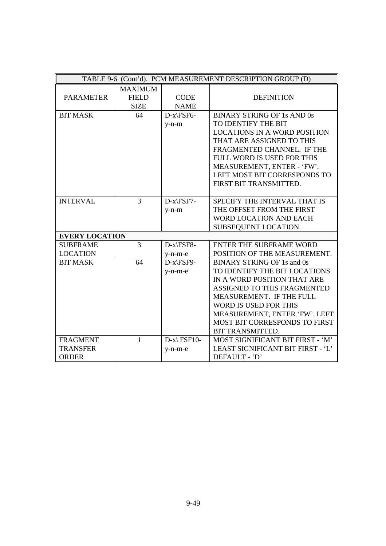|                                    |                |               | TABLE 9-6 (Cont'd). PCM MEASUREMENT DESCRIPTION GROUP (D)             |
|------------------------------------|----------------|---------------|-----------------------------------------------------------------------|
|                                    | <b>MAXIMUM</b> |               |                                                                       |
| <b>PARAMETER</b>                   | <b>FIELD</b>   | <b>CODE</b>   | <b>DEFINITION</b>                                                     |
|                                    | <b>SIZE</b>    | <b>NAME</b>   |                                                                       |
| <b>BIT MASK</b>                    | 64             | D-x\FSF6-     | <b>BINARY STRING OF 1s AND 0s</b>                                     |
|                                    |                | $y-n-m$       | TO IDENTIFY THE BIT                                                   |
|                                    |                |               | <b>LOCATIONS IN A WORD POSITION</b>                                   |
|                                    |                |               | THAT ARE ASSIGNED TO THIS                                             |
|                                    |                |               | FRAGMENTED CHANNEL. IF THE                                            |
|                                    |                |               | FULL WORD IS USED FOR THIS                                            |
|                                    |                |               | MEASUREMENT, ENTER - 'FW'.                                            |
|                                    |                |               | LEFT MOST BIT CORRESPONDS TO                                          |
|                                    |                |               | FIRST BIT TRANSMITTED.                                                |
|                                    |                |               |                                                                       |
| <b>INTERVAL</b>                    | $\overline{3}$ | D-x\FSF7-     | SPECIFY THE INTERVAL THAT IS                                          |
|                                    |                | $y-n-m$       | THE OFFSET FROM THE FIRST                                             |
|                                    |                |               | WORD LOCATION AND EACH                                                |
|                                    |                |               | SUBSEQUENT LOCATION.                                                  |
| <b>EVERY LOCATION</b>              |                |               |                                                                       |
| <b>SUBFRAME</b>                    | 3              | D-x\FSF8-     | <b>ENTER THE SUBFRAME WORD</b>                                        |
| <b>LOCATION</b>                    |                | $v-n-m-e$     | POSITION OF THE MEASUREMENT.                                          |
| <b>BIT MASK</b>                    | 64             | D-x\FSF9-     | <b>BINARY STRING OF 1s and 0s</b>                                     |
|                                    |                | $y-n-m-e$     | TO IDENTIFY THE BIT LOCATIONS                                         |
|                                    |                |               | IN A WORD POSITION THAT ARE                                           |
|                                    |                |               | ASSIGNED TO THIS FRAGMENTED                                           |
|                                    |                |               | MEASUREMENT. IF THE FULL                                              |
|                                    |                |               | WORD IS USED FOR THIS                                                 |
|                                    |                |               | MEASUREMENT, ENTER 'FW'. LEFT<br>MOST BIT CORRESPONDS TO FIRST        |
|                                    |                |               |                                                                       |
|                                    |                |               | BIT TRANSMITTED.                                                      |
| <b>FRAGMENT</b><br><b>TRANSFER</b> | $\mathbf{1}$   | $D-x\$ FSF10- | MOST SIGNIFICANT BIT FIRST - 'M'<br>LEAST SIGNIFICANT BIT FIRST - 'L' |
| <b>ORDER</b>                       |                | $y-n-m-e$     | DEFAULT - 'D'                                                         |
|                                    |                |               |                                                                       |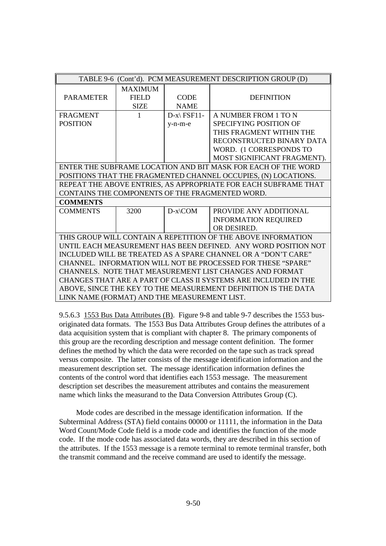|                                                                 |                                                         |                        | TABLE 9-6 (Cont'd). PCM MEASUREMENT DESCRIPTION GROUP (D)       |  |  |
|-----------------------------------------------------------------|---------------------------------------------------------|------------------------|-----------------------------------------------------------------|--|--|
|                                                                 | <b>MAXIMUM</b>                                          |                        |                                                                 |  |  |
| <b>PARAMETER</b>                                                | <b>FIELD</b>                                            | <b>CODE</b>            | <b>DEFINITION</b>                                               |  |  |
|                                                                 | <b>SIZE</b>                                             | <b>NAME</b>            |                                                                 |  |  |
| <b>FRAGMENT</b>                                                 | $\mathbf{1}$                                            | $D-x\$ FSF11-          | A NUMBER FROM 1 TO N                                            |  |  |
| <b>POSITION</b>                                                 |                                                         | $y-n-m-e$              | <b>SPECIFYING POSITION OF</b>                                   |  |  |
|                                                                 |                                                         |                        | THIS FRAGMENT WITHIN THE                                        |  |  |
|                                                                 |                                                         |                        | RECONSTRUCTED BINARY DATA                                       |  |  |
|                                                                 |                                                         |                        | WORD. (1 CORRESPONDS TO                                         |  |  |
|                                                                 |                                                         |                        | MOST SIGNIFICANT FRAGMENT).                                     |  |  |
|                                                                 |                                                         |                        | ENTER THE SUBFRAME LOCATION AND BIT MASK FOR EACH OF THE WORD   |  |  |
|                                                                 |                                                         |                        | POSITIONS THAT THE FRAGMENTED CHANNEL OCCUPIES, (N) LOCATIONS.  |  |  |
|                                                                 |                                                         |                        | REPEAT THE ABOVE ENTRIES, AS APPROPRIATE FOR EACH SUBFRAME THAT |  |  |
|                                                                 |                                                         |                        | CONTAINS THE COMPONENTS OF THE FRAGMENTED WORD.                 |  |  |
| <b>COMMENTS</b>                                                 |                                                         |                        |                                                                 |  |  |
| <b>COMMENTS</b>                                                 | 3200                                                    | $D-x\$ complement{COM} | PROVIDE ANY ADDITIONAL                                          |  |  |
|                                                                 |                                                         |                        | <b>INFORMATION REQUIRED</b>                                     |  |  |
|                                                                 |                                                         |                        | OR DESIRED.                                                     |  |  |
|                                                                 |                                                         |                        | THIS GROUP WILL CONTAIN A REPETITION OF THE ABOVE INFORMATION   |  |  |
|                                                                 |                                                         |                        | UNTIL EACH MEASUREMENT HAS BEEN DEFINED. ANY WORD POSITION NOT  |  |  |
|                                                                 |                                                         |                        | INCLUDED WILL BE TREATED AS A SPARE CHANNEL OR A "DON'T CARE"   |  |  |
| CHANNEL. INFORMATION WILL NOT BE PROCESSED FOR THESE "SPARE"    |                                                         |                        |                                                                 |  |  |
|                                                                 | CHANNELS. NOTE THAT MEASUREMENT LIST CHANGES AND FORMAT |                        |                                                                 |  |  |
| CHANGES THAT ARE A PART OF CLASS II SYSTEMS ARE INCLUDED IN THE |                                                         |                        |                                                                 |  |  |
|                                                                 |                                                         |                        | ABOVE, SINCE THE KEY TO THE MEASUREMENT DEFINITION IS THE DATA  |  |  |
| LINK NAME (FORMAT) AND THE MEASUREMENT LIST.                    |                                                         |                        |                                                                 |  |  |

9.5.6.3 1553 Bus Data Attributes (B). Figure 9-8 and table 9-7 describes the 1553 busoriginated data formats. The 1553 Bus Data Attributes Group defines the attributes of a data acquisition system that is compliant with chapter 8. The primary components of this group are the recording description and message content definition. The former defines the method by which the data were recorded on the tape such as track spread versus composite. The latter consists of the message identification information and the measurement description set. The message identification information defines the contents of the control word that identifies each 1553 message. The measurement description set describes the measurement attributes and contains the measurement name which links the measurand to the Data Conversion Attributes Group (C).

 Mode codes are described in the message identification information. If the Subterminal Address (STA) field contains 00000 or 11111, the information in the Data Word Count/Mode Code field is a mode code and identifies the function of the mode code. If the mode code has associated data words, they are described in this section of the attributes. If the 1553 message is a remote terminal to remote terminal transfer, both the transmit command and the receive command are used to identify the message.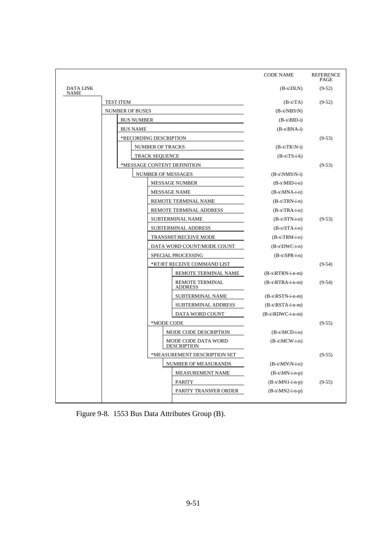|                                 |                        |                       |                                           | <b>CODE NAME</b>       | <b>REFERENCE</b><br>PAGE |
|---------------------------------|------------------------|-----------------------|-------------------------------------------|------------------------|--------------------------|
| <b>DATA LINK</b><br><b>NAME</b> |                        |                       |                                           | $(B-x DLN)$            | $(9-52)$                 |
|                                 | <b>TEST ITEM</b>       |                       |                                           | $(B-x TA)$             | $(9-52)$                 |
|                                 | <b>NUMBER OF BUSES</b> |                       |                                           | $(B-x\NBS\N)$          |                          |
|                                 | <b>BUS NUMBER</b>      |                       |                                           | $(B-x\cdot BID-i)$     |                          |
|                                 | <b>BUS NAME</b>        |                       |                                           | $(B-x\B)A-i)$          |                          |
|                                 | *RECORDING DESCRIPTION |                       |                                           |                        | $(9-53)$                 |
|                                 |                        | NUMBER OF TRACKS      |                                           | $(B-x\ TK\ N-i)$       |                          |
|                                 |                        | <b>TRACK SEQUENCE</b> |                                           | $(B-x TS-i-k)$         |                          |
|                                 |                        |                       | *MESSAGE CONTENT DEFINITION               |                        | $(9-53)$                 |
|                                 |                        | NUMBER OF MESSAGES    |                                           | $(B-x\NMS\N-i)$        |                          |
|                                 |                        |                       | <b>MESSAGE NUMBER</b>                     | $(B-x\MID-i-n)$        |                          |
|                                 |                        |                       | <b>MESSAGE NAME</b>                       | $(B-x\MNA-i-n)$        |                          |
|                                 |                        |                       | REMOTE TERMINAL NAME                      | $(B-x\TRN-i-n)$        |                          |
|                                 |                        |                       | REMOTE TERMINAL ADDRESS                   | $(B-x\TRA-i-n)$        |                          |
|                                 |                        |                       | SUBTERMINAL NAME                          | $(B-x\STN-i-n)$        | $(9-53)$                 |
|                                 |                        |                       | SUBTERMINAL ADDRESS                       | $(B-x\STA-i-n)$        |                          |
|                                 |                        |                       | TRANSMIT/RECEIVE MODE                     | $(B-x\TRM-i-n)$        |                          |
|                                 |                        |                       | DATA WORD COUNT/MODE COUNT                | $(B-x)DWC-i-n)$        |                          |
|                                 |                        |                       | SPECIAL PROCESSING                        | $(B-x\SPR-i-n)$        |                          |
|                                 |                        |                       | *RT/RT RECEIVE COMMAND LIST               |                        | $(9-54)$                 |
|                                 |                        |                       | REMOTE TERMINAL NAME                      | $(B-x\RTRN-i-n-m)$     |                          |
|                                 |                        |                       | <b>REMOTE TERMINAL</b><br><b>ADDRESS</b>  | $(B-x)$ RTRA-i-n-m $)$ | $(9-54)$                 |
|                                 |                        |                       | SUBTERMINAL NAME                          | $(B-x)$ RSTN-i-n-m     |                          |
|                                 |                        |                       | SUBTERMINAL ADDRESS                       | $(B-x)$ RSTA-i-n-m     |                          |
|                                 |                        |                       | DATA WORD COUNT                           | $(B-x)$ RDWC-i-n-m $)$ |                          |
|                                 |                        | *MODE CODE            |                                           |                        | $(9-55)$                 |
|                                 |                        |                       | MODE CODE DESCRIPTION                     | $(B-x\MCD-i-n)$        |                          |
|                                 |                        |                       | MODE CODE DATA WORD<br><b>DESCRIPTION</b> | $(B-x\MCW-i-n)$        |                          |
|                                 |                        |                       | *MEASUREMENT DESCRIPTION SET              |                        | $(9-55)$                 |
|                                 |                        |                       | NUMBER OF MEASURANDS                      | $(B-x\MN\N-i-n)$       |                          |
|                                 |                        |                       | MEASUREMENT NAME                          | $(B-x\MN-i-n-p)$       |                          |
|                                 |                        |                       | <b>PARITY</b>                             | $(B-x\M N1-i-n-p)$     | $(9-55)$                 |
|                                 |                        |                       | PARITY TRANSFER ORDER                     | $(B-x\MN2-i-n-p)$      |                          |

Figure 9-8. 1553 Bus Data Attributes Group (B).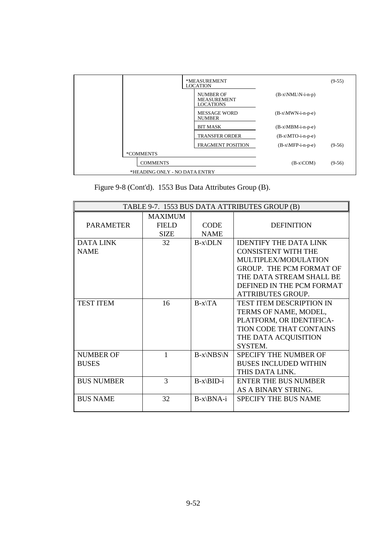|                               | *MEASUREMENT<br><b>LOCATION</b>                            |                               | $(9-55)$ |
|-------------------------------|------------------------------------------------------------|-------------------------------|----------|
|                               | <b>NUMBER OF</b><br><b>MEASUREMENT</b><br><b>LOCATIONS</b> | $(B-x\M/L\N-i-n-p)$           |          |
|                               | <b>MESSAGE WORD</b><br><b>NUMBER</b>                       | $(B-x\MWN-i-n-p-e)$           |          |
|                               | <b>BIT MASK</b>                                            | $(B-x\backslash MBM-i-n-p-e)$ |          |
|                               | <b>TRANSFER ORDER</b>                                      | $(B-x\MTO-i-n-p-e)$           |          |
|                               | <b>FRAGMENT POSITION</b>                                   | $(B-x\MFP-i-n-p-e)$           | $(9-56)$ |
| *COMMENTS                     |                                                            |                               |          |
| <b>COMMENTS</b>               |                                                            | $(B-x COM)$                   | $(9-56)$ |
| *HEADING ONLY - NO DATA ENTRY |                                                            |                               |          |

| Figure 9-8 (Cont'd). 1553 Bus Data Attributes Group (B). |  |  |  |  |
|----------------------------------------------------------|--|--|--|--|
|----------------------------------------------------------|--|--|--|--|

|                   | TABLE 9-7. 1553 BUS DATA ATTRIBUTES GROUP (B) |             |                                 |  |  |
|-------------------|-----------------------------------------------|-------------|---------------------------------|--|--|
|                   | <b>MAXIMUM</b>                                |             |                                 |  |  |
| <b>PARAMETER</b>  | FIELD                                         | <b>CODE</b> | <b>DEFINITION</b>               |  |  |
|                   | <b>SIZE</b>                                   | <b>NAME</b> |                                 |  |  |
| <b>DATA LINK</b>  | 32                                            | $B-x\D LN$  | <b>IDENTIFY THE DATA LINK</b>   |  |  |
| <b>NAME</b>       |                                               |             | <b>CONSISTENT WITH THE</b>      |  |  |
|                   |                                               |             | MULTIPLEX/MODULATION            |  |  |
|                   |                                               |             | GROUP. THE PCM FORMAT OF        |  |  |
|                   |                                               |             | THE DATA STREAM SHALL BE        |  |  |
|                   |                                               |             | DEFINED IN THE PCM FORMAT       |  |  |
|                   |                                               |             | <b>ATTRIBUTES GROUP.</b>        |  |  |
| <b>TEST ITEM</b>  | 16                                            | $B-x\$ A    | <b>TEST ITEM DESCRIPTION IN</b> |  |  |
|                   |                                               |             | TERMS OF NAME, MODEL,           |  |  |
|                   |                                               |             | PLATFORM, OR IDENTIFICA-        |  |  |
|                   |                                               |             | <b>TION CODE THAT CONTAINS</b>  |  |  |
|                   |                                               |             | THE DATA ACQUISITION            |  |  |
|                   |                                               |             | SYSTEM.                         |  |  |
| NUMBER OF         | 1                                             | $B-x\NBS\N$ | <b>SPECIFY THE NUMBER OF</b>    |  |  |
| <b>BUSES</b>      |                                               |             | <b>BUSES INCLUDED WITHIN</b>    |  |  |
|                   |                                               |             | THIS DATA LINK.                 |  |  |
| <b>BUS NUMBER</b> | $\mathcal{R}$                                 | $B-x\BID-i$ | <b>ENTER THE BUS NUMBER</b>     |  |  |
|                   |                                               |             | AS A BINARY STRING.             |  |  |
| <b>BUS NAME</b>   | 32                                            | $B-x\BNA-i$ | SPECIFY THE BUS NAME            |  |  |
|                   |                                               |             |                                 |  |  |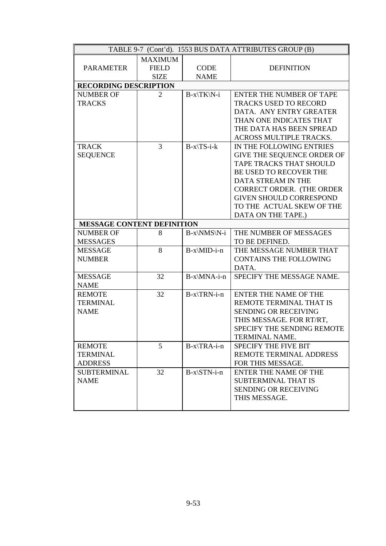| TABLE 9-7 (Cont'd). 1553 BUS DATA ATTRIBUTES GROUP (B) |                |                  |                                 |  |
|--------------------------------------------------------|----------------|------------------|---------------------------------|--|
|                                                        | <b>MAXIMUM</b> |                  |                                 |  |
| <b>PARAMETER</b>                                       | <b>FIELD</b>   | <b>CODE</b>      | <b>DEFINITION</b>               |  |
|                                                        | <b>SIZE</b>    | <b>NAME</b>      |                                 |  |
| <b>RECORDING DESCRIPTION</b>                           |                |                  |                                 |  |
| <b>NUMBER OF</b>                                       | $\overline{2}$ | B-x\TK\N-i       | <b>ENTER THE NUMBER OF TAPE</b> |  |
| <b>TRACKS</b>                                          |                |                  | <b>TRACKS USED TO RECORD</b>    |  |
|                                                        |                |                  | DATA. ANY ENTRY GREATER         |  |
|                                                        |                |                  | THAN ONE INDICATES THAT         |  |
|                                                        |                |                  | THE DATA HAS BEEN SPREAD        |  |
|                                                        |                |                  | ACROSS MULTIPLE TRACKS.         |  |
| <b>TRACK</b>                                           | 3              | $B-x\$ S-i-k     | IN THE FOLLOWING ENTRIES        |  |
| <b>SEQUENCE</b>                                        |                |                  | GIVE THE SEQUENCE ORDER OF      |  |
|                                                        |                |                  | TAPE TRACKS THAT SHOULD         |  |
|                                                        |                |                  | BE USED TO RECOVER THE          |  |
|                                                        |                |                  | DATA STREAM IN THE              |  |
|                                                        |                |                  | CORRECT ORDER. (THE ORDER       |  |
|                                                        |                |                  | <b>GIVEN SHOULD CORRESPOND</b>  |  |
|                                                        |                |                  | TO THE ACTUAL SKEW OF THE       |  |
|                                                        |                |                  | DATA ON THE TAPE.)              |  |
| <b>MESSAGE CONTENT DEFINITION</b>                      |                |                  |                                 |  |
| <b>NUMBER OF</b>                                       | 8              | B-x\NMS\N-i      | THE NUMBER OF MESSAGES          |  |
| <b>MESSAGES</b>                                        |                |                  | TO BE DEFINED.                  |  |
| <b>MESSAGE</b>                                         | 8              | B-x\MID-i-n      | THE MESSAGE NUMBER THAT         |  |
| <b>NUMBER</b>                                          |                |                  | <b>CONTAINS THE FOLLOWING</b>   |  |
|                                                        |                |                  | DATA.                           |  |
| <b>MESSAGE</b>                                         | 32             | B-x\MNA-i-n      | SPECIFY THE MESSAGE NAME.       |  |
| <b>NAME</b>                                            |                |                  |                                 |  |
| <b>REMOTE</b>                                          | 32             | B-x\TRN-i-n      | <b>ENTER THE NAME OF THE</b>    |  |
| <b>TERMINAL</b>                                        |                |                  | REMOTE TERMINAL THAT IS         |  |
| <b>NAME</b>                                            |                |                  | <b>SENDING OR RECEIVING</b>     |  |
|                                                        |                |                  | THIS MESSAGE. FOR RT/RT,        |  |
|                                                        |                |                  | SPECIFY THE SENDING REMOTE      |  |
|                                                        |                |                  | TERMINAL NAME.                  |  |
| <b>REMOTE</b>                                          | 5              | $B-x\$ {TRA-i-n} | <b>SPECIFY THE FIVE BIT</b>     |  |
| <b>TERMINAL</b>                                        |                |                  | REMOTE TERMINAL ADDRESS         |  |
| <b>ADDRESS</b>                                         |                |                  | FOR THIS MESSAGE.               |  |
| <b>SUBTERMINAL</b>                                     | 32             | $B-x\STN-i-n$    | <b>ENTER THE NAME OF THE</b>    |  |
| <b>NAME</b>                                            |                |                  | SUBTERMINAL THAT IS             |  |
|                                                        |                |                  | <b>SENDING OR RECEIVING</b>     |  |
|                                                        |                |                  | THIS MESSAGE.                   |  |
|                                                        |                |                  |                                 |  |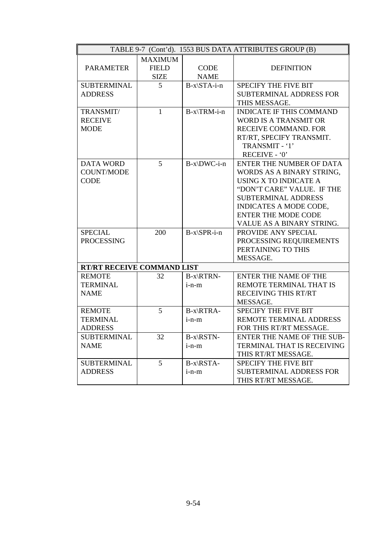| TABLE 9-7 (Cont'd). 1553 BUS DATA ATTRIBUTES GROUP (B) |                                               |                            |                                 |  |
|--------------------------------------------------------|-----------------------------------------------|----------------------------|---------------------------------|--|
| <b>PARAMETER</b>                                       | <b>MAXIMUM</b><br><b>FIELD</b><br><b>SIZE</b> | <b>CODE</b><br><b>NAME</b> | <b>DEFINITION</b>               |  |
| <b>SUBTERMINAL</b>                                     | 5                                             | $B-x\STA-i-n$              | <b>SPECIFY THE FIVE BIT</b>     |  |
| <b>ADDRESS</b>                                         |                                               |                            | <b>SUBTERMINAL ADDRESS FOR</b>  |  |
|                                                        |                                               |                            | THIS MESSAGE.                   |  |
| TRANSMIT/                                              | 1                                             | $B-x\$ TRM-i-n             | <b>INDICATE IF THIS COMMAND</b> |  |
| <b>RECEIVE</b>                                         |                                               |                            | <b>WORD IS A TRANSMIT OR</b>    |  |
| <b>MODE</b>                                            |                                               |                            | <b>RECEIVE COMMAND. FOR</b>     |  |
|                                                        |                                               |                            | RT/RT, SPECIFY TRANSMIT.        |  |
|                                                        |                                               |                            | TRANSMIT - '1'                  |  |
|                                                        |                                               |                            | RECEIVE - '0'                   |  |
| <b>DATA WORD</b>                                       | 5                                             | $B-x\DWC-i-n$              | ENTER THE NUMBER OF DATA        |  |
| <b>COUNT/MODE</b>                                      |                                               |                            | WORDS AS A BINARY STRING,       |  |
| <b>CODE</b>                                            |                                               |                            | USING X TO INDICATE A           |  |
|                                                        |                                               |                            | "DON'T CARE" VALUE. IF THE      |  |
|                                                        |                                               |                            | <b>SUBTERMINAL ADDRESS</b>      |  |
|                                                        |                                               |                            | INDICATES A MODE CODE,          |  |
|                                                        |                                               |                            | <b>ENTER THE MODE CODE</b>      |  |
|                                                        |                                               |                            | VALUE AS A BINARY STRING.       |  |
| <b>SPECIAL</b>                                         | 200                                           | $B-x\$ PR-i-n              | PROVIDE ANY SPECIAL             |  |
| <b>PROCESSING</b>                                      |                                               |                            | PROCESSING REQUIREMENTS         |  |
|                                                        |                                               |                            | PERTAINING TO THIS              |  |
|                                                        |                                               |                            | MESSAGE.                        |  |
| RT/RT RECEIVE COMMAND LIST                             |                                               |                            |                                 |  |
| <b>REMOTE</b>                                          | 32                                            | $B-x\RTRN-$                | <b>ENTER THE NAME OF THE</b>    |  |
| <b>TERMINAL</b>                                        |                                               | $i-n-m$                    | REMOTE TERMINAL THAT IS         |  |
| <b>NAME</b>                                            |                                               |                            | <b>RECEIVING THIS RT/RT</b>     |  |
|                                                        |                                               |                            | MESSAGE.                        |  |
| <b>REMOTE</b>                                          | 5                                             | B-x\RTRA-                  | <b>SPECIFY THE FIVE BIT</b>     |  |
| <b>TERMINAL</b>                                        |                                               | $i-n-m$                    | <b>REMOTE TERMINAL ADDRESS</b>  |  |
| <b>ADDRESS</b>                                         |                                               |                            | FOR THIS RT/RT MESSAGE.         |  |
| <b>SUBTERMINAL</b>                                     | 32                                            | B-x\RSTN-                  | ENTER THE NAME OF THE SUB-      |  |
| <b>NAME</b>                                            |                                               | $i-n-m$                    | TERMINAL THAT IS RECEIVING      |  |
|                                                        |                                               |                            | THIS RT/RT MESSAGE.             |  |
| <b>SUBTERMINAL</b>                                     | 5                                             | $B-x\RSTA-$                | <b>SPECIFY THE FIVE BIT</b>     |  |
| <b>ADDRESS</b>                                         |                                               | $i-n-m$                    | <b>SUBTERMINAL ADDRESS FOR</b>  |  |
|                                                        |                                               |                            | THIS RT/RT MESSAGE.             |  |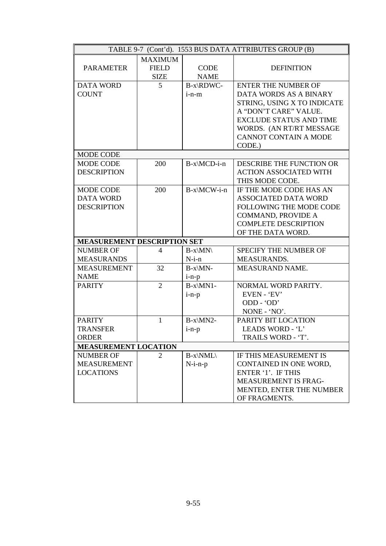| TABLE 9-7 (Cont'd). 1553 BUS DATA ATTRIBUTES GROUP (B) |                          |             |                                |  |  |  |
|--------------------------------------------------------|--------------------------|-------------|--------------------------------|--|--|--|
|                                                        | <b>MAXIMUM</b>           |             |                                |  |  |  |
| <b>PARAMETER</b>                                       | <b>FIELD</b>             | <b>CODE</b> | <b>DEFINITION</b>              |  |  |  |
|                                                        | <b>SIZE</b>              | <b>NAME</b> |                                |  |  |  |
| <b>DATA WORD</b>                                       | 5                        | B-x\RDWC-   | <b>ENTER THE NUMBER OF</b>     |  |  |  |
| <b>COUNT</b>                                           |                          | $i-n-m$     | DATA WORDS AS A BINARY         |  |  |  |
|                                                        |                          |             | STRING, USING X TO INDICATE    |  |  |  |
|                                                        |                          |             | A "DON'T CARE" VALUE.          |  |  |  |
|                                                        |                          |             | <b>EXCLUDE STATUS AND TIME</b> |  |  |  |
|                                                        |                          |             | WORDS. (AN RT/RT MESSAGE       |  |  |  |
|                                                        |                          |             | <b>CANNOT CONTAIN A MODE</b>   |  |  |  |
|                                                        |                          |             | CODE.)                         |  |  |  |
| <b>MODE CODE</b>                                       |                          |             |                                |  |  |  |
| <b>MODE CODE</b>                                       | 200                      | B-x\MCD-i-n | DESCRIBE THE FUNCTION OR       |  |  |  |
| <b>DESCRIPTION</b>                                     |                          |             | <b>ACTION ASSOCIATED WITH</b>  |  |  |  |
|                                                        |                          |             | THIS MODE CODE.                |  |  |  |
| <b>MODE CODE</b>                                       | 200                      | B-x\MCW-i-n | IF THE MODE CODE HAS AN        |  |  |  |
| <b>DATA WORD</b>                                       |                          |             | <b>ASSOCIATED DATA WORD</b>    |  |  |  |
| <b>DESCRIPTION</b>                                     |                          |             | FOLLOWING THE MODE CODE        |  |  |  |
|                                                        |                          |             | COMMAND, PROVIDE A             |  |  |  |
|                                                        |                          |             | <b>COMPLETE DESCRIPTION</b>    |  |  |  |
|                                                        |                          |             | OF THE DATA WORD.              |  |  |  |
| <b>MEASUREMENT DESCRIPTION SET</b>                     |                          |             |                                |  |  |  |
| <b>NUMBER OF</b>                                       | $\overline{\mathcal{A}}$ | $B-x\M N$   | SPECIFY THE NUMBER OF          |  |  |  |
| <b>MEASURANDS</b>                                      |                          | $N-i-n$     | MEASURANDS.                    |  |  |  |
| <b>MEASUREMENT</b>                                     | 32                       | $B-x\MN$ -  | MEASURAND NAME.                |  |  |  |
| <b>NAME</b>                                            |                          | $i-n-p$     |                                |  |  |  |
| <b>PARITY</b>                                          | $\overline{2}$           | $B-x\M N1-$ | NORMAL WORD PARITY.            |  |  |  |
|                                                        |                          | $i-n-p$     | EVEN - 'EV'                    |  |  |  |
|                                                        |                          |             | ODD - 'OD'                     |  |  |  |
|                                                        |                          |             | NONE - 'NO'.                   |  |  |  |
| <b>PARITY</b>                                          | $\mathbf{1}$             | $B-x\MN2-$  | PARITY BIT LOCATION            |  |  |  |
| <b>TRANSFER</b>                                        |                          | $i-n-p$     | LEADS WORD - 'L'               |  |  |  |
| <b>ORDER</b>                                           |                          |             | TRAILS WORD - 'T'.             |  |  |  |
| <b>MEASUREMENT LOCATION</b>                            |                          |             |                                |  |  |  |
| <b>NUMBER OF</b>                                       | 2                        | $B-x\MML\$  | IF THIS MEASUREMENT IS         |  |  |  |
| <b>MEASUREMENT</b>                                     |                          | $N-i-n-p$   | CONTAINED IN ONE WORD,         |  |  |  |
| <b>LOCATIONS</b>                                       |                          |             | ENTER '1'. IF THIS             |  |  |  |
|                                                        |                          |             | <b>MEASUREMENT IS FRAG-</b>    |  |  |  |
|                                                        |                          |             | MENTED, ENTER THE NUMBER       |  |  |  |
|                                                        |                          |             | OF FRAGMENTS.                  |  |  |  |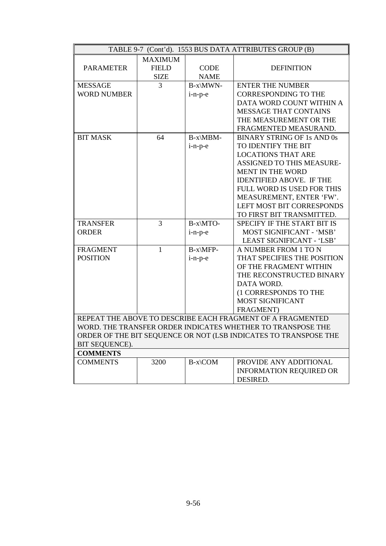| TABLE 9-7 (Cont'd). 1553 BUS DATA ATTRIBUTES GROUP (B) |                |               |                                                                  |  |
|--------------------------------------------------------|----------------|---------------|------------------------------------------------------------------|--|
|                                                        | <b>MAXIMUM</b> |               |                                                                  |  |
| <b>PARAMETER</b>                                       | <b>FIELD</b>   | <b>CODE</b>   | <b>DEFINITION</b>                                                |  |
|                                                        | <b>SIZE</b>    | <b>NAME</b>   |                                                                  |  |
| <b>MESSAGE</b>                                         | 3              | B-x\MWN-      | <b>ENTER THE NUMBER</b>                                          |  |
| <b>WORD NUMBER</b>                                     |                | i-n-p-e       | <b>CORRESPONDING TO THE</b>                                      |  |
|                                                        |                |               | DATA WORD COUNT WITHIN A                                         |  |
|                                                        |                |               | <b>MESSAGE THAT CONTAINS</b>                                     |  |
|                                                        |                |               | THE MEASUREMENT OR THE                                           |  |
|                                                        |                |               | FRAGMENTED MEASURAND.                                            |  |
| <b>BIT MASK</b>                                        | 64             | $B-x\$ {MBM}- | <b>BINARY STRING OF 1s AND 0s</b>                                |  |
|                                                        |                | i-n-p-e       | TO IDENTIFY THE BIT                                              |  |
|                                                        |                |               | <b>LOCATIONS THAT ARE</b>                                        |  |
|                                                        |                |               | ASSIGNED TO THIS MEASURE-                                        |  |
|                                                        |                |               | MENT IN THE WORD                                                 |  |
|                                                        |                |               | <b>IDENTIFIED ABOVE. IF THE</b>                                  |  |
|                                                        |                |               | FULL WORD IS USED FOR THIS                                       |  |
|                                                        |                |               | MEASUREMENT, ENTER 'FW'.                                         |  |
|                                                        |                |               | <b>LEFT MOST BIT CORRESPONDS</b>                                 |  |
|                                                        |                |               | TO FIRST BIT TRANSMITTED.                                        |  |
| <b>TRANSFER</b>                                        | $\overline{3}$ | B-x\MTO-      | SPECIFY IF THE START BIT IS                                      |  |
| <b>ORDER</b>                                           |                | i-n-p-e       | MOST SIGNIFICANT - 'MSB'                                         |  |
|                                                        |                |               | LEAST SIGNIFICANT - 'LSB'                                        |  |
| <b>FRAGMENT</b>                                        | $\mathbf{1}$   | B-x\MFP-      | A NUMBER FROM 1 TO N                                             |  |
| <b>POSITION</b>                                        |                | i-n-p-e       | THAT SPECIFIES THE POSITION                                      |  |
|                                                        |                |               | OF THE FRAGMENT WITHIN                                           |  |
|                                                        |                |               | THE RECONSTRUCTED BINARY                                         |  |
|                                                        |                |               | DATA WORD.                                                       |  |
|                                                        |                |               | (1 CORRESPONDS TO THE                                            |  |
|                                                        |                |               | <b>MOST SIGNIFICANT</b>                                          |  |
|                                                        |                |               | FRAGMENT)                                                        |  |
|                                                        |                |               | REPEAT THE ABOVE TO DESCRIBE EACH FRAGMENT OF A FRAGMENTED       |  |
|                                                        |                |               | WORD. THE TRANSFER ORDER INDICATES WHETHER TO TRANSPOSE THE      |  |
|                                                        |                |               | ORDER OF THE BIT SEQUENCE OR NOT (LSB INDICATES TO TRANSPOSE THE |  |
| BIT SEQUENCE).                                         |                |               |                                                                  |  |
| <b>COMMENTS</b>                                        |                |               |                                                                  |  |
| <b>COMMENTS</b>                                        | 3200           | B-x\COM       | PROVIDE ANY ADDITIONAL                                           |  |
|                                                        |                |               | <b>INFORMATION REQUIRED OR</b>                                   |  |
|                                                        |                |               | DESIRED.                                                         |  |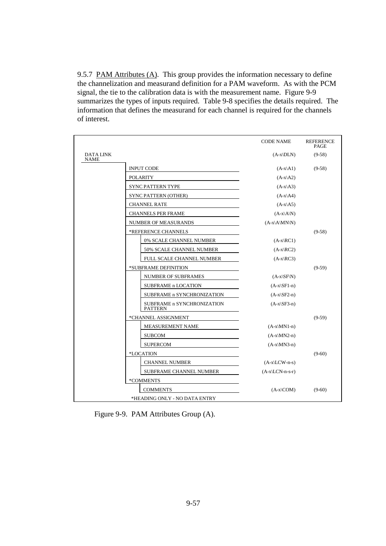9.5.7 PAM Attributes (A). This group provides the information necessary to define the channelization and measurand definition for a PAM waveform. As with the PCM signal, the tie to the calibration data is with the measurement name. Figure 9-9 summarizes the types of inputs required. Table 9-8 specifies the details required. The information that defines the measurand for each channel is required for the channels of interest.

|                                 |                                              | <b>CODE NAME</b>               | <b>REFERENCE</b><br><b>PAGE</b> |
|---------------------------------|----------------------------------------------|--------------------------------|---------------------------------|
| <b>DATA LINK</b><br><b>NAME</b> |                                              | $(A-x DLN)$                    | $(9-58)$                        |
|                                 | <b>INPUT CODE</b>                            | $(A-x A1)$                     | $(9-58)$                        |
|                                 | <b>POLARITY</b>                              | $(A-x A2)$                     |                                 |
|                                 | SYNC PATTERN TYPE                            | $(A-x A3)$                     |                                 |
|                                 | <b>SYNC PATTERN (OTHER)</b>                  | $(A-x A4)$                     |                                 |
|                                 | <b>CHANNEL RATE</b>                          | $(A-x A5)$                     |                                 |
|                                 | <b>CHANNELS PER FRAME</b>                    | $(A-x A N)$                    |                                 |
|                                 | NUMBER OF MEASURANDS                         | $(A-x\A\MN\N)$                 |                                 |
|                                 | *REFERENCE CHANNELS                          |                                | $(9-58)$                        |
|                                 | 0% SCALE CHANNEL NUMBER                      | $(A-x)RC1)$                    |                                 |
|                                 | 50% SCALE CHANNEL NUMBER                     | $(A-x)RC2$                     |                                 |
|                                 | FULL SCALE CHANNEL NUMBER                    | $(A-x)RC3$                     |                                 |
|                                 | *SUBFRAME DEFINITION                         |                                | $(9-59)$                        |
|                                 | NUMBER OF SUBFRAMES                          | $(A-x\setminus SF\setminus N)$ |                                 |
|                                 | <b>SUBFRAME n LOCATION</b>                   | $(A-x\setminus SF1-n)$         |                                 |
|                                 | SUBFRAME n SYNCHRONIZATION                   | $(A-x\setminus SF2-n)$         |                                 |
|                                 | SUBFRAME n SYNCHRONIZATION<br><b>PATTERN</b> | $(A-x\setminus SF3-n)$         |                                 |
|                                 | *CHANNEL ASSIGNMENT                          |                                | $(9-59)$                        |
|                                 | MEASUREMENT NAME                             | $(A-x\M N1-n)$                 |                                 |
|                                 | <b>SUBCOM</b>                                | $(A-x\MN2-n)$                  |                                 |
|                                 | <b>SUPERCOM</b>                              | $(A-x\M N3-n)$                 |                                 |
|                                 | *LOCATION                                    |                                | $(9-60)$                        |
|                                 | <b>CHANNEL NUMBER</b>                        | $(A-x\backslash LCW-n-s)$      |                                 |
|                                 | <b>SUBFRAME CHANNEL NUMBER</b>               | $(A-x)\text{LCN-n-s-r}$        |                                 |
|                                 | *COMMENTS                                    |                                |                                 |
|                                 | <b>COMMENTS</b>                              | $(A-x)COM$                     | $(9-60)$                        |
|                                 | *HEADING ONLY - NO DATA ENTRY                |                                |                                 |

Figure 9-9. PAM Attributes Group (A).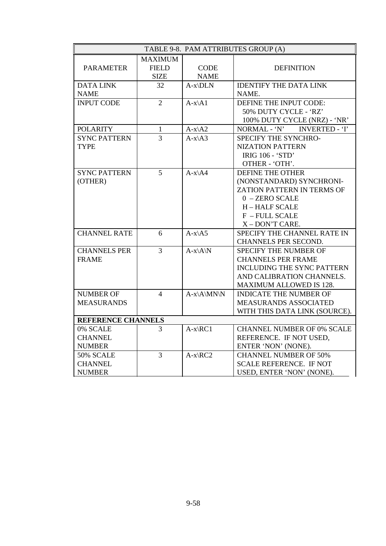|                     |                |                       | TABLE 9-8. PAM ATTRIBUTES GROUP (A)   |
|---------------------|----------------|-----------------------|---------------------------------------|
|                     | <b>MAXIMUM</b> |                       |                                       |
| <b>PARAMETER</b>    | <b>FIELD</b>   | <b>CODE</b>           | <b>DEFINITION</b>                     |
|                     | <b>SIZE</b>    | <b>NAME</b>           |                                       |
| <b>DATA LINK</b>    | 32             | $A-x\D LN$            | <b>IDENTIFY THE DATA LINK</b>         |
| <b>NAME</b>         |                |                       | NAME.                                 |
| <b>INPUT CODE</b>   | $\overline{2}$ | $A-x\A1$              | DEFINE THE INPUT CODE:                |
|                     |                |                       | 50% DUTY CYCLE - 'RZ'                 |
|                     |                |                       | 100% DUTY CYCLE (NRZ) - 'NR'          |
| <b>POLARITY</b>     | $\mathbf{1}$   | $A-x\A2$              | NORMAL - 'N'<br><b>INVERTED - 'I'</b> |
| <b>SYNC PATTERN</b> | $\overline{3}$ | $A-x\$ A3             | SPECIFY THE SYNCHRO-                  |
| <b>TYPE</b>         |                |                       | NIZATION PATTERN                      |
|                     |                |                       | <b>IRIG 106 - 'STD'</b>               |
|                     |                |                       | OTHER - 'OTH'.                        |
| <b>SYNC PATTERN</b> | 5              | $A-x\$                | DEFINE THE OTHER                      |
| (OTHER)             |                |                       | (NONSTANDARD) SYNCHRONI-              |
|                     |                |                       | ZATION PATTERN IN TERMS OF            |
|                     |                |                       | $0 -$ ZERO SCALE                      |
|                     |                |                       | <b>H-HALF SCALE</b>                   |
|                     |                |                       | F - FULL SCALE                        |
|                     |                |                       | X-DON'T CARE.                         |
| <b>CHANNEL RATE</b> | 6              | $A-x\$ A5             | SPECIFY THE CHANNEL RATE IN           |
|                     |                |                       | CHANNELS PER SECOND.                  |
| <b>CHANNELS PER</b> | $\overline{3}$ | $A-x\A\N$             | SPECIFY THE NUMBER OF                 |
| <b>FRAME</b>        |                |                       | <b>CHANNELS PER FRAME</b>             |
|                     |                |                       | <b>INCLUDING THE SYNC PATTERN</b>     |
|                     |                |                       | AND CALIBRATION CHANNELS.             |
|                     |                |                       | MAXIMUM ALLOWED IS 128.               |
| <b>NUMBER OF</b>    | $\overline{4}$ | $A-x\A\MN\N$          | <b>INDICATE THE NUMBER OF</b>         |
| <b>MEASURANDS</b>   |                |                       | MEASURANDS ASSOCIATED                 |
|                     |                |                       | WITH THIS DATA LINK (SOURCE).         |
| REFERENCE CHANNELS  |                |                       |                                       |
| 0% SCALE            | 3              | $A-x\$ <sub>RC1</sub> | <b>CHANNEL NUMBER OF 0% SCALE</b>     |
| <b>CHANNEL</b>      |                |                       | REFERENCE. IF NOT USED,               |
| <b>NUMBER</b>       |                |                       | ENTER 'NON' (NONE).                   |
| 50% SCALE           | 3              | $A-x\RC2$             | <b>CHANNEL NUMBER OF 50%</b>          |
| <b>CHANNEL</b>      |                |                       | <b>SCALE REFERENCE. IF NOT</b>        |
| <b>NUMBER</b>       |                |                       | USED, ENTER 'NON' (NONE).             |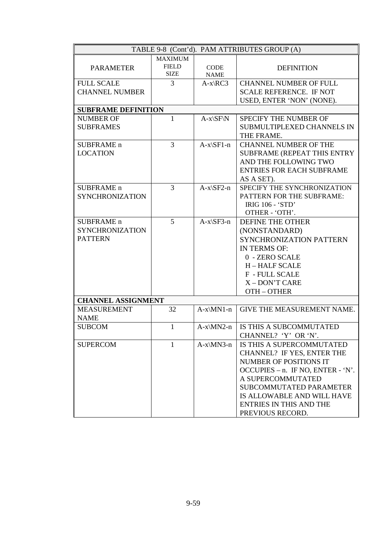|                            |                |                              | TABLE 9-8 (Cont'd). PAM ATTRIBUTES GROUP (A) |
|----------------------------|----------------|------------------------------|----------------------------------------------|
|                            | <b>MAXIMUM</b> |                              |                                              |
| <b>PARAMETER</b>           | <b>FIELD</b>   | <b>CODE</b>                  | <b>DEFINITION</b>                            |
|                            | <b>SIZE</b>    | <b>NAME</b>                  |                                              |
| <b>FULL SCALE</b>          | 3              | $A-x\angle RC3$              | <b>CHANNEL NUMBER OF FULL</b>                |
| <b>CHANNEL NUMBER</b>      |                |                              | <b>SCALE REFERENCE. IF NOT</b>               |
|                            |                |                              | USED, ENTER 'NON' (NONE).                    |
| <b>SUBFRAME DEFINITION</b> |                |                              |                                              |
| <b>NUMBER OF</b>           | 1              | $A-x\setminus SF\setminus N$ | SPECIFY THE NUMBER OF                        |
| <b>SUBFRAMES</b>           |                |                              | SUBMULTIPLEXED CHANNELS IN                   |
|                            |                |                              | THE FRAME.                                   |
| <b>SUBFRAME</b> n          | 3              | $A-x\ST 1-n$                 | <b>CHANNEL NUMBER OF THE</b>                 |
| <b>LOCATION</b>            |                |                              | <b>SUBFRAME (REPEAT THIS ENTRY</b>           |
|                            |                |                              | AND THE FOLLOWING TWO                        |
|                            |                |                              | <b>ENTRIES FOR EACH SUBFRAME</b>             |
|                            |                |                              | AS A SET).                                   |
| <b>SUBFRAME</b> n          | 3              | $A-x\$ SF2-n                 | SPECIFY THE SYNCHRONIZATION                  |
| <b>SYNCHRONIZATION</b>     |                |                              | PATTERN FOR THE SUBFRAME:                    |
|                            |                |                              | <b>IRIG 106 - 'STD'</b>                      |
|                            |                |                              | OTHER - 'OTH'.                               |
| SUBFRAME <sub>n</sub>      | 5              | $A-x\$ SF3-n                 | DEFINE THE OTHER                             |
| <b>SYNCHRONIZATION</b>     |                |                              | (NONSTANDARD)                                |
| <b>PATTERN</b>             |                |                              | <b>SYNCHRONIZATION PATTERN</b>               |
|                            |                |                              | IN TERMS OF:                                 |
|                            |                |                              | 0 - ZERO SCALE                               |
|                            |                |                              | <b>H-HALF SCALE</b>                          |
|                            |                |                              | <b>F</b> - FULL SCALE                        |
|                            |                |                              | X-DON'T CARE                                 |
|                            |                |                              | OTH-OTHER                                    |
| <b>CHANNEL ASSIGNMENT</b>  |                |                              |                                              |
| <b>MEASUREMENT</b>         | 32             | $A-x\M N1-n$                 | <b>GIVE THE MEASUREMENT NAME.</b>            |
| <b>NAME</b>                |                |                              |                                              |
| <b>SUBCOM</b>              | 1              | $A-x\MN2-n$                  | IS THIS A SUBCOMMUTATED                      |
|                            |                |                              | CHANNEL? 'Y' OR 'N'.                         |
| <b>SUPERCOM</b>            | 1              | $A-x\$ {MN3-n}               | IS THIS A SUPERCOMMUTATED                    |
|                            |                |                              | <b>CHANNEL? IF YES, ENTER THE</b>            |
|                            |                |                              | NUMBER OF POSITIONS IT                       |
|                            |                |                              | OCCUPIES $-$ n. IF NO, ENTER $-$ 'N'.        |
|                            |                |                              | A SUPERCOMMUTATED                            |
|                            |                |                              | <b>SUBCOMMUTATED PARAMETER</b>               |
|                            |                |                              | IS ALLOWABLE AND WILL HAVE                   |
|                            |                |                              | ENTRIES IN THIS AND THE                      |
|                            |                |                              | PREVIOUS RECORD.                             |
|                            |                |                              |                                              |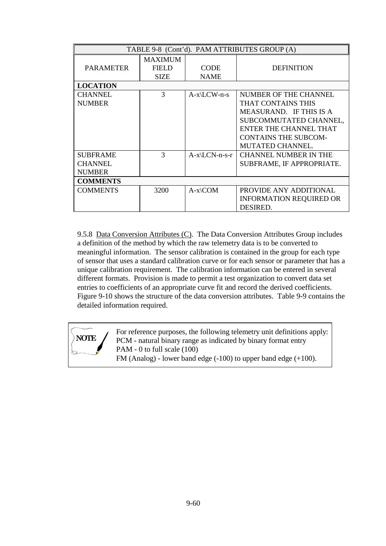|                  | TABLE 9-8 (Cont'd). PAM ATTRIBUTES GROUP (A) |                           |                                |  |  |
|------------------|----------------------------------------------|---------------------------|--------------------------------|--|--|
|                  | <b>MAXIMUM</b>                               |                           |                                |  |  |
| <b>PARAMETER</b> | <b>FIELD</b>                                 | <b>CODE</b>               | <b>DEFINITION</b>              |  |  |
|                  | <b>SIZE</b>                                  | <b>NAME</b>               |                                |  |  |
| <b>LOCATION</b>  |                                              |                           |                                |  |  |
| <b>CHANNEL</b>   | 3                                            | $A-x\$ $CW-n-s$           | NUMBER OF THE CHANNEL          |  |  |
| <b>NUMBER</b>    |                                              |                           | THAT CONTAINS THIS             |  |  |
|                  |                                              |                           | MEASURAND. IF THIS IS A        |  |  |
|                  |                                              |                           | SUBCOMMUTATED CHANNEL,         |  |  |
|                  |                                              |                           | ENTER THE CHANNEL THAT         |  |  |
|                  |                                              |                           | <b>CONTAINS THE SUBCOM-</b>    |  |  |
|                  |                                              |                           | <b>MUTATED CHANNEL.</b>        |  |  |
| <b>SUBFRAME</b>  | 3                                            | $A-x\backslash LCN-n-s-r$ | <b>CHANNEL NUMBER IN THE</b>   |  |  |
| <b>CHANNEL</b>   |                                              |                           | SUBFRAME, IF APPROPRIATE.      |  |  |
| <b>NUMBER</b>    |                                              |                           |                                |  |  |
| <b>COMMENTS</b>  |                                              |                           |                                |  |  |
| <b>COMMENTS</b>  | 3200                                         | $A-x\$ {COM}              | PROVIDE ANY ADDITIONAL         |  |  |
|                  |                                              |                           | <b>INFORMATION REQUIRED OR</b> |  |  |
|                  |                                              |                           | DESIRED.                       |  |  |

9.5.8 Data Conversion Attributes (C). The Data Conversion Attributes Group includes a definition of the method by which the raw telemetry data is to be converted to meaningful information. The sensor calibration is contained in the group for each type of sensor that uses a standard calibration curve or for each sensor or parameter that has a unique calibration requirement. The calibration information can be entered in several different formats. Provision is made to permit a test organization to convert data set entries to coefficients of an appropriate curve fit and record the derived coefficients. Figure 9-10 shows the structure of the data conversion attributes. Table 9-9 contains the detailed information required.

For reference purposes, the following telemetry unit definitions apply: PCM - natural binary range as indicated by binary format entry PAM - 0 to full scale (100) FM (Analog) - lower band edge (-100) to upper band edge (+100). **NOTE**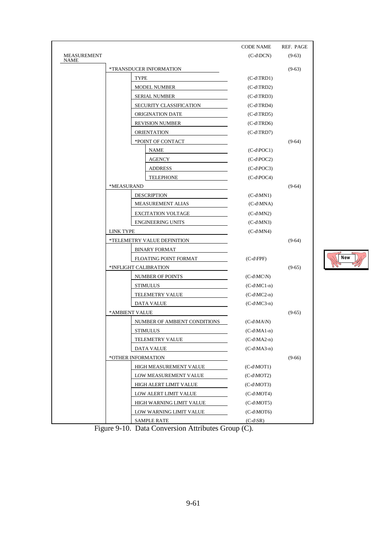|                                   |                              | <b>CODE NAME</b>        | REF. PAGE |
|-----------------------------------|------------------------------|-------------------------|-----------|
| <b>MEASUREMENT</b><br><b>NAME</b> |                              | $(C-d\cdot DCN)$        | $(9-63)$  |
|                                   | *TRANSDUCER INFORMATION      |                         | $(9-63)$  |
|                                   | <b>TYPE</b>                  | $(C-d \setminus TRD1)$  |           |
|                                   | <b>MODEL NUMBER</b>          | $(C-d$ $TRD2)$          |           |
|                                   | <b>SERIAL NUMBER</b>         | $(C-d \setminus TRD3)$  |           |
|                                   | SECURITY CLASSIFICATION      | $(C-d \setminus TRD4)$  |           |
|                                   | ORIGINATION DATE             | $(C-d \setminus TRD5)$  |           |
|                                   | <b>REVISION NUMBER</b>       | $(C-d \setminus TRD6)$  |           |
|                                   | <b>ORIENTATION</b>           | $(C-d \setminus TRD7)$  |           |
|                                   | *POINT OF CONTACT            |                         | $(9-64)$  |
|                                   | NAME                         | $(C-d POC1)$            |           |
|                                   | <b>AGENCY</b>                | $(C-d POC2)$            |           |
|                                   | <b>ADDRESS</b>               | $(C-d POC3)$            |           |
|                                   | <b>TELEPHONE</b>             | $(C-d POC4)$            |           |
|                                   | *MEASURAND                   |                         | $(9-64)$  |
|                                   | <b>DESCRIPTION</b>           | $(C-d\M N1)$            |           |
|                                   | <b>MEASUREMENT ALIAS</b>     | $(C-d\MNA)$             |           |
|                                   | <b>EXCITATION VOLTAGE</b>    | $(C-d\$ MN2)            |           |
|                                   | <b>ENGINEERING UNITS</b>     | $(C-d\$ MN3)            |           |
|                                   | <b>LINK TYPE</b>             | $(C-d\$ MN4)            |           |
|                                   | *TELEMETRY VALUE DEFINITION  |                         | $(9-64)$  |
|                                   | <b>BINARY FORMAT</b>         |                         |           |
|                                   | <b>FLOATING POINT FORMAT</b> | $(C-d\FPF)$             |           |
|                                   | *INFLIGHT CALIBRATION        |                         | $(9-65)$  |
|                                   | NUMBER OF POINTS             | $(C-d\MC\N)$            |           |
|                                   | <b>STIMULUS</b>              | $(C-d\cdot MC1-n)$      |           |
|                                   | TELEMETRY VALUE              | $(C-d\MC2-n)$           |           |
|                                   | DATA VALUE                   | $(C-d\MC3-n)$           |           |
|                                   | *AMBIENT VALUE               |                         | $(9-65)$  |
|                                   | NUMBER OF AMBIENT CONDITIONS | $(C-d\MA\N)$            |           |
|                                   | <b>STIMULUS</b>              | $(C-d\$ Al-n $)$        |           |
|                                   | TELEMETRY VALUE              | $(C-d\MA2-n)$           |           |
|                                   | <b>DATA VALUE</b>            | $(C-d\backslash MA3-n)$ |           |
|                                   | *OTHER INFORMATION           |                         | $(9-66)$  |
|                                   | HIGH MEASUREMENT VALUE       | $(C-d\ MOT1)$           |           |
|                                   | LOW MEASUREMENT VALUE        | $(C-d\ MOT2)$           |           |
|                                   | HIGH ALERT LIMIT VALUE       | $(C-d\ MOT3)$           |           |
|                                   | LOW ALERT LIMIT VALUE        | $(C-d\ MOT4)$           |           |
|                                   | HIGH WARNING LIMIT VALUE     | $(C-d\ MOT5)$           |           |
|                                   | LOW WARNING LIMIT VALUE      | $(C-d \setminus MOT6)$  |           |
|                                   | <b>SAMPLE RATE</b>           | $(C-d\setminus SR)$     |           |

**New**

Figure 9-10. Data Conversion Attributes Group (C).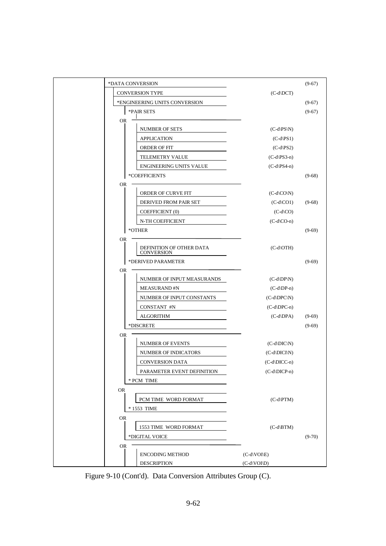| *DATA CONVERSION       |                                               |                                 | $(9-67)$ |
|------------------------|-----------------------------------------------|---------------------------------|----------|
| <b>CONVERSION TYPE</b> |                                               | $(C-d\cdot DCT)$                |          |
|                        | *ENGINEERING UNITS CONVERSION                 |                                 | $(9-67)$ |
| *PAIR SETS             |                                               |                                 | $(9-67)$ |
| <b>OR</b>              |                                               |                                 |          |
|                        | NUMBER OF SETS                                | $(C-d\PS\N)$                    |          |
|                        | APPLICATION                                   | $(C-d\$                         |          |
|                        | ORDER OF FIT                                  | $(C-d PS2)$                     |          |
|                        | TELEMETRY VALUE                               | $(C-d\PS3-n)$                   |          |
|                        | ENGINEERING UNITS VALUE                       | $(C-d\$ S4-n)                   |          |
| *COEFFICIENTS          |                                               |                                 | $(9-68)$ |
| <b>OR</b>              |                                               |                                 |          |
|                        | ORDER OF CURVE FIT                            | $(C-d\setminus CO\setminus N)$  |          |
|                        | DERIVED FROM PAIR SET                         | $(C-d CO1)$                     | $(9-68)$ |
|                        | COEFFICIENT (0)                               | $(C-d\setminus CO)$             |          |
|                        | N-TH COEFFICIENT                              | $(C-d\setminus CO-n)$           |          |
| *OTHER                 |                                               |                                 | $(9-69)$ |
| <b>OR</b>              |                                               |                                 |          |
|                        | DEFINITION OF OTHER DATA<br><b>CONVERSION</b> | $(C-d\setminus OTH)$            |          |
|                        | *DERIVED PARAMETER                            |                                 | $(9-69)$ |
| <b>OR</b>              |                                               |                                 |          |
|                        | NUMBER OF INPUT MEASURANDS                    | $(C-d\D P\N)$                   |          |
|                        | <b>MEASURAND#N</b>                            | $(C-d\D P-n)$                   |          |
|                        | NUMBER OF INPUT CONSTANTS                     | $(C-d\DPC\N)$                   |          |
|                        | CONSTANT #N                                   | $(C-d\DPC-n)$                   |          |
|                        | <b>ALGORITHM</b>                              | $(C-d\D{P}A)$                   | $(9-69)$ |
| *DISCRETE              |                                               |                                 | $(9-69)$ |
| <b>OR</b>              |                                               |                                 |          |
|                        | NUMBER OF EVENTS                              | $(C-d\D{IC}\N)$                 |          |
|                        | NUMBER OF INDICATORS                          | $(C-d\DICIN)$                   |          |
|                        | <b>CONVERSION DATA</b>                        | $(C-d\D{DCC-n})$                |          |
|                        | PARAMETER EVENT DEFINITION                    | (C-d\DICP-n)                    |          |
| * PCM TIME             |                                               |                                 |          |
| <b>OR</b>              |                                               |                                 |          |
|                        | PCM TIME WORD FORMAT                          | $(C-d\PTM)$                     |          |
| * 1553 TIME            |                                               |                                 |          |
| OR                     |                                               |                                 |          |
|                        | 1553 TIME WORD FORMAT                         | $(C-d\setminus BTM)$            |          |
| *DIGITAL VOICE         |                                               |                                 | $(9-70)$ |
| <b>OR</b>              |                                               |                                 |          |
|                        | <b>ENCODING METHOD</b>                        | $(C-d\setminus VOI\setminus E)$ |          |
|                        | <b>DESCRIPTION</b>                            | $(C-d\setminus VOI\setminus D)$ |          |

Figure 9-10 (Cont'd). Data Conversion Attributes Group (C).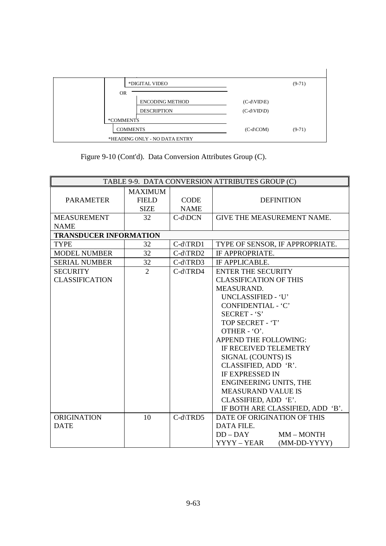|                               | *DIGITAL VIDEO     |                        |                 | $(9-71)$ |  |
|-------------------------------|--------------------|------------------------|-----------------|----------|--|
|                               | <b>OR</b>          |                        |                 |          |  |
|                               |                    | <b>ENCODING METHOD</b> | $(C-d\W D \ E)$ |          |  |
|                               | <b>DESCRIPTION</b> |                        | $(C-d\W D)$     |          |  |
|                               | *COMMENTS          |                        |                 |          |  |
|                               | <b>COMMENTS</b>    |                        | $(C-d\$ COM $)$ | $(9-71)$ |  |
| *HEADING ONLY - NO DATA ENTRY |                    |                        |                 |          |  |

Figure 9-10 (Cont'd). Data Conversion Attributes Group (C).

| TABLE 9-9. DATA CONVERSION ATTRIBUTES GROUP (C) |                                               |                            |                                   |  |
|-------------------------------------------------|-----------------------------------------------|----------------------------|-----------------------------------|--|
| <b>PARAMETER</b>                                | <b>MAXIMUM</b><br><b>FIELD</b><br><b>SIZE</b> | <b>CODE</b><br><b>NAME</b> | <b>DEFINITION</b>                 |  |
| <b>MEASUREMENT</b>                              | 32                                            | C-d\DCN                    | <b>GIVE THE MEASUREMENT NAME.</b> |  |
| <b>NAME</b>                                     |                                               |                            |                                   |  |
| <b>TRANSDUCER INFORMATION</b>                   |                                               |                            |                                   |  |
| <b>TYPE</b>                                     | 32                                            | $C-d$ $TRD1$               | TYPE OF SENSOR, IF APPROPRIATE.   |  |
| <b>MODEL NUMBER</b>                             | 32                                            | $C-d$ \TRD2                | IF APPROPRIATE.                   |  |
| <b>SERIAL NUMBER</b>                            | 32                                            | $C-d$ \TRD3                | IF APPLICABLE.                    |  |
| <b>SECURITY</b>                                 | $\overline{2}$                                | C-d\TRD4                   | <b>ENTER THE SECURITY</b>         |  |
| <b>CLASSIFICATION</b>                           |                                               |                            | <b>CLASSIFICATION OF THIS</b>     |  |
|                                                 |                                               |                            | MEASURAND.                        |  |
|                                                 |                                               |                            | UNCLASSIFIED - 'U'                |  |
|                                                 |                                               |                            | CONFIDENTIAL - 'C'                |  |
|                                                 |                                               |                            | SECRET - 'S'                      |  |
|                                                 |                                               |                            | TOP SECRET - 'T'                  |  |
|                                                 |                                               |                            | OTHER - 'O'.                      |  |
|                                                 |                                               |                            | APPEND THE FOLLOWING:             |  |
|                                                 |                                               |                            | IF RECEIVED TELEMETRY             |  |
|                                                 |                                               |                            | SIGNAL (COUNTS) IS                |  |
|                                                 |                                               |                            | CLASSIFIED, ADD 'R'.              |  |
|                                                 |                                               |                            | <b>IF EXPRESSED IN</b>            |  |
|                                                 |                                               |                            | <b>ENGINEERING UNITS, THE</b>     |  |
|                                                 |                                               |                            | <b>MEASURAND VALUE IS</b>         |  |
|                                                 |                                               |                            | CLASSIFIED, ADD 'E'.              |  |
|                                                 |                                               |                            | IF BOTH ARE CLASSIFIED, ADD 'B'.  |  |
| <b>ORIGINATION</b>                              | 10                                            | C-d\TRD5                   | DATE OF ORIGINATION OF THIS       |  |
| <b>DATE</b>                                     |                                               |                            | DATA FILE.                        |  |
|                                                 |                                               |                            | $DD-DAY$<br>MM-MONTH              |  |
|                                                 |                                               |                            | YYYY – YEAR<br>(MM-DD-YYYY)       |  |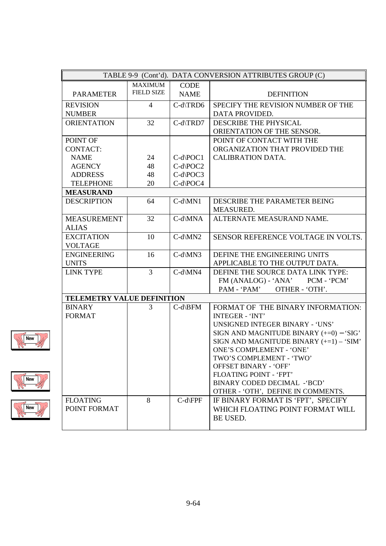| TABLE 9-9 (Cont'd). DATA CONVERSION ATTRIBUTES GROUP (C) |                   |               |                                           |  |
|----------------------------------------------------------|-------------------|---------------|-------------------------------------------|--|
|                                                          | <b>MAXIMUM</b>    | <b>CODE</b>   |                                           |  |
| <b>PARAMETER</b>                                         | <b>FIELD SIZE</b> | <b>NAME</b>   | <b>DEFINITION</b>                         |  |
| <b>REVISION</b>                                          | $\overline{4}$    | C-d\TRD6      | SPECIFY THE REVISION NUMBER OF THE        |  |
| <b>NUMBER</b>                                            |                   |               | DATA PROVIDED.                            |  |
| <b>ORIENTATION</b>                                       | 32                | C-d\TRD7      | DESCRIBE THE PHYSICAL                     |  |
|                                                          |                   |               | ORIENTATION OF THE SENSOR.                |  |
| POINT OF                                                 |                   |               | POINT OF CONTACT WITH THE                 |  |
| <b>CONTACT:</b>                                          |                   |               | ORGANIZATION THAT PROVIDED THE            |  |
| <b>NAME</b>                                              | 24                | $C-d\$ {POC1} | <b>CALIBRATION DATA.</b>                  |  |
| <b>AGENCY</b>                                            | 48                | C-d\POC2      |                                           |  |
| <b>ADDRESS</b>                                           | 48                | C-d\POC3      |                                           |  |
| <b>TELEPHONE</b>                                         | 20                | C-d\POC4      |                                           |  |
| <b>MEASURAND</b>                                         |                   |               |                                           |  |
| <b>DESCRIPTION</b>                                       | 64                | $C-d\M N1$    | DESCRIBE THE PARAMETER BEING              |  |
|                                                          |                   |               | MEASURED.                                 |  |
| <b>MEASUREMENT</b>                                       | 32                | C-d\MNA       | ALTERNATE MEASURAND NAME.                 |  |
| <b>ALIAS</b>                                             |                   |               |                                           |  |
| <b>EXCITATION</b>                                        | 10                | $C-d\MN2$     | SENSOR REFERENCE VOLTAGE IN VOLTS.        |  |
| <b>VOLTAGE</b>                                           |                   |               |                                           |  |
| <b>ENGINEERING</b>                                       | 16                | C-d\MN3       | DEFINE THE ENGINEERING UNITS              |  |
| <b>UNITS</b>                                             |                   |               | APPLICABLE TO THE OUTPUT DATA.            |  |
| <b>LINK TYPE</b>                                         | 3                 | C-d\MN4       | DEFINE THE SOURCE DATA LINK TYPE:         |  |
|                                                          |                   |               | FM (ANALOG) - 'ANA' PCM - 'PCM'           |  |
|                                                          |                   |               | PAM - 'PAM'<br>OTHER - 'OTH'.             |  |
| TELEMETRY VALUE DEFINITION                               |                   |               |                                           |  |
| <b>BINARY</b>                                            | 3                 | $C-d\B$ FM    | FORMAT OF THE BINARY INFORMATION:         |  |
| <b>FORMAT</b>                                            |                   |               | <b>INTEGER - 'INT'</b>                    |  |
|                                                          |                   |               | <b>UNSIGNED INTEGER BINARY - 'UNS'</b>    |  |
|                                                          |                   |               | SIGN AND MAGNITUDE BINARY $(+=0) - 'SIG'$ |  |
|                                                          |                   |               | SIGN AND MAGNITUDE BINARY $(+=1) - 'SIM'$ |  |
|                                                          |                   |               | <b>ONE'S COMPLEMENT - 'ONE'</b>           |  |
|                                                          |                   |               | TWO'S COMPLEMENT - 'TWO'                  |  |
|                                                          |                   |               | <b>OFFSET BINARY - 'OFF'</b>              |  |
|                                                          |                   |               | <b>FLOATING POINT - 'FPT'</b>             |  |
|                                                          |                   |               | BINARY CODED DECIMAL -'BCD'               |  |
|                                                          |                   |               | OTHER - 'OTH', DEFINE IN COMMENTS.        |  |
| <b>FLOATING</b>                                          | 8                 | $C-d$ FPF     | IF BINARY FORMAT IS 'FPT', SPECIFY        |  |
| POINT FORMAT                                             |                   |               | WHICH FLOATING POINT FORMAT WILL          |  |
|                                                          |                   |               | BE USED.                                  |  |
|                                                          |                   |               |                                           |  |





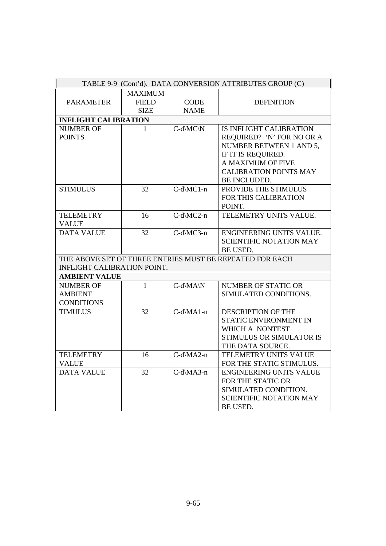| TABLE 9-9 (Cont'd). DATA CONVERSION ATTRIBUTES GROUP (C) |                |              |                                                          |  |
|----------------------------------------------------------|----------------|--------------|----------------------------------------------------------|--|
|                                                          | <b>MAXIMUM</b> |              |                                                          |  |
| <b>PARAMETER</b>                                         | <b>FIELD</b>   | <b>CODE</b>  | <b>DEFINITION</b>                                        |  |
|                                                          | <b>SIZE</b>    | <b>NAME</b>  |                                                          |  |
| <b>INFLIGHT CALIBRATION</b>                              |                |              |                                                          |  |
| <b>NUMBER OF</b>                                         | 1              | $C-d\M C\N$  | IS INFLIGHT CALIBRATION                                  |  |
| <b>POINTS</b>                                            |                |              | REQUIRED? 'N' FOR NO OR A                                |  |
|                                                          |                |              | NUMBER BETWEEN 1 AND 5,                                  |  |
|                                                          |                |              | IF IT IS REQUIRED.                                       |  |
|                                                          |                |              | A MAXIMUM OF FIVE                                        |  |
|                                                          |                |              | <b>CALIBRATION POINTS MAY</b>                            |  |
|                                                          |                |              | BE INCLUDED.                                             |  |
| <b>STIMULUS</b>                                          | 32             | C-d\MC1-n    | PROVIDE THE STIMULUS                                     |  |
|                                                          |                |              | FOR THIS CALIBRATION                                     |  |
|                                                          |                |              | POINT.                                                   |  |
| <b>TELEMETRY</b>                                         | 16             | C-d\MC2-n    | TELEMETRY UNITS VALUE.                                   |  |
| <b>VALUE</b>                                             |                |              |                                                          |  |
| <b>DATA VALUE</b>                                        | 32             | C-d\MC3-n    | ENGINEERING UNITS VALUE.                                 |  |
|                                                          |                |              | <b>SCIENTIFIC NOTATION MAY</b>                           |  |
|                                                          |                |              | BE USED.                                                 |  |
|                                                          |                |              | THE ABOVE SET OF THREE ENTRIES MUST BE REPEATED FOR EACH |  |
| INFLIGHT CALIBRATION POINT.                              |                |              |                                                          |  |
| <b>AMBIENT VALUE</b>                                     |                |              |                                                          |  |
| <b>NUMBER OF</b>                                         | $\mathbf{1}$   | $C-d\MA\N$   | <b>NUMBER OF STATIC OR</b>                               |  |
| <b>AMBIENT</b>                                           |                |              | SIMULATED CONDITIONS.                                    |  |
| <b>CONDITIONS</b>                                        |                |              |                                                          |  |
| <b>TIMULUS</b>                                           | 32             | $C-d\$ A1-n  | <b>DESCRIPTION OF THE</b>                                |  |
|                                                          |                |              | STATIC ENVIRONMENT IN                                    |  |
|                                                          |                |              | WHICH A NONTEST                                          |  |
|                                                          |                |              | STIMULUS OR SIMULATOR IS                                 |  |
|                                                          |                |              | THE DATA SOURCE.                                         |  |
| <b>TELEMETRY</b>                                         | 16             | $C-d\$ MA2-n | TELEMETRY UNITS VALUE                                    |  |
| <b>VALUE</b>                                             |                |              | FOR THE STATIC STIMULUS.                                 |  |
| <b>DATA VALUE</b>                                        | 32             | C-d\MA3-n    | <b>ENGINEERING UNITS VALUE</b>                           |  |
|                                                          |                |              | FOR THE STATIC OR                                        |  |
|                                                          |                |              | SIMULATED CONDITION.                                     |  |
|                                                          |                |              | <b>SCIENTIFIC NOTATION MAY</b>                           |  |
|                                                          |                |              | BE USED.                                                 |  |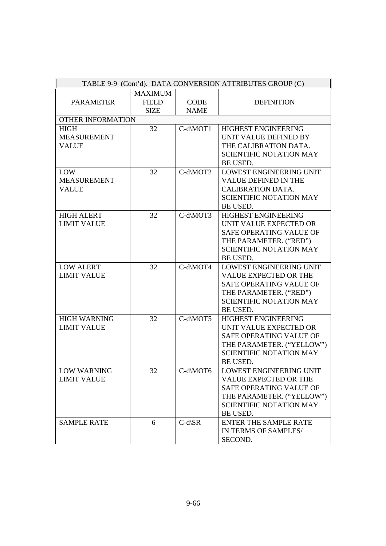| TABLE 9-9 (Cont'd). DATA CONVERSION ATTRIBUTES GROUP (C) |                |                      |                                |  |
|----------------------------------------------------------|----------------|----------------------|--------------------------------|--|
|                                                          | <b>MAXIMUM</b> |                      |                                |  |
| <b>PARAMETER</b>                                         | <b>FIELD</b>   | <b>CODE</b>          | <b>DEFINITION</b>              |  |
|                                                          | <b>SIZE</b>    | <b>NAME</b>          |                                |  |
| OTHER INFORMATION                                        |                |                      |                                |  |
| <b>HIGH</b>                                              | 32             | C-d\MOT1             | <b>HIGHEST ENGINEERING</b>     |  |
| <b>MEASUREMENT</b>                                       |                |                      | UNIT VALUE DEFINED BY          |  |
| <b>VALUE</b>                                             |                |                      | THE CALIBRATION DATA.          |  |
|                                                          |                |                      | <b>SCIENTIFIC NOTATION MAY</b> |  |
|                                                          |                |                      | <b>BE USED.</b>                |  |
| LOW                                                      | 32             | $C-d \setminus MOT2$ | LOWEST ENGINEERING UNIT        |  |
| <b>MEASUREMENT</b>                                       |                |                      | VALUE DEFINED IN THE           |  |
| <b>VALUE</b>                                             |                |                      | <b>CALIBRATION DATA.</b>       |  |
|                                                          |                |                      | <b>SCIENTIFIC NOTATION MAY</b> |  |
|                                                          |                |                      | BE USED.                       |  |
| <b>HIGH ALERT</b>                                        | 32             | C-d\MOT3             | <b>HIGHEST ENGINEERING</b>     |  |
| <b>LIMIT VALUE</b>                                       |                |                      | UNIT VALUE EXPECTED OR         |  |
|                                                          |                |                      | <b>SAFE OPERATING VALUE OF</b> |  |
|                                                          |                |                      | THE PARAMETER. ("RED")         |  |
|                                                          |                |                      | <b>SCIENTIFIC NOTATION MAY</b> |  |
|                                                          |                |                      | <b>BE USED.</b>                |  |
| <b>LOW ALERT</b>                                         | 32             | C-d\MOT4             | <b>LOWEST ENGINEERING UNIT</b> |  |
| <b>LIMIT VALUE</b>                                       |                |                      | <b>VALUE EXPECTED OR THE</b>   |  |
|                                                          |                |                      | SAFE OPERATING VALUE OF        |  |
|                                                          |                |                      | THE PARAMETER. ("RED")         |  |
|                                                          |                |                      | <b>SCIENTIFIC NOTATION MAY</b> |  |
|                                                          |                |                      | BE USED.                       |  |
| <b>HIGH WARNING</b>                                      | 32             | C-d\MOT5             | <b>HIGHEST ENGINEERING</b>     |  |
| <b>LIMIT VALUE</b>                                       |                |                      | UNIT VALUE EXPECTED OR         |  |
|                                                          |                |                      | SAFE OPERATING VALUE OF        |  |
|                                                          |                |                      | THE PARAMETER. ("YELLOW")      |  |
|                                                          |                |                      | <b>SCIENTIFIC NOTATION MAY</b> |  |
|                                                          |                |                      | BE USED.                       |  |
| <b>LOW WARNING</b>                                       | 32             | C-d\MOT6             | <b>LOWEST ENGINEERING UNIT</b> |  |
| <b>LIMIT VALUE</b>                                       |                |                      | VALUE EXPECTED OR THE          |  |
|                                                          |                |                      | SAFE OPERATING VALUE OF        |  |
|                                                          |                |                      | THE PARAMETER. ("YELLOW")      |  |
|                                                          |                |                      | <b>SCIENTIFIC NOTATION MAY</b> |  |
|                                                          |                |                      | BE USED.                       |  |
| <b>SAMPLE RATE</b>                                       | 6              | $C-d\setminus SR$    | <b>ENTER THE SAMPLE RATE</b>   |  |
|                                                          |                |                      | IN TERMS OF SAMPLES/           |  |
|                                                          |                |                      | SECOND.                        |  |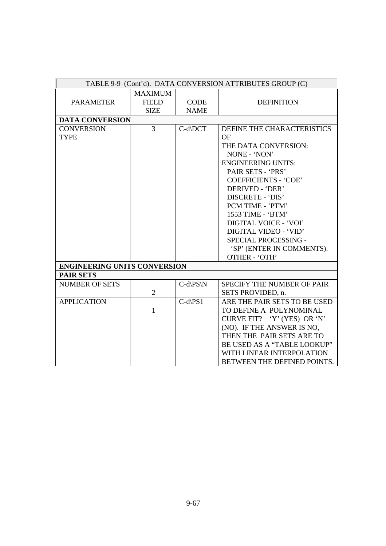| TABLE 9-9 (Cont'd). DATA CONVERSION ATTRIBUTES GROUP (C) |                                               |                            |                                                                                                                                                                                                                                                                                                                                                                                 |  |  |
|----------------------------------------------------------|-----------------------------------------------|----------------------------|---------------------------------------------------------------------------------------------------------------------------------------------------------------------------------------------------------------------------------------------------------------------------------------------------------------------------------------------------------------------------------|--|--|
| <b>PARAMETER</b>                                         | <b>MAXIMUM</b><br><b>FIELD</b><br><b>SIZE</b> | <b>CODE</b><br><b>NAME</b> | <b>DEFINITION</b>                                                                                                                                                                                                                                                                                                                                                               |  |  |
| <b>DATA CONVERSION</b>                                   |                                               |                            |                                                                                                                                                                                                                                                                                                                                                                                 |  |  |
| <b>CONVERSION</b><br><b>TYPE</b>                         | 3                                             | C-d\DCT                    | DEFINE THE CHARACTERISTICS<br><b>OF</b><br>THE DATA CONVERSION:<br>NONE - 'NON'<br><b>ENGINEERING UNITS:</b><br>PAIR SETS - 'PRS'<br><b>COEFFICIENTS - 'COE'</b><br>DERIVED - 'DER'<br>DISCRETE - 'DIS'<br>PCM TIME - 'PTM'<br>1553 TIME - 'BTM'<br>DIGITAL VOICE - 'VOI'<br>DIGITAL VIDEO - 'VID'<br>SPECIAL PROCESSING -<br>'SP' (ENTER IN COMMENTS).<br><b>OTHER - 'OTH'</b> |  |  |
| <b>ENGINEERING UNITS CONVERSION</b>                      |                                               |                            |                                                                                                                                                                                                                                                                                                                                                                                 |  |  |
| <b>PAIR SETS</b>                                         |                                               |                            |                                                                                                                                                                                                                                                                                                                                                                                 |  |  |
| <b>NUMBER OF SETS</b>                                    | $\overline{2}$                                | $C-d\$ N                   | <b>SPECIFY THE NUMBER OF PAIR</b><br>SETS PROVIDED, n.                                                                                                                                                                                                                                                                                                                          |  |  |
| <b>APPLICATION</b>                                       | 1                                             | $C-d\$ S1                  | ARE THE PAIR SETS TO BE USED<br>TO DEFINE A POLYNOMINAL<br>CURVE FIT? 'Y' (YES) OR 'N'<br>(NO). IF THE ANSWER IS NO,<br>THEN THE PAIR SETS ARE TO<br>BE USED AS A "TABLE LOOKUP"<br>WITH LINEAR INTERPOLATION<br>BETWEEN THE DEFINED POINTS.                                                                                                                                    |  |  |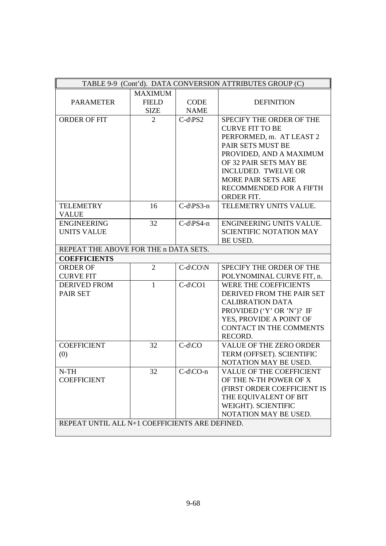| TABLE 9-9 (Cont'd). DATA CONVERSION ATTRIBUTES GROUP (C) |                |                              |                                 |  |
|----------------------------------------------------------|----------------|------------------------------|---------------------------------|--|
|                                                          | <b>MAXIMUM</b> |                              |                                 |  |
| <b>PARAMETER</b>                                         | <b>FIELD</b>   | <b>CODE</b>                  | <b>DEFINITION</b>               |  |
|                                                          | <b>SIZE</b>    | <b>NAME</b>                  |                                 |  |
| <b>ORDER OF FIT</b>                                      | 2              | $C-d$ \PS2                   | SPECIFY THE ORDER OF THE        |  |
|                                                          |                |                              | <b>CURVE FIT TO BE</b>          |  |
|                                                          |                |                              | PERFORMED, m. AT LEAST 2        |  |
|                                                          |                |                              | PAIR SETS MUST BE               |  |
|                                                          |                |                              | PROVIDED, AND A MAXIMUM         |  |
|                                                          |                |                              | OF 32 PAIR SETS MAY BE          |  |
|                                                          |                |                              | <b>INCLUDED. TWELVE OR</b>      |  |
|                                                          |                |                              | <b>MORE PAIR SETS ARE</b>       |  |
|                                                          |                |                              | RECOMMENDED FOR A FIFTH         |  |
|                                                          |                |                              | ORDER FIT.                      |  |
| <b>TELEMETRY</b>                                         | 16             | $C-d\$ S3-n                  | TELEMETRY UNITS VALUE.          |  |
| <b>VALUE</b>                                             |                |                              |                                 |  |
| <b>ENGINEERING</b>                                       | 32             | $C-d\$ S4-n                  | <b>ENGINEERING UNITS VALUE.</b> |  |
| <b>UNITS VALUE</b>                                       |                |                              | <b>SCIENTIFIC NOTATION MAY</b>  |  |
|                                                          |                |                              | BE USED.                        |  |
| REPEAT THE ABOVE FOR THE n DATA SETS.                    |                |                              |                                 |  |
| <b>COEFFICIENTS</b>                                      |                |                              |                                 |  |
| <b>ORDER OF</b>                                          | $\overline{2}$ | $C-d\setminus CO\setminus N$ | SPECIFY THE ORDER OF THE        |  |
| <b>CURVE FIT</b>                                         |                |                              | POLYNOMINAL CURVE FIT, n.       |  |
| <b>DERIVED FROM</b>                                      | 1              | $C-d$ \CO1                   | <b>WERE THE COEFFICIENTS</b>    |  |
| <b>PAIR SET</b>                                          |                |                              | DERIVED FROM THE PAIR SET       |  |
|                                                          |                |                              | <b>CALIBRATION DATA</b>         |  |
|                                                          |                |                              | PROVIDED ('Y' OR 'N')? IF       |  |
|                                                          |                |                              | YES, PROVIDE A POINT OF         |  |
|                                                          |                |                              | <b>CONTACT IN THE COMMENTS</b>  |  |
|                                                          |                |                              | RECORD.                         |  |
| <b>COEFFICIENT</b>                                       | 32             | $C-d\setminus CO$            | <b>VALUE OF THE ZERO ORDER</b>  |  |
| (0)                                                      |                |                              | TERM (OFFSET). SCIENTIFIC       |  |
|                                                          |                |                              | NOTATION MAY BE USED.           |  |
| $N-TH$                                                   | 32             | $C-d\setminus CO-n$          | <b>VALUE OF THE COEFFICIENT</b> |  |
| <b>COEFFICIENT</b>                                       |                |                              | OF THE N-TH POWER OF X          |  |
|                                                          |                |                              | (FIRST ORDER COEFFICIENT IS     |  |
|                                                          |                |                              | THE EQUIVALENT OF BIT           |  |
|                                                          |                |                              | WEIGHT). SCIENTIFIC             |  |
|                                                          |                |                              | NOTATION MAY BE USED.           |  |
| REPEAT UNTIL ALL N+1 COEFFICIENTS ARE DEFINED.           |                |                              |                                 |  |
|                                                          |                |                              |                                 |  |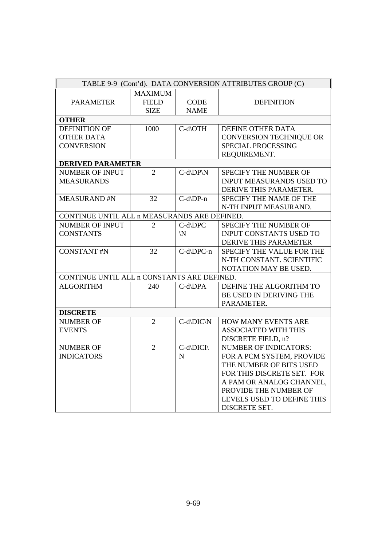| TABLE 9-9 (Cont'd). DATA CONVERSION ATTRIBUTES GROUP (C) |                                               |                            |                                 |  |
|----------------------------------------------------------|-----------------------------------------------|----------------------------|---------------------------------|--|
| <b>PARAMETER</b>                                         | <b>MAXIMUM</b><br><b>FIELD</b><br><b>SIZE</b> | <b>CODE</b><br><b>NAME</b> | <b>DEFINITION</b>               |  |
| <b>OTHER</b>                                             |                                               |                            |                                 |  |
| <b>DEFINITION OF</b>                                     | 1000                                          | C-d\OTH                    | DEFINE OTHER DATA               |  |
| <b>OTHER DATA</b>                                        |                                               |                            | <b>CONVERSION TECHNIQUE OR</b>  |  |
| <b>CONVERSION</b>                                        |                                               |                            | SPECIAL PROCESSING              |  |
|                                                          |                                               |                            | REQUIREMENT.                    |  |
| <b>DERIVED PARAMETER</b>                                 |                                               |                            |                                 |  |
| <b>NUMBER OF INPUT</b>                                   | $\overline{2}$                                | $C-d\D P\N$                | SPECIFY THE NUMBER OF           |  |
| <b>MEASURANDS</b>                                        |                                               |                            | <b>INPUT MEASURANDS USED TO</b> |  |
|                                                          |                                               |                            | DERIVE THIS PARAMETER.          |  |
| <b>MEASURAND#N</b>                                       | 32                                            | C-d\DP-n                   | SPECIFY THE NAME OF THE         |  |
|                                                          |                                               |                            | N-TH INPUT MEASURAND.           |  |
| CONTINUE UNTIL ALL n MEASURANDS ARE DEFINED.             |                                               |                            |                                 |  |
| <b>NUMBER OF INPUT</b>                                   | $\overline{2}$                                | C-d\DPC                    | SPECIFY THE NUMBER OF           |  |
| <b>CONSTANTS</b>                                         |                                               | $\mathsf{N}$               | <b>INPUT CONSTANTS USED TO</b>  |  |
|                                                          |                                               |                            | DERIVE THIS PARAMETER           |  |
| <b>CONSTANT#N</b>                                        | 32                                            | C-d\DPC-n                  | SPECIFY THE VALUE FOR THE       |  |
|                                                          |                                               |                            | N-TH CONSTANT. SCIENTIFIC       |  |
|                                                          |                                               |                            | NOTATION MAY BE USED.           |  |
| CONTINUE UNTIL ALL n CONSTANTS ARE DEFINED.              |                                               |                            |                                 |  |
| <b>ALGORITHM</b>                                         | 240                                           | $C-d\D{P}A$                | DEFINE THE ALGORITHM TO         |  |
|                                                          |                                               |                            | BE USED IN DERIVING THE         |  |
|                                                          |                                               |                            | PARAMETER.                      |  |
| <b>DISCRETE</b>                                          |                                               |                            |                                 |  |
| <b>NUMBER OF</b>                                         | $\overline{2}$                                | $C-d\DIC\N$                | HOW MANY EVENTS ARE             |  |
| <b>EVENTS</b>                                            |                                               |                            | <b>ASSOCIATED WITH THIS</b>     |  |
|                                                          |                                               |                            | DISCRETE FIELD, n?              |  |
| <b>NUMBER OF</b>                                         | $\overline{2}$                                | C-d\DICI\                  | <b>NUMBER OF INDICATORS:</b>    |  |
| <b>INDICATORS</b>                                        |                                               | N                          | FOR A PCM SYSTEM, PROVIDE       |  |
|                                                          |                                               |                            | THE NUMBER OF BITS USED         |  |
|                                                          |                                               |                            | FOR THIS DISCRETE SET. FOR      |  |
|                                                          |                                               |                            | A PAM OR ANALOG CHANNEL,        |  |
|                                                          |                                               |                            | PROVIDE THE NUMBER OF           |  |
|                                                          |                                               |                            | LEVELS USED TO DEFINE THIS      |  |
|                                                          |                                               |                            | DISCRETE SET.                   |  |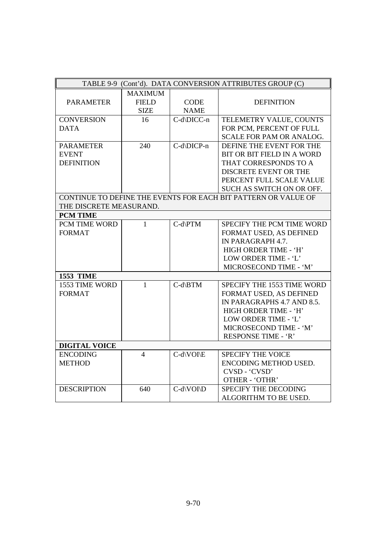| TABLE 9-9 (Cont'd). DATA CONVERSION ATTRIBUTES GROUP (C) |                |                               |                                                                |  |
|----------------------------------------------------------|----------------|-------------------------------|----------------------------------------------------------------|--|
|                                                          | <b>MAXIMUM</b> |                               |                                                                |  |
| <b>PARAMETER</b>                                         | <b>FIELD</b>   | <b>CODE</b>                   | <b>DEFINITION</b>                                              |  |
|                                                          | <b>SIZE</b>    | <b>NAME</b>                   |                                                                |  |
| <b>CONVERSION</b>                                        | 16             | C-d\DICC-n                    | TELEMETRY VALUE, COUNTS                                        |  |
| <b>DATA</b>                                              |                |                               | FOR PCM, PERCENT OF FULL                                       |  |
|                                                          |                |                               | <b>SCALE FOR PAM OR ANALOG.</b>                                |  |
| <b>PARAMETER</b>                                         | 240            | C-d\DICP-n                    | DEFINE THE EVENT FOR THE                                       |  |
| <b>EVENT</b>                                             |                |                               | BIT OR BIT FIELD IN A WORD                                     |  |
| <b>DEFINITION</b>                                        |                |                               | THAT CORRESPONDS TO A                                          |  |
|                                                          |                |                               | DISCRETE EVENT OR THE                                          |  |
|                                                          |                |                               | PERCENT FULL SCALE VALUE                                       |  |
|                                                          |                |                               | SUCH AS SWITCH ON OR OFF.                                      |  |
|                                                          |                |                               | CONTINUE TO DEFINE THE EVENTS FOR EACH BIT PATTERN OR VALUE OF |  |
| THE DISCRETE MEASURAND.                                  |                |                               |                                                                |  |
| <b>PCM TIME</b>                                          |                |                               |                                                                |  |
| PCM TIME WORD                                            | $\mathbf{1}$   | $C-d\$ PTM                    | SPECIFY THE PCM TIME WORD                                      |  |
| <b>FORMAT</b>                                            |                |                               | FORMAT USED, AS DEFINED                                        |  |
|                                                          |                |                               | IN PARAGRAPH 4.7.                                              |  |
|                                                          |                |                               | HIGH ORDER TIME - 'H'                                          |  |
|                                                          |                |                               | LOW ORDER TIME - 'L'                                           |  |
|                                                          |                |                               | MICROSECOND TIME - 'M'                                         |  |
| <b>1553 TIME</b>                                         |                |                               |                                                                |  |
| 1553 TIME WORD                                           | $\mathbf{1}$   | $C-d\B)TM$                    | SPECIFY THE 1553 TIME WORD                                     |  |
| <b>FORMAT</b>                                            |                |                               | FORMAT USED, AS DEFINED                                        |  |
|                                                          |                |                               | IN PARAGRAPHS 4.7 AND 8.5.                                     |  |
|                                                          |                |                               | HIGH ORDER TIME - 'H'                                          |  |
|                                                          |                |                               | LOW ORDER TIME - 'L'                                           |  |
|                                                          |                |                               | MICROSECOND TIME - 'M'                                         |  |
|                                                          |                |                               | RESPONSE TIME - 'R'                                            |  |
| <b>DIGITAL VOICE</b>                                     |                |                               |                                                                |  |
| <b>ENCODING</b>                                          | $\overline{4}$ | $C-d\setminus VOI\setminus E$ | <b>SPECIFY THE VOICE</b>                                       |  |
| <b>METHOD</b>                                            |                |                               | ENCODING METHOD USED.                                          |  |
|                                                          |                |                               | CVSD - 'CVSD'                                                  |  |
|                                                          |                |                               | OTHER - 'OTHR'                                                 |  |
| <b>DESCRIPTION</b>                                       | 640            | C-d\VOI\D                     | SPECIFY THE DECODING                                           |  |
|                                                          |                |                               | ALGORITHM TO BE USED.                                          |  |